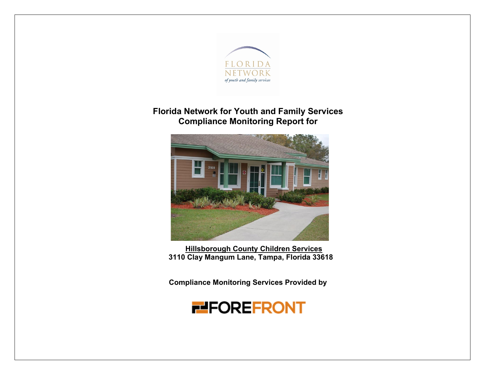

### **Florida Network for Youth and Family Services Compliance Monitoring Report for**



**Hillsborough County Children Services 3110 Clay Mangum Lane, Tampa, Florida 33618**

**Compliance Monitoring Services Provided by** 

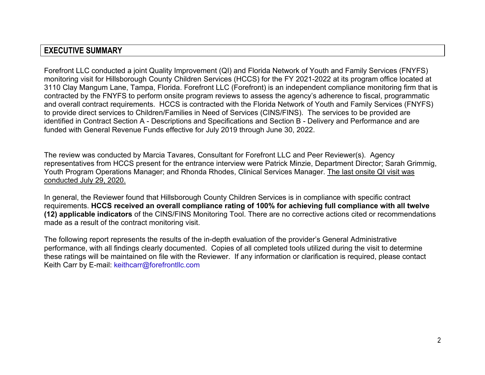#### **EXECUTIVE SUMMARY**

Forefront LLC conducted a joint Quality Improvement (QI) and Florida Network of Youth and Family Services (FNYFS) monitoring visit for Hillsborough County Children Services (HCCS) for the FY 2021-2022 at its program office located at 3110 Clay Mangum Lane, Tampa, Florida. Forefront LLC (Forefront) is an independent compliance monitoring firm that is contracted by the FNYFS to perform onsite program reviews to assess the agency's adherence to fiscal, programmatic and overall contract requirements. HCCS is contracted with the Florida Network of Youth and Family Services (FNYFS) to provide direct services to Children/Families in Need of Services (CINS/FINS). The services to be provided are identified in Contract Section A - Descriptions and Specifications and Section B - Delivery and Performance and are funded with General Revenue Funds effective for July 2019 through June 30, 2022.

The review was conducted by Marcia Tavares, Consultant for Forefront LLC and Peer Reviewer(s). Agency representatives from HCCS present for the entrance interview were Patrick Minzie, Department Director; Sarah Grimmig, Youth Program Operations Manager; and Rhonda Rhodes, Clinical Services Manager. The last onsite QI visit was conducted July 29, 2020.

In general, the Reviewer found that Hillsborough County Children Services is in compliance with specific contract requirements. **HCCS received an overall compliance rating of 100% for achieving full compliance with all twelve (12) applicable indicators** of the CINS/FINS Monitoring Tool. There are no corrective actions cited or recommendations made as a result of the contract monitoring visit.

The following report represents the results of the in-depth evaluation of the provider's General Administrative performance, with all findings clearly documented. Copies of all completed tools utilized during the visit to determine these ratings will be maintained on file with the Reviewer. If any information or clarification is required, please contact Keith Carr by E-mail: keithcarr@forefrontllc.com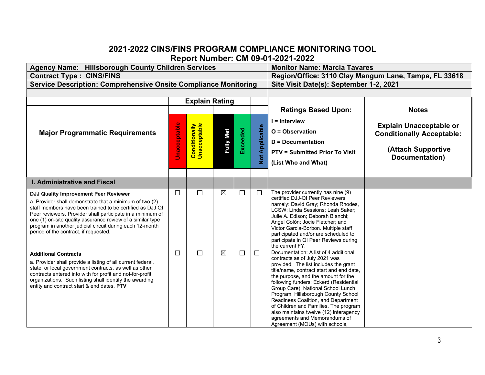#### **2021-2022 CINS/FINS PROGRAM COMPLIANCE MONITORING TOOL Report Number: CM 09-01-2021-2022**

| Agency Name: Hillsborough County Children Services                                                                                                                                                                                                                                                                                                                                             |                     | <b>Monitor Name: Marcia Tavares</b>     |                  |                 |                             |                                                                                                                                                                                                                                                                                                                                                                                                                                                                                                                        |                                                                                                            |
|------------------------------------------------------------------------------------------------------------------------------------------------------------------------------------------------------------------------------------------------------------------------------------------------------------------------------------------------------------------------------------------------|---------------------|-----------------------------------------|------------------|-----------------|-----------------------------|------------------------------------------------------------------------------------------------------------------------------------------------------------------------------------------------------------------------------------------------------------------------------------------------------------------------------------------------------------------------------------------------------------------------------------------------------------------------------------------------------------------------|------------------------------------------------------------------------------------------------------------|
| <b>Contract Type: CINS/FINS</b>                                                                                                                                                                                                                                                                                                                                                                |                     |                                         |                  |                 |                             | Region/Office: 3110 Clay Mangum Lane, Tampa, FL 33618                                                                                                                                                                                                                                                                                                                                                                                                                                                                  |                                                                                                            |
| <b>Service Description: Comprehensive Onsite Compliance Monitoring</b>                                                                                                                                                                                                                                                                                                                         |                     | Site Visit Date(s): September 1-2, 2021 |                  |                 |                             |                                                                                                                                                                                                                                                                                                                                                                                                                                                                                                                        |                                                                                                            |
|                                                                                                                                                                                                                                                                                                                                                                                                |                     |                                         |                  |                 |                             |                                                                                                                                                                                                                                                                                                                                                                                                                                                                                                                        |                                                                                                            |
|                                                                                                                                                                                                                                                                                                                                                                                                |                     | <b>Explain Rating</b>                   |                  |                 |                             |                                                                                                                                                                                                                                                                                                                                                                                                                                                                                                                        |                                                                                                            |
|                                                                                                                                                                                                                                                                                                                                                                                                |                     |                                         |                  |                 |                             | <b>Ratings Based Upon:</b>                                                                                                                                                                                                                                                                                                                                                                                                                                                                                             | <b>Notes</b>                                                                                               |
| <b>Major Programmatic Requirements</b>                                                                                                                                                                                                                                                                                                                                                         | <b>Unacceptable</b> | <b>Conditionally</b><br>Unacceptable    | <b>Fully Met</b> | <b>Exceeded</b> | Applicable<br>$\frac{1}{2}$ | $I = Interview$<br>$O = Observation$<br>$D = Doc$ umentation<br><b>PTV = Submitted Prior To Visit</b><br>(List Who and What)                                                                                                                                                                                                                                                                                                                                                                                           | <b>Explain Unacceptable or</b><br><b>Conditionally Acceptable:</b><br>(Attach Supportive<br>Documentation) |
| <b>I. Administrative and Fiscal</b>                                                                                                                                                                                                                                                                                                                                                            |                     |                                         |                  |                 |                             |                                                                                                                                                                                                                                                                                                                                                                                                                                                                                                                        |                                                                                                            |
| DJJ Quality Improvement Peer Reviewer<br>a. Provider shall demonstrate that a minimum of two (2)<br>staff members have been trained to be certified as DJJ QI<br>Peer reviewers. Provider shall participate in a minimum of<br>one (1) on-site quality assurance review of a similar type<br>program in another judicial circuit during each 12-month<br>period of the contract, if requested. | $\Box$              | П                                       | $\boxtimes$      | □               | $\Box$                      | The provider currently has nine (9)<br>certified DJJ-QI Peer Reviewers<br>namely: David Gray; Rhonda Rhodes,<br>LCSW; Linda Sessions; Leah Saker;<br>Julie A. Edison; Deborah Bianchi;<br>Angel Colón; Jocie Fletcher; and<br>Victor Garcia-Borbon. Multiple staff<br>participated and/or are scheduled to<br>participate in QI Peer Reviews during<br>the current FY.                                                                                                                                                 |                                                                                                            |
| <b>Additional Contracts</b><br>a. Provider shall provide a listing of all current federal,<br>state, or local government contracts, as well as other<br>contracts entered into with for profit and not-for-profit<br>organizations. Such listing shall identify the awarding<br>entity and contract start & end dates. PTV                                                                     | $\Box$              | $\Box$                                  | $\boxtimes$      | $\Box$          | $\Box$                      | Documentation: A list of 4 additional<br>contracts as of July 2021 was<br>provided. The list includes the grant<br>title/name, contract start and end date,<br>the purpose, and the amount for the<br>following funders: Eckerd (Residential<br>Group Care), National School Lunch<br>Program, Hillsborough County School<br>Readiness Coalition, and Department<br>of Children and Families. The program<br>also maintains twelve (12) interagency<br>agreements and Memorandums of<br>Agreement (MOUs) with schools, |                                                                                                            |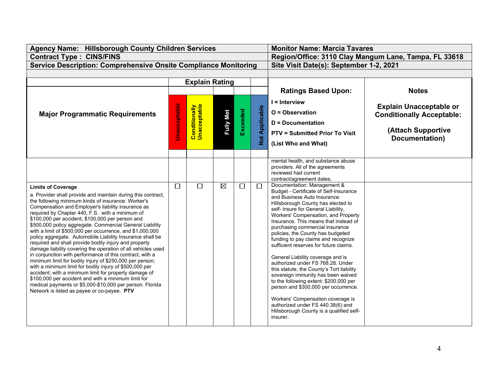| Agency Name: Hillsborough County Children Services                                                                                                                                                                                                                                                                                                                                                                                                                                                                                                                                                                                                                                                                                                                                                                               |                     | <b>Monitor Name: Marcia Tavares</b>     |                  |          |                       |                                                                                                                                                                                                                                                                                                                                                                                                                                                                                                                                                                                                                        |                                                                                                            |
|----------------------------------------------------------------------------------------------------------------------------------------------------------------------------------------------------------------------------------------------------------------------------------------------------------------------------------------------------------------------------------------------------------------------------------------------------------------------------------------------------------------------------------------------------------------------------------------------------------------------------------------------------------------------------------------------------------------------------------------------------------------------------------------------------------------------------------|---------------------|-----------------------------------------|------------------|----------|-----------------------|------------------------------------------------------------------------------------------------------------------------------------------------------------------------------------------------------------------------------------------------------------------------------------------------------------------------------------------------------------------------------------------------------------------------------------------------------------------------------------------------------------------------------------------------------------------------------------------------------------------------|------------------------------------------------------------------------------------------------------------|
| <b>Contract Type: CINS/FINS</b>                                                                                                                                                                                                                                                                                                                                                                                                                                                                                                                                                                                                                                                                                                                                                                                                  |                     |                                         |                  |          |                       | Region/Office: 3110 Clay Mangum Lane, Tampa, FL 33618                                                                                                                                                                                                                                                                                                                                                                                                                                                                                                                                                                  |                                                                                                            |
| <b>Service Description: Comprehensive Onsite Compliance Monitoring</b>                                                                                                                                                                                                                                                                                                                                                                                                                                                                                                                                                                                                                                                                                                                                                           |                     | Site Visit Date(s): September 1-2, 2021 |                  |          |                       |                                                                                                                                                                                                                                                                                                                                                                                                                                                                                                                                                                                                                        |                                                                                                            |
|                                                                                                                                                                                                                                                                                                                                                                                                                                                                                                                                                                                                                                                                                                                                                                                                                                  |                     |                                         |                  |          |                       |                                                                                                                                                                                                                                                                                                                                                                                                                                                                                                                                                                                                                        |                                                                                                            |
|                                                                                                                                                                                                                                                                                                                                                                                                                                                                                                                                                                                                                                                                                                                                                                                                                                  |                     | <b>Explain Rating</b>                   |                  |          |                       |                                                                                                                                                                                                                                                                                                                                                                                                                                                                                                                                                                                                                        |                                                                                                            |
|                                                                                                                                                                                                                                                                                                                                                                                                                                                                                                                                                                                                                                                                                                                                                                                                                                  |                     |                                         |                  |          |                       | <b>Ratings Based Upon:</b>                                                                                                                                                                                                                                                                                                                                                                                                                                                                                                                                                                                             | <b>Notes</b>                                                                                               |
| <b>Major Programmatic Requirements</b>                                                                                                                                                                                                                                                                                                                                                                                                                                                                                                                                                                                                                                                                                                                                                                                           | <b>Unacceptable</b> | <b>Conditionally</b><br>Unacceptable    | <b>Fully Met</b> | Exceeded | <b>Not Applicable</b> | I = Interview<br>O = Observation<br><b>D</b> = Documentation<br><b>PTV = Submitted Prior To Visit</b><br>(List Who and What)                                                                                                                                                                                                                                                                                                                                                                                                                                                                                           | <b>Explain Unacceptable or</b><br><b>Conditionally Acceptable:</b><br>(Attach Supportive<br>Documentation) |
| <b>Limits of Coverage</b><br>a. Provider shall provide and maintain during this contract,<br>the following minimum kinds of insurance: Worker's<br>Compensation and Employer's liability insurance as                                                                                                                                                                                                                                                                                                                                                                                                                                                                                                                                                                                                                            | $\Box$              | $\Box$                                  | $\boxtimes$      | $\Box$   | $\Box$                | mental health, and substance abuse<br>providers. All of the agreements<br>reviewed had current<br>contract/agreement dates.<br>Documentation: Management &<br>Budget - Certificate of Self-Insurance<br>and Business Auto Insurance.<br>Hillsborough County has elected to<br>self- insure for General Liability,                                                                                                                                                                                                                                                                                                      |                                                                                                            |
| required by Chapter 440, F.S. with a minimum of<br>\$100,000 per accident, \$100,000 per person and<br>\$500,000 policy aggregate. Commercial General Liability<br>with a limit of \$500,000 per occurrence, and \$1,000,000<br>policy aggregate. Automobile Liability Insurance shall be<br>required and shall provide bodily injury and property<br>damage liability covering the operation of all vehicles used<br>in conjunction with performance of this contract, with a<br>minimum limit for bodily injury of \$250,000 per person;<br>with a minimum limit for bodily injury of \$500,000 per<br>accident; with a minimum limit for property damage of<br>\$100,000 per accident and with a minimum limit for<br>medical payments or \$5,000-\$10,000 per person. Florida<br>Network is listed as payee or co-payee. PTV |                     |                                         |                  |          |                       | Workers' Compensation, and Property<br>Insurance. This means that instead of<br>purchasing commercial insurance<br>policies, the County has budgeted<br>funding to pay claims and recognize<br>sufficient reserves for future claims.<br>General Liability coverage and is<br>authorized under FS 768.28. Under<br>this statute, the County's Tort liability<br>sovereign immunity has been waived<br>to the following extent: \$200,000 per<br>person and \$300,000 per occurrence.<br>Workers' Compensation coverage is<br>authorized under FS 440.38(6) and<br>Hillsborough County is a qualified self-<br>insurer. |                                                                                                            |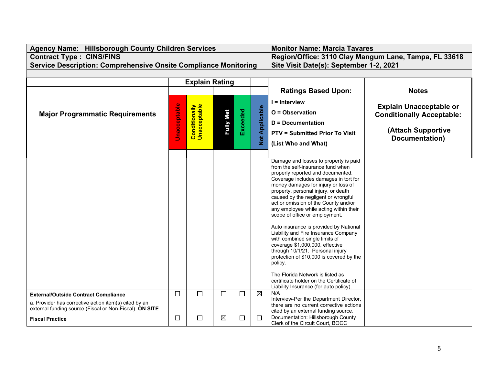| <b>Agency Name: Hillsborough County Children Services</b>                                                                                                       |                     | <b>Monitor Name: Marcia Tavares</b>     |                  |          |                       |                                                                                                                                                                                                                                                                                                                                                                                                                                                                                                                                                                                                                                                                                                                                                                               |                                                                                                            |
|-----------------------------------------------------------------------------------------------------------------------------------------------------------------|---------------------|-----------------------------------------|------------------|----------|-----------------------|-------------------------------------------------------------------------------------------------------------------------------------------------------------------------------------------------------------------------------------------------------------------------------------------------------------------------------------------------------------------------------------------------------------------------------------------------------------------------------------------------------------------------------------------------------------------------------------------------------------------------------------------------------------------------------------------------------------------------------------------------------------------------------|------------------------------------------------------------------------------------------------------------|
| <b>Contract Type: CINS/FINS</b>                                                                                                                                 |                     |                                         |                  |          |                       | Region/Office: 3110 Clay Mangum Lane, Tampa, FL 33618                                                                                                                                                                                                                                                                                                                                                                                                                                                                                                                                                                                                                                                                                                                         |                                                                                                            |
| <b>Service Description: Comprehensive Onsite Compliance Monitoring</b>                                                                                          |                     | Site Visit Date(s): September 1-2, 2021 |                  |          |                       |                                                                                                                                                                                                                                                                                                                                                                                                                                                                                                                                                                                                                                                                                                                                                                               |                                                                                                            |
|                                                                                                                                                                 |                     |                                         |                  |          |                       |                                                                                                                                                                                                                                                                                                                                                                                                                                                                                                                                                                                                                                                                                                                                                                               |                                                                                                            |
|                                                                                                                                                                 |                     | <b>Explain Rating</b>                   |                  |          |                       |                                                                                                                                                                                                                                                                                                                                                                                                                                                                                                                                                                                                                                                                                                                                                                               |                                                                                                            |
|                                                                                                                                                                 |                     |                                         |                  |          |                       | <b>Ratings Based Upon:</b>                                                                                                                                                                                                                                                                                                                                                                                                                                                                                                                                                                                                                                                                                                                                                    | <b>Notes</b>                                                                                               |
| <b>Major Programmatic Requirements</b>                                                                                                                          | <b>Unacceptable</b> | <b>Conditionally</b><br>Unacceptable    | <b>Fully Met</b> | Exceeded | <b>Not Applicable</b> | I = Interview<br>O = Observation<br><b>D</b> = Documentation<br><b>PTV = Submitted Prior To Visit</b><br>(List Who and What)                                                                                                                                                                                                                                                                                                                                                                                                                                                                                                                                                                                                                                                  | <b>Explain Unacceptable or</b><br><b>Conditionally Acceptable:</b><br>(Attach Supportive<br>Documentation) |
|                                                                                                                                                                 |                     |                                         |                  |          |                       | Damage and losses to property is paid<br>from the self-insurance fund when<br>properly reported and documented.<br>Coverage includes damages in tort for<br>money damages for injury or loss of<br>property, personal injury, or death<br>caused by the negligent or wrongful<br>act or omission of the County and/or<br>any employee while acting within their<br>scope of office or employment.<br>Auto insurance is provided by National<br>Liability and Fire Insurance Company<br>with combined single limits of<br>coverage \$1,000,000, effective<br>through 10/1/21. Personal injury<br>protection of \$10,000 is covered by the<br>policy.<br>The Florida Network is listed as<br>certificate holder on the Certificate of<br>Liability Insurance (for auto policy). |                                                                                                            |
| <b>External/Outside Contract Compliance</b><br>a. Provider has corrective action item(s) cited by an<br>external funding source (Fiscal or Non-Fiscal). ON SITE | $\Box$              | $\Box$                                  | $\Box$           | □        | $\boxtimes$           | N/A<br>Interview-Per the Department Director,<br>there are no current corrective actions<br>cited by an external funding source.                                                                                                                                                                                                                                                                                                                                                                                                                                                                                                                                                                                                                                              |                                                                                                            |
| <b>Fiscal Practice</b>                                                                                                                                          | $\Box$              | $\Box$                                  | $\boxtimes$      | $\Box$   | □                     | Documentation: Hillsborough County<br>Clerk of the Circuit Court, BOCC                                                                                                                                                                                                                                                                                                                                                                                                                                                                                                                                                                                                                                                                                                        |                                                                                                            |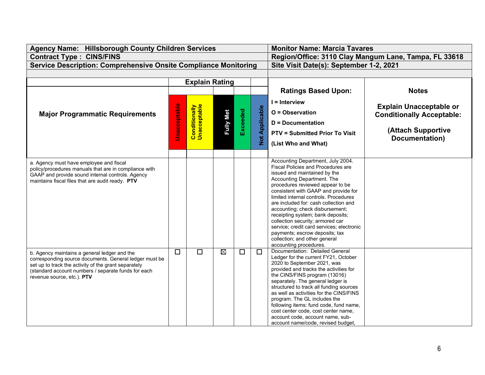| Agency Name: Hillsborough County Children Services                                                                                                                                                                                                  |                     | <b>Monitor Name: Marcia Tavares</b>     |                  |          |                |                                                                                                                                                                                                                                                                                                                                                                                                                                                                                                                                                           |                                                                                                            |
|-----------------------------------------------------------------------------------------------------------------------------------------------------------------------------------------------------------------------------------------------------|---------------------|-----------------------------------------|------------------|----------|----------------|-----------------------------------------------------------------------------------------------------------------------------------------------------------------------------------------------------------------------------------------------------------------------------------------------------------------------------------------------------------------------------------------------------------------------------------------------------------------------------------------------------------------------------------------------------------|------------------------------------------------------------------------------------------------------------|
| <b>Contract Type: CINS/FINS</b>                                                                                                                                                                                                                     |                     |                                         |                  |          |                | Region/Office: 3110 Clay Mangum Lane, Tampa, FL 33618                                                                                                                                                                                                                                                                                                                                                                                                                                                                                                     |                                                                                                            |
| <b>Service Description: Comprehensive Onsite Compliance Monitoring</b>                                                                                                                                                                              |                     | Site Visit Date(s): September 1-2, 2021 |                  |          |                |                                                                                                                                                                                                                                                                                                                                                                                                                                                                                                                                                           |                                                                                                            |
|                                                                                                                                                                                                                                                     |                     |                                         |                  |          |                |                                                                                                                                                                                                                                                                                                                                                                                                                                                                                                                                                           |                                                                                                            |
|                                                                                                                                                                                                                                                     |                     | <b>Explain Rating</b>                   |                  |          |                |                                                                                                                                                                                                                                                                                                                                                                                                                                                                                                                                                           |                                                                                                            |
|                                                                                                                                                                                                                                                     |                     |                                         |                  |          |                | <b>Ratings Based Upon:</b>                                                                                                                                                                                                                                                                                                                                                                                                                                                                                                                                | <b>Notes</b>                                                                                               |
| <b>Major Programmatic Requirements</b>                                                                                                                                                                                                              | <b>Unacceptable</b> | <b>Conditionally</b><br>Unacceptable    | <b>Fully Met</b> | Exceeded | Not Applicable | I = Interview<br>O = Observation<br><b>D</b> = Documentation<br><b>PTV = Submitted Prior To Visit</b><br>(List Who and What)                                                                                                                                                                                                                                                                                                                                                                                                                              | <b>Explain Unacceptable or</b><br><b>Conditionally Acceptable:</b><br>(Attach Supportive<br>Documentation) |
| a. Agency must have employee and fiscal<br>policy/procedures manuals that are in compliance with<br>GAAP and provide sound internal controls. Agency<br>maintains fiscal files that are audit ready. PTV                                            |                     |                                         |                  |          |                | Accounting Department, July 2004.<br>Fiscal Policies and Procedures are<br>issued and maintained by the<br>Accounting Department. The<br>procedures reviewed appear to be<br>consistent with GAAP and provide for<br>limited internal controls. Procedures<br>are included for: cash collection and<br>accounting; check disbursement;<br>receipting system; bank deposits;<br>collection security; armored car<br>service; credit card services; electronic<br>payments; escrow deposits; tax<br>collection; and other general<br>accounting procedures. |                                                                                                            |
| b. Agency maintains a general ledger and the<br>corresponding source documents. General ledger must be<br>set up to track the activity of the grant separately<br>(standard account numbers / separate funds for each<br>revenue source, etc.). PTV | $\Box$              | $\Box$                                  | $\boxtimes$      | $\Box$   | $\Box$         | Documentation: Detailed General<br>Ledger for the current FY21, October<br>2020 to September 2021, was<br>provided and tracks the activities for<br>the CINS/FINS program (13016)<br>separately. The general ledger is<br>structured to track all funding sources<br>as well as activities for the CINS/FINS<br>program. The GL includes the<br>following items: fund code, fund name,<br>cost center code, cost center name,<br>account code, account name, sub-<br>account name/code, revised budget,                                                   |                                                                                                            |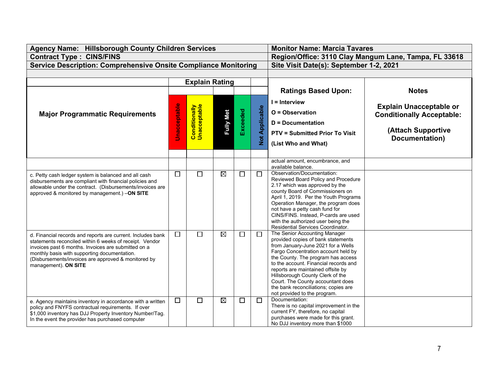| Agency Name: Hillsborough County Children Services                                                                                                                                                                                                                                                           |                     | <b>Monitor Name: Marcia Tavares</b>                   |                  |          |                       |                                                                                                                                                                                                                                                                                                                                                                                                                       |                                                                                                            |
|--------------------------------------------------------------------------------------------------------------------------------------------------------------------------------------------------------------------------------------------------------------------------------------------------------------|---------------------|-------------------------------------------------------|------------------|----------|-----------------------|-----------------------------------------------------------------------------------------------------------------------------------------------------------------------------------------------------------------------------------------------------------------------------------------------------------------------------------------------------------------------------------------------------------------------|------------------------------------------------------------------------------------------------------------|
| <b>Contract Type: CINS/FINS</b>                                                                                                                                                                                                                                                                              |                     | Region/Office: 3110 Clay Mangum Lane, Tampa, FL 33618 |                  |          |                       |                                                                                                                                                                                                                                                                                                                                                                                                                       |                                                                                                            |
| <b>Service Description: Comprehensive Onsite Compliance Monitoring</b>                                                                                                                                                                                                                                       |                     | Site Visit Date(s): September 1-2, 2021               |                  |          |                       |                                                                                                                                                                                                                                                                                                                                                                                                                       |                                                                                                            |
|                                                                                                                                                                                                                                                                                                              |                     |                                                       |                  |          |                       |                                                                                                                                                                                                                                                                                                                                                                                                                       |                                                                                                            |
|                                                                                                                                                                                                                                                                                                              |                     | <b>Explain Rating</b>                                 |                  |          |                       |                                                                                                                                                                                                                                                                                                                                                                                                                       |                                                                                                            |
|                                                                                                                                                                                                                                                                                                              |                     |                                                       |                  |          |                       | <b>Ratings Based Upon:</b>                                                                                                                                                                                                                                                                                                                                                                                            | <b>Notes</b>                                                                                               |
| <b>Major Programmatic Requirements</b>                                                                                                                                                                                                                                                                       | <b>Unacceptable</b> | <b>Conditionally</b><br>Unacceptable                  | <b>Fully Met</b> | Exceeded | <b>Not Applicable</b> | I = Interview<br>O = Observation<br><b>D</b> = Documentation<br><b>PTV = Submitted Prior To Visit</b><br>(List Who and What)                                                                                                                                                                                                                                                                                          | <b>Explain Unacceptable or</b><br><b>Conditionally Acceptable:</b><br>(Attach Supportive<br>Documentation) |
|                                                                                                                                                                                                                                                                                                              |                     |                                                       |                  |          |                       | actual amount, encumbrance, and<br>available balance.                                                                                                                                                                                                                                                                                                                                                                 |                                                                                                            |
| c. Petty cash ledger system is balanced and all cash<br>disbursements are compliant with financial policies and<br>allowable under the contract. (Disbursements/invoices are<br>approved & monitored by management.) -ON SITE                                                                                | $\Box$              | $\Box$                                                | $\boxtimes$      | $\Box$   | $\Box$                | Observation/Documentation:<br>Reviewed Board Policy and Procedure<br>2.17 which was approved by the<br>county Board of Commissioners on<br>April 1, 2019. Per the Youth Programs<br>Operation Manager, the program does<br>not have a petty cash fund for<br>CINS/FINS. Instead, P-cards are used<br>with the authorized user being the<br>Residential Services Coordinator.                                          |                                                                                                            |
| d. Financial records and reports are current. Includes bank<br>statements reconciled within 6 weeks of receipt. Vendor<br>invoices past 6 months. Invoices are submitted on a<br>monthly basis with supporting documentation.<br>(Disbursements/invoices are approved & monitored by<br>management). ON SITE | $\Box$              | $\Box$                                                | $\boxtimes$      | $\Box$   | □                     | The Senior Accounting Manager<br>provided copies of bank statements<br>from January-June 2021 for a Wells<br>Fargo Concentration account held by<br>the County. The program has access<br>to the account. Financial records and<br>reports are maintained offsite by<br>Hillsborough County Clerk of the<br>Court. The County accountant does<br>the bank reconciliations; copies are<br>not provided to the program. |                                                                                                            |
| e. Agency maintains inventory in accordance with a written<br>policy and FNYFS contractual requirements. If over<br>\$1,000 inventory has DJJ Property Inventory Number/Tag.<br>In the event the provider has purchased computer                                                                             | $\Box$              | $\Box$                                                | $\boxtimes$      | $\Box$   | $\Box$                | Documentation:<br>There is no capital improvement in the<br>current FY, therefore, no capital<br>purchases were made for this grant.<br>No DJJ inventory more than \$1000                                                                                                                                                                                                                                             |                                                                                                            |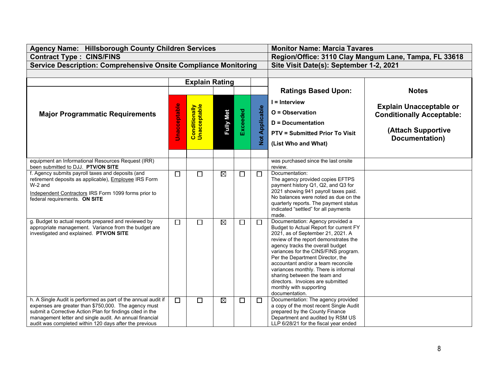| Agency Name: Hillsborough County Children Services                                                                                                                                                                                                                                                      |                     | <b>Monitor Name: Marcia Tavares</b>  |                  |          |                       |                                                                                                                                                                                                                                                                                                                                                                                                                                                                          |                                                                                                            |
|---------------------------------------------------------------------------------------------------------------------------------------------------------------------------------------------------------------------------------------------------------------------------------------------------------|---------------------|--------------------------------------|------------------|----------|-----------------------|--------------------------------------------------------------------------------------------------------------------------------------------------------------------------------------------------------------------------------------------------------------------------------------------------------------------------------------------------------------------------------------------------------------------------------------------------------------------------|------------------------------------------------------------------------------------------------------------|
| <b>Contract Type: CINS/FINS</b>                                                                                                                                                                                                                                                                         |                     |                                      |                  |          |                       | Region/Office: 3110 Clay Mangum Lane, Tampa, FL 33618                                                                                                                                                                                                                                                                                                                                                                                                                    |                                                                                                            |
| <b>Service Description: Comprehensive Onsite Compliance Monitoring</b>                                                                                                                                                                                                                                  |                     |                                      |                  |          |                       | Site Visit Date(s): September 1-2, 2021                                                                                                                                                                                                                                                                                                                                                                                                                                  |                                                                                                            |
|                                                                                                                                                                                                                                                                                                         |                     |                                      |                  |          |                       |                                                                                                                                                                                                                                                                                                                                                                                                                                                                          |                                                                                                            |
|                                                                                                                                                                                                                                                                                                         |                     | <b>Explain Rating</b>                |                  |          |                       |                                                                                                                                                                                                                                                                                                                                                                                                                                                                          |                                                                                                            |
|                                                                                                                                                                                                                                                                                                         |                     |                                      |                  |          |                       | <b>Ratings Based Upon:</b>                                                                                                                                                                                                                                                                                                                                                                                                                                               | <b>Notes</b>                                                                                               |
| <b>Major Programmatic Requirements</b>                                                                                                                                                                                                                                                                  | <b>Unacceptable</b> | <b>Conditionally</b><br>Unacceptable | <b>Fully Met</b> | Exceeded | <b>Not Applicable</b> | $I = Interview$<br>O = Observation<br><b>D</b> = Documentation<br><b>PTV = Submitted Prior To Visit</b><br>(List Who and What)                                                                                                                                                                                                                                                                                                                                           | <b>Explain Unacceptable or</b><br><b>Conditionally Acceptable:</b><br>(Attach Supportive<br>Documentation) |
| equipment an Informational Resources Request (IRR)<br>been submitted to DJJ. PTV/ON SITE                                                                                                                                                                                                                |                     |                                      |                  |          |                       | was purchased since the last onsite<br>review.                                                                                                                                                                                                                                                                                                                                                                                                                           |                                                                                                            |
| f. Agency submits payroll taxes and deposits (and<br>retirement deposits as applicable), Employee IRS Form<br>W-2 and<br>Independent Contractors IRS Form 1099 forms prior to<br>federal requirements. ON SITE                                                                                          | $\Box$              | $\Box$                               | $\boxtimes$      | $\Box$   | □                     | Documentation:<br>The agency provided copies EFTPS<br>payment history Q1, Q2, and Q3 for<br>2021 showing 941 payroll taxes paid.<br>No balances were noted as due on the<br>quarterly reports. The payment status<br>indicated "settled" for all payments<br>made.                                                                                                                                                                                                       |                                                                                                            |
| g. Budget to actual reports prepared and reviewed by<br>appropriate management. Variance from the budget are<br>investigated and explained. PTV/ON SITE                                                                                                                                                 | $\Box$              | $\Box$                               | $\boxtimes$      | $\Box$   | $\Box$                | Documentation: Agency provided a<br>Budget to Actual Report for current FY<br>2021, as of September 21, 2021. A<br>review of the report demonstrates the<br>agency tracks the overall budget<br>variances for the CINS/FINS program.<br>Per the Department Director, the<br>accountant and/or a team reconcile<br>variances monthly. There is informal<br>sharing between the team and<br>directors. Invoices are submitted<br>monthly with supporting<br>documentation. |                                                                                                            |
| h. A Single Audit is performed as part of the annual audit if<br>expenses are greater than \$750,000. The agency must<br>submit a Corrective Action Plan for findings cited in the<br>management letter and single audit. An annual financial<br>audit was completed within 120 days after the previous | $\Box$              | $\Box$                               | $\boxtimes$      | $\Box$   | П                     | Documentation: The agency provided<br>a copy of the most recent Single Audit<br>prepared by the County Finance<br>Department and audited by RSM US<br>LLP 6/28/21 for the fiscal year ended                                                                                                                                                                                                                                                                              |                                                                                                            |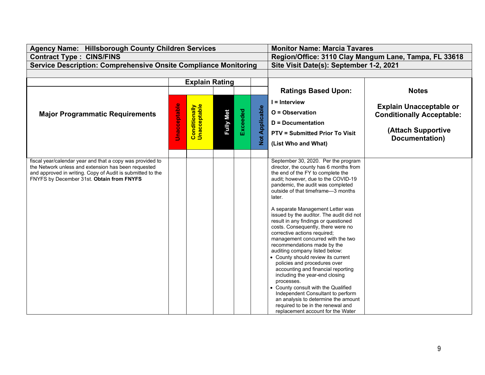| <b>Agency Name: Hillsborough County Children Services</b>                                               |                     | <b>Monitor Name: Marcia Tavares</b>                   |                  |          |                       |                                                                          |                                  |
|---------------------------------------------------------------------------------------------------------|---------------------|-------------------------------------------------------|------------------|----------|-----------------------|--------------------------------------------------------------------------|----------------------------------|
| <b>Contract Type: CINS/FINS</b>                                                                         |                     | Region/Office: 3110 Clay Mangum Lane, Tampa, FL 33618 |                  |          |                       |                                                                          |                                  |
| <b>Service Description: Comprehensive Onsite Compliance Monitoring</b>                                  |                     | Site Visit Date(s): September 1-2, 2021               |                  |          |                       |                                                                          |                                  |
|                                                                                                         |                     |                                                       |                  |          |                       |                                                                          |                                  |
|                                                                                                         |                     | <b>Explain Rating</b>                                 |                  |          |                       |                                                                          |                                  |
|                                                                                                         |                     |                                                       |                  |          |                       | <b>Ratings Based Upon:</b>                                               | <b>Notes</b>                     |
|                                                                                                         |                     |                                                       |                  |          |                       | $I =$ Interview                                                          |                                  |
|                                                                                                         |                     | <b>Conditionally</b><br>Unacceptable                  |                  |          |                       |                                                                          | <b>Explain Unacceptable or</b>   |
| <b>Major Programmatic Requirements</b>                                                                  | <b>Unacceptable</b> |                                                       | <b>Fully Met</b> | Exceeded | <b>Not Applicable</b> | $O = Observation$                                                        | <b>Conditionally Acceptable:</b> |
|                                                                                                         |                     |                                                       |                  |          |                       | <b>D</b> = Documentation                                                 |                                  |
|                                                                                                         |                     |                                                       |                  |          |                       | <b>PTV = Submitted Prior To Visit</b>                                    | (Attach Supportive               |
|                                                                                                         |                     |                                                       |                  |          |                       |                                                                          | Documentation)                   |
|                                                                                                         |                     |                                                       |                  |          |                       | (List Who and What)                                                      |                                  |
|                                                                                                         |                     |                                                       |                  |          |                       |                                                                          |                                  |
| fiscal year/calendar year and that a copy was provided to                                               |                     |                                                       |                  |          |                       | September 30, 2020. Per the program                                      |                                  |
| the Network unless and extension has been requested                                                     |                     |                                                       |                  |          |                       | director, the county has 6 months from                                   |                                  |
| and approved in writing. Copy of Audit is submitted to the<br>FNYFS by December 31st. Obtain from FNYFS |                     |                                                       |                  |          |                       | the end of the FY to complete the<br>audit; however, due to the COVID-19 |                                  |
|                                                                                                         |                     |                                                       |                  |          |                       | pandemic, the audit was completed                                        |                                  |
|                                                                                                         |                     |                                                       |                  |          |                       | outside of that timeframe-3 months                                       |                                  |
|                                                                                                         |                     |                                                       |                  |          |                       | later.                                                                   |                                  |
|                                                                                                         |                     |                                                       |                  |          |                       | A separate Management Letter was                                         |                                  |
|                                                                                                         |                     |                                                       |                  |          |                       | issued by the auditor. The audit did not                                 |                                  |
|                                                                                                         |                     |                                                       |                  |          |                       | result in any findings or questioned                                     |                                  |
|                                                                                                         |                     |                                                       |                  |          |                       | costs. Consequently, there were no                                       |                                  |
|                                                                                                         |                     |                                                       |                  |          |                       | corrective actions required;<br>management concurred with the two        |                                  |
|                                                                                                         |                     |                                                       |                  |          |                       | recommendations made by the                                              |                                  |
|                                                                                                         |                     |                                                       |                  |          |                       | auditing company listed below:                                           |                                  |
|                                                                                                         |                     |                                                       |                  |          |                       | • County should review its current                                       |                                  |
|                                                                                                         |                     |                                                       |                  |          |                       | policies and procedures over                                             |                                  |
|                                                                                                         |                     |                                                       |                  |          |                       | accounting and financial reporting                                       |                                  |
|                                                                                                         |                     |                                                       |                  |          |                       | including the year-end closing<br>processes.                             |                                  |
|                                                                                                         |                     |                                                       |                  |          |                       | • County consult with the Qualified                                      |                                  |
|                                                                                                         |                     |                                                       |                  |          |                       | Independent Consultant to perform                                        |                                  |
|                                                                                                         |                     |                                                       |                  |          |                       | an analysis to determine the amount                                      |                                  |
|                                                                                                         |                     |                                                       |                  |          |                       | required to be in the renewal and                                        |                                  |
|                                                                                                         |                     |                                                       |                  |          |                       | replacement account for the Water                                        |                                  |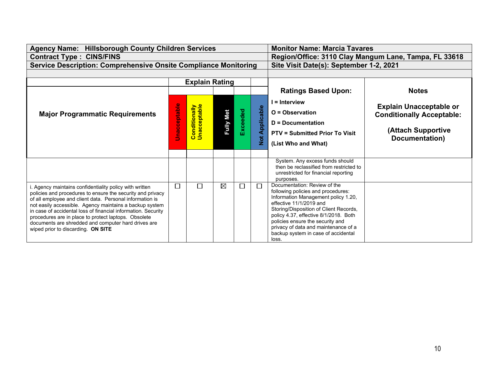| <b>Agency Name: Hillsborough County Children Services</b>                                                             |                     | <b>Monitor Name: Marcia Tavares</b>                   |                  |          |               |                                                                             |                                  |
|-----------------------------------------------------------------------------------------------------------------------|---------------------|-------------------------------------------------------|------------------|----------|---------------|-----------------------------------------------------------------------------|----------------------------------|
| <b>Contract Type: CINS/FINS</b>                                                                                       |                     | Region/Office: 3110 Clay Mangum Lane, Tampa, FL 33618 |                  |          |               |                                                                             |                                  |
| <b>Service Description: Comprehensive Onsite Compliance Monitoring</b>                                                |                     | Site Visit Date(s): September 1-2, 2021               |                  |          |               |                                                                             |                                  |
|                                                                                                                       |                     |                                                       |                  |          |               |                                                                             |                                  |
|                                                                                                                       |                     | <b>Explain Rating</b>                                 |                  |          |               |                                                                             |                                  |
|                                                                                                                       |                     |                                                       |                  |          |               | <b>Ratings Based Upon:</b>                                                  | <b>Notes</b>                     |
|                                                                                                                       |                     |                                                       |                  |          |               | $I =$ Interview                                                             |                                  |
|                                                                                                                       |                     | <b>Conditionally</b><br>Unacceptable                  |                  |          |               |                                                                             | <b>Explain Unacceptable or</b>   |
| <b>Major Programmatic Requirements</b>                                                                                |                     |                                                       | <b>Fully Met</b> | Exceeded | Applicable    | $O = Observation$                                                           | <b>Conditionally Acceptable:</b> |
|                                                                                                                       |                     |                                                       |                  |          |               | <b>D</b> = Documentation                                                    |                                  |
|                                                                                                                       | <b>Unacceptable</b> |                                                       |                  |          |               | <b>PTV = Submitted Prior To Visit</b>                                       | (Attach Supportive               |
|                                                                                                                       |                     |                                                       |                  |          | $\frac{1}{2}$ | (List Who and What)                                                         | Documentation)                   |
|                                                                                                                       |                     |                                                       |                  |          |               |                                                                             |                                  |
|                                                                                                                       |                     |                                                       |                  |          |               | System. Any excess funds should                                             |                                  |
|                                                                                                                       |                     |                                                       |                  |          |               | then be reclassified from restricted to                                     |                                  |
|                                                                                                                       |                     |                                                       |                  |          |               | unrestricted for financial reporting                                        |                                  |
|                                                                                                                       |                     |                                                       |                  |          |               | purposes.<br>Documentation: Review of the                                   |                                  |
| . Agency maintains confidentiality policy with written<br>policies and procedures to ensure the security and privacy  | L                   | $\mathsf{L}$                                          | $\boxtimes$      | □        | П             | following policies and procedures:                                          |                                  |
| of all employee and client data. Personal information is                                                              |                     |                                                       |                  |          |               | Information Management policy 1.20,                                         |                                  |
| not easily accessible. Agency maintains a backup system                                                               |                     |                                                       |                  |          |               | effective 11/1/2019 and<br>Storing/Disposition of Client Records,           |                                  |
| in case of accidental loss of financial information. Security<br>procedures are in place to protect laptops. Obsolete |                     |                                                       |                  |          |               | policy 4.37, effective 8/1/2018. Both                                       |                                  |
| documents are shredded and computer hard drives are                                                                   |                     |                                                       |                  |          |               | policies ensure the security and                                            |                                  |
| wiped prior to discarding. ON SITE                                                                                    |                     |                                                       |                  |          |               | privacy of data and maintenance of a<br>backup system in case of accidental |                                  |
|                                                                                                                       |                     |                                                       |                  |          |               | loss.                                                                       |                                  |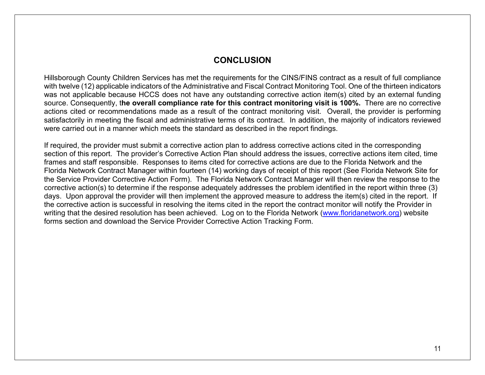#### **CONCLUSION**

Hillsborough County Children Services has met the requirements for the CINS/FINS contract as a result of full compliance with twelve (12) applicable indicators of the Administrative and Fiscal Contract Monitoring Tool. One of the thirteen indicators was not applicable because HCCS does not have any outstanding corrective action item(s) cited by an external funding source. Consequently, t**he overall compliance rate for this contract monitoring visit is 100%.** There are no corrective actions cited or recommendations made as a result of the contract monitoring visit. Overall, the provider is performing satisfactorily in meeting the fiscal and administrative terms of its contract. In addition, the majority of indicators reviewed were carried out in a manner which meets the standard as described in the report findings.

If required, the provider must submit a corrective action plan to address corrective actions cited in the corresponding section of this report. The provider's Corrective Action Plan should address the issues, corrective actions item cited, time frames and staff responsible. Responses to items cited for corrective actions are due to the Florida Network and the Florida Network Contract Manager within fourteen (14) working days of receipt of this report (See Florida Network Site for the Service Provider Corrective Action Form). The Florida Network Contract Manager will then review the response to the corrective action(s) to determine if the response adequately addresses the problem identified in the report within three (3) days. Upon approval the provider will then implement the approved measure to address the item(s) cited in the report. If the corrective action is successful in resolving the items cited in the report the contract monitor will notify the Provider in writing that the desired resolution has been achieved. Log on to the Florida Network [\(www.floridanetwork.org\)](http://www.floridanetwork.org/) website forms section and download the Service Provider Corrective Action Tracking Form.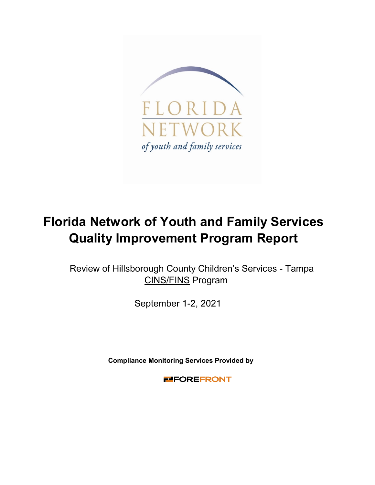

# **Florida Network of Youth and Family Services Quality Improvement Program Report**

Review of Hillsborough County Children's Services - Tampa CINS/FINS Program

September 1-2, 2021

**Compliance Monitoring Services Provided by** 

**FIFOREFRONT**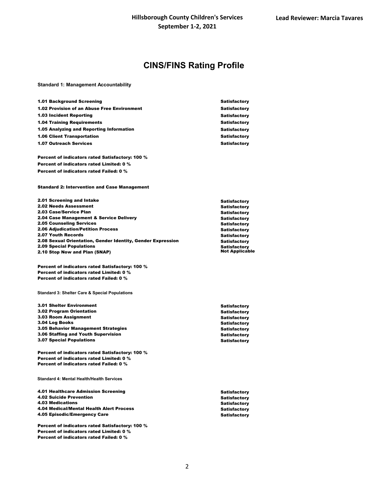#### **CINS/FINS Rating Profile**

**Standard 1: Management Accountability**

| <b>1.01 Background Screening</b>                   | <b>Satisfactory</b> |
|----------------------------------------------------|---------------------|
| <b>1.02 Provision of an Abuse Free Environment</b> | <b>Satisfactory</b> |
| <b>1.03 Incident Reporting</b>                     | <b>Satisfactory</b> |
| <b>1.04 Training Requirements</b>                  | <b>Satisfactory</b> |
| 1.05 Analyzing and Reporting Information           | <b>Satisfactory</b> |
| <b>1.06 Client Transportation</b>                  | <b>Satisfactory</b> |
| <b>1.07 Outreach Services</b>                      | <b>Satisfactory</b> |
|                                                    |                     |

Percent of indicators rated Satisfactory: 100 % Percent of indicators rated Limited: 0 % Percent of indicators rated Failed: 0 %

Standard 2: Intervention and Case Management

| 2.01 Screening and Intake                                   | <b>Satisfactory</b>   |
|-------------------------------------------------------------|-----------------------|
| <b>2.02 Needs Assessment</b>                                | <b>Satisfactory</b>   |
| 2.03 Case/Service Plan                                      | <b>Satisfactory</b>   |
| 2.04 Case Management & Service Delivery                     | <b>Satisfactory</b>   |
| <b>2.05 Counseling Services</b>                             | <b>Satisfactory</b>   |
| <b>2.06 Adjudication/Petition Process</b>                   | <b>Satisfactory</b>   |
| <b>2.07 Youth Records</b>                                   | <b>Satisfactory</b>   |
| 2.08 Sexual Orientation, Gender Identity, Gender Expression | <b>Satisfactory</b>   |
| <b>2.09 Special Populations</b>                             | <b>Satisfactory</b>   |
| 2.10 Stop Now and Plan (SNAP)                               | <b>Not Applicable</b> |
|                                                             |                       |

Percent of indicators rated Satisfactory: 100 % Percent of indicators rated Limited: 0 % Percent of indicators rated Failed: 0 %

**Standard 3: Shelter Care & Special Populations**

| <b>3.01 Shelter Environment</b>            | <b>Satisfactory</b> |
|--------------------------------------------|---------------------|
| <b>3.02 Program Orientation</b>            | <b>Satisfactory</b> |
| <b>3.03 Room Assignment</b>                | <b>Satisfactory</b> |
| 3.04 Log Books                             | <b>Satisfactory</b> |
| <b>3.05 Behavior Management Strategies</b> | <b>Satisfactory</b> |
| 3.06 Staffing and Youth Supervision        | <b>Satisfactory</b> |
| <b>3.07 Special Populations</b>            | <b>Satisfactory</b> |

Percent of indicators rated Satisfactory: 100 % Percent of indicators rated Limited: 0 % Percent of indicators rated Failed: 0 %

| 4.01 Healthcare Admission Screening |  |
|-------------------------------------|--|
| <b>4.02 Suicide Prevention</b>      |  |
| <b>4.03 Medications</b>             |  |

4.04 Medical/Mental Health Alert Process 4.05 Episodic/Emergency Care

**Standard 4: Mental Health/Health Services**

Percent of indicators rated Satisfactory: 100 % Percent of indicators rated Limited: 0 % Percent of indicators rated Failed: 0 %

2

**Satisfactory Satisfactory Satisfactory Satisfactory Satisfactory**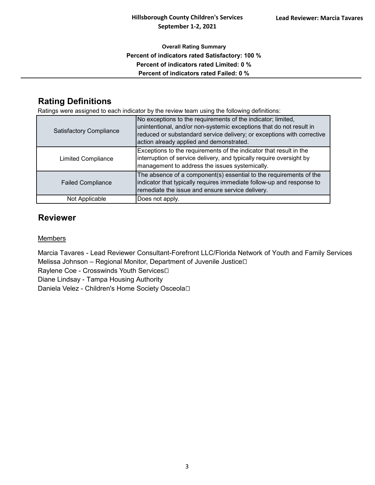#### **Overall Rating Summary Percent of indicators rated Satisfactory: 100 % Percent of indicators rated Limited: 0 % Percent of indicators rated Failed: 0 %**

## **Rating Definitions**

Ratings were assigned to each indicator by the review team using the following definitions:

| <b>Satisfactory Compliance</b> | No exceptions to the requirements of the indicator; limited,<br>unintentional, and/or non-systemic exceptions that do not result in<br>reduced or substandard service delivery; or exceptions with corrective<br>action already applied and demonstrated. |
|--------------------------------|-----------------------------------------------------------------------------------------------------------------------------------------------------------------------------------------------------------------------------------------------------------|
| <b>Limited Compliance</b>      | Exceptions to the requirements of the indicator that result in the<br>interruption of service delivery, and typically require oversight by<br>management to address the issues systemically.                                                              |
| <b>Failed Compliance</b>       | The absence of a component(s) essential to the requirements of the<br>indicator that typically requires immediate follow-up and response to<br>remediate the issue and ensure service delivery.                                                           |
| Not Applicable                 | Does not apply.                                                                                                                                                                                                                                           |

### **Reviewer**

#### Members

Marcia Tavares - Lead Reviewer Consultant-Forefront LLC/Florida Network of Youth and Family Services Melissa Johnson – Regional Monitor, Department of Juvenile Justice 

Raylene Coe - Crosswinds Youth Services<sup>[]</sup>

Diane Lindsay - Tampa Housing Authority

Daniela Velez - Children's Home Society Osceola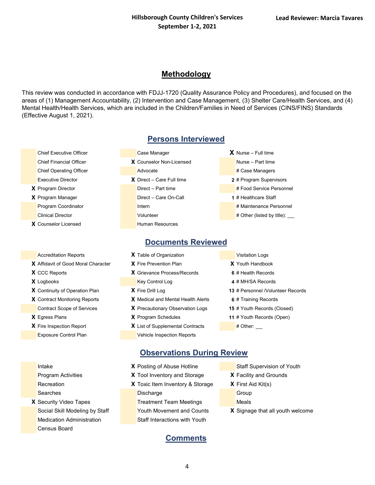#### **Methodology**

This review was conducted in accordance with FDJJ-1720 (Quality Assurance Policy and Procedures), and focused on the areas of (1) Management Accountability, (2) Intervention and Case Management, (3) Shelter Care/Health Services, and (4) Mental Health/Health Services, which are included in the Children/Families in Need of Services (CINS/FINS) Standards (Effective August 1, 2021).

- 
- 
- -
- **X** Affidavit of Good Moral Character **X** Fire Prevention Plan **X** Youth Handbook
- 
- 
- 
- 
- 
- 

#### **Persons Interviewed**

Chief Executive Officer **Case Manager** Case Manager **X** Nurse – Full time Chief Financial Officer **X** Counselor Non-Licensed Nurse – Part time Chief Operating Officer **Advocate** Advocate **Advocate Advocate** # Case Managers Executive Director **X** Direct – Care Full time **2** # Program Supervisors **X** Program Director **Director** Direct – Part time **1996 H** Food Service Personnel **X** Program Manager **Direct – Care On-Call <b>1** # Healthcare Staff Program Coordinator **Internal Internal Coordinator** Internal Coordinator **Internal Coordinator** Internal Coordinator Clinical Director **Clinical Director Volunteer Volunteer Volunteer Property Property Property Property Property Property Property Property Property Property Property Property Property Prop X** Counselor Licensed **Human Resources** 

#### **Documents Reviewed**

- Accreditation Reports **X** Table of Organization **Visitation** Visitation Logs **X** CCC Reports **X** Grievance Process/Records **6** # Health Records **X** Logbooks **Key Control Log <b>4** # MH/SA Records **X** Contract Monitoring Reports **X** Medical and Mental Health Alerts **6** # Training Records Contract Scope of Services **X** Precautionary Observation Logs **15** # Youth Records (Closed) **X** Egress Plans **X** Program Schedules **11** # Youth Records (Open)
- **X** List of Supplemental Contracts # Other: Exposure Control Plan Vehicle Inspection Reports

- 
- 
- 
- **X** Continuity of Operation Plan **X** Fire Drill Log **13** # Personnel /Volunteer Records
	-
	-
	- -

- Recreation **X** Toxic Item Inventory & Storage **X** First Aid Kit(s) Searches **Discharge Group** Discharge Group
- **X** Security Video Tapes **Treatment Team Meetings** Meals Medication Administration **Staff Interactions with Youth** Census Board
- **Intake <b>X** Posting of Abuse Hotline Staff Supervision of Youth
- Program Activities **X** Tool Inventory and Storage **X** Facility and Grounds
	- -
		-
	- Social Skill Modeling by Staff Youth Movement and Counts **X** Signage that all youth welcome
		- **Comments**

**Observations During Review**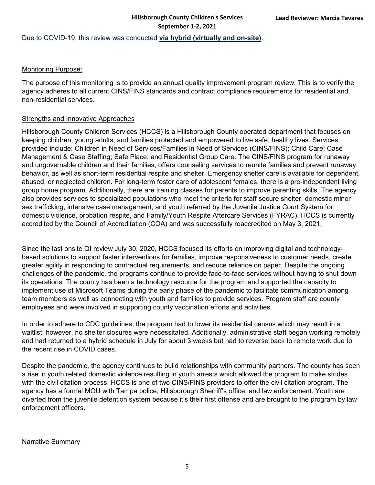#### Due to COVID-19, this review was conducted **via hybrid (virtually and on-site)**.

#### Monitoring Purpose:

The purpose of this monitoring is to provide an annual quality improvement program review. This is to verify the agency adheres to all current CINS/FINS standards and contract compliance requirements for residential and non-residential services.

#### Strengths and Innovative Approaches

Hillsborough County Children Services (HCCS) is a Hillsborough County operated department that focuses on keeping children, young adults, and families protected and empowered to live safe, healthy lives. Services provided include: Children in Need of Services/Families in Need of Services (CINS/FINS); Child Care; Case Management & Case Staffing; Safe Place; and Residential Group Care. The CINS/FINS program for runaway and ungovernable children and their families, offers counseling services to reunite families and prevent runaway behavior, as well as short-term residential respite and shelter. Emergency shelter care is available for dependent, abused, or neglected children. For long-term foster care of adolescent females, there is a pre-independent living group home program. Additionally, there are training classes for parents to improve parenting skills. The agency also provides services to specialized populations who meet the criteria for staff secure shelter, domestic minor sex trafficking, intensive case management, and youth referred by the Juvenile Justice Court System for domestic violence, probation respite, and Family/Youth Respite Aftercare Services (FYRAC). HCCS is currently accredited by the Council of Accreditation (COA) and was successfully reaccredited on May 3, 2021.

Since the last onsite QI review July 30, 2020, HCCS focused its efforts on improving digital and technologybased solutions to support faster interventions for families, improve responsiveness to customer needs, create greater agility in responding to contractual requirements, and reduce reliance on paper. Despite the ongoing challenges of the pandemic, the programs continue to provide face-to-face services without having to shut down its operations. The county has been a technology resource for the program and supported the capacity to implement use of Microsoft Teams during the early phase of the pandemic to facilitate communication among team members as well as connecting with youth and families to provide services. Program staff are county employees and were involved in supporting county vaccination efforts and activities.

In order to adhere to CDC guidelines, the program had to lower its residential census which may result in a waitlist; however, no shelter closures were necessitated. Additionally, administrative staff began working remotely and had returned to a hybrid schedule in July for about 3 weeks but had to reverse back to remote work due to the recent rise in COVID cases.

Despite the pandemic, the agency continues to build relationships with community partners. The county has seen a rise in youth related domestic violence resulting in youth arrests which allowed the program to make strides with the civil citation process. HCCS is one of two CINS/FINS providers to offer the civil citation program. The agency has a formal MOU with Tampa police, Hillsborough Sherriff's office, and law enforcement. Youth are diverted from the juvenile detention system because it's their first offense and are brought to the program by law enforcement officers.

#### Narrative Summary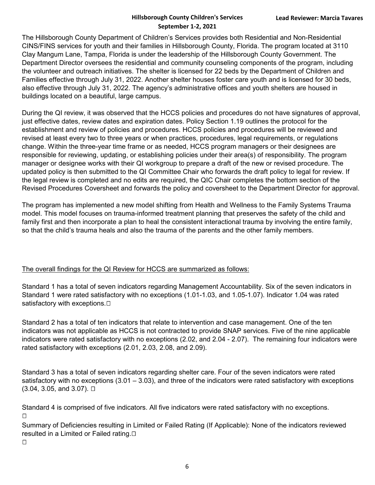The Hillsborough County Department of Children's Services provides both Residential and Non-Residential CINS/FINS services for youth and their families in Hillsborough County, Florida. The program located at 3110 Clay Mangum Lane, Tampa, Florida is under the leadership of the Hillsborough County Government. The Department Director oversees the residential and community counseling components of the program, including the volunteer and outreach initiatives. The shelter is licensed for 22 beds by the Department of Children and Families effective through July 31, 2022. Another shelter houses foster care youth and is licensed for 30 beds, also effective through July 31, 2022. The agency's administrative offices and youth shelters are housed in buildings located on a beautiful, large campus.

During the QI review, it was observed that the HCCS policies and procedures do not have signatures of approval, just effective dates, review dates and expiration dates. Policy Section 1.19 outlines the protocol for the establishment and review of policies and procedures. HCCS policies and procedures will be reviewed and revised at least every two to three years or when practices, procedures, legal requirements, or regulations change. Within the three-year time frame or as needed, HCCS program managers or their designees are responsible for reviewing, updating, or establishing policies under their area(s) of responsibility. The program manager or designee works with their QI workgroup to prepare a draft of the new or revised procedure. The updated policy is then submitted to the QI Committee Chair who forwards the draft policy to legal for review. If the legal review is completed and no edits are required, the QIC Chair completes the bottom section of the Revised Procedures Coversheet and forwards the policy and coversheet to the Department Director for approval.

The program has implemented a new model shifting from Health and Wellness to the Family Systems Trauma model. This model focuses on trauma-informed treatment planning that preserves the safety of the child and family first and then incorporate a plan to heal the consistent interactional trauma by involving the entire family, so that the child's trauma heals and also the trauma of the parents and the other family members.

#### The overall findings for the QI Review for HCCS are summarized as follows:

Standard 1 has a total of seven indicators regarding Management Accountability. Six of the seven indicators in Standard 1 were rated satisfactory with no exceptions (1.01-1.03, and 1.05-1.07). Indicator 1.04 was rated satisfactory with exceptions.  $\Box$ 

Standard 2 has a total of ten indicators that relate to intervention and case management. One of the ten indicators was not applicable as HCCS is not contracted to provide SNAP services. Five of the nine applicable indicators were rated satisfactory with no exceptions (2.02, and 2.04 - 2.07). The remaining four indicators were rated satisfactory with exceptions (2.01, 2.03, 2.08, and 2.09).

Standard 3 has a total of seven indicators regarding shelter care. Four of the seven indicators were rated satisfactory with no exceptions (3.01 – 3.03), and three of the indicators were rated satisfactory with exceptions  $(3.04, 3.05, \text{ and } 3.07)$ .  $\Box$ 

Standard 4 is comprised of five indicators. All five indicators were rated satisfactory with no exceptions.  $\Box$ 

Summary of Deficiencies resulting in Limited or Failed Rating (If Applicable): None of the indicators reviewed resulted in a Limited or Failed rating. $\square$ 

 $\Box$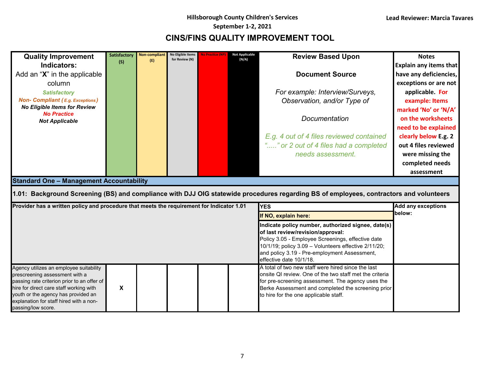$\overline{\phantom{a}}$ 

## **CINS/FINS QUALITY IMPROVEMENT TOOL**

| <b>Quality Improvement</b>                                                                | Satisfactory              | Non-compliant<br>(E) | No Eligible Items<br>for Review (N) | No Practice (Ni | Not Applicable<br>(N/A) | <b>Review Based Upon</b>                                                                                                               | <b>Notes</b>              |
|-------------------------------------------------------------------------------------------|---------------------------|----------------------|-------------------------------------|-----------------|-------------------------|----------------------------------------------------------------------------------------------------------------------------------------|---------------------------|
| Indicators:                                                                               | (S)                       |                      |                                     |                 |                         |                                                                                                                                        | Explain any items that    |
| Add an "X" in the applicable                                                              |                           |                      |                                     |                 |                         | <b>Document Source</b>                                                                                                                 | have any deficiencies,    |
| column                                                                                    |                           |                      |                                     |                 |                         |                                                                                                                                        | exceptions or are not     |
| <b>Satisfactory</b>                                                                       |                           |                      |                                     |                 |                         | For example: Interview/Surveys,                                                                                                        | applicable. For           |
| <b>Non- Compliant (E.g. Exceptions)</b>                                                   |                           |                      |                                     |                 |                         | Observation, and/or Type of                                                                                                            | example: Items            |
| <b>No Eligible Items for Review</b>                                                       |                           |                      |                                     |                 |                         |                                                                                                                                        | marked 'No' or 'N/A'      |
| <b>No Practice</b><br><b>Not Applicable</b>                                               |                           |                      |                                     |                 |                         | Documentation                                                                                                                          | on the worksheets         |
|                                                                                           |                           |                      |                                     |                 |                         |                                                                                                                                        | need to be explained      |
|                                                                                           |                           |                      |                                     |                 |                         | E.g. 4 out of 4 files reviewed contained                                                                                               | clearly below E.g. 2      |
|                                                                                           |                           |                      |                                     |                 |                         | "" or 2 out of 4 files had a completed                                                                                                 | out 4 files reviewed      |
|                                                                                           |                           |                      |                                     |                 |                         | needs assessment.                                                                                                                      | were missing the          |
|                                                                                           |                           |                      |                                     |                 |                         |                                                                                                                                        | completed needs           |
|                                                                                           |                           |                      |                                     |                 |                         |                                                                                                                                        | assessment                |
| <b>Standard One - Management Accountability</b>                                           |                           |                      |                                     |                 |                         |                                                                                                                                        |                           |
|                                                                                           |                           |                      |                                     |                 |                         | 1.01: Background Screening (BS) and compliance with DJJ OIG statewide procedures regarding BS of employees, contractors and volunteers |                           |
| Provider has a written policy and procedure that meets the requirement for Indicator 1.01 |                           |                      |                                     |                 |                         | <b>YES</b>                                                                                                                             | <b>Add any exceptions</b> |
|                                                                                           |                           |                      |                                     |                 |                         | If NO, explain here:                                                                                                                   | below:                    |
|                                                                                           |                           |                      |                                     |                 |                         | Indicate policy number, authorized signee, date(s)                                                                                     |                           |
|                                                                                           |                           |                      |                                     |                 |                         | of last review/revision/approval:                                                                                                      |                           |
|                                                                                           |                           |                      |                                     |                 |                         | Policy 3.05 - Employee Screenings, effective date<br>10/1/19; policy 3.09 - Volunteers effective 2/11/20;                              |                           |
|                                                                                           |                           |                      |                                     |                 |                         | and policy 3.19 - Pre-employment Assessment,                                                                                           |                           |
|                                                                                           |                           |                      |                                     |                 |                         | effective date 10/1/18.                                                                                                                |                           |
| Agency utilizes an employee suitability                                                   |                           |                      |                                     |                 |                         | A total of two new staff were hired since the last                                                                                     |                           |
| prescreening assessment with a                                                            |                           |                      |                                     |                 |                         | onsite QI review. One of the two staff met the criteria                                                                                |                           |
| passing rate criterion prior to an offer of<br>hire for direct care staff working with    | $\boldsymbol{\mathsf{X}}$ |                      |                                     |                 |                         | for pre-screening assessment. The agency uses the<br>Berke Assessment and completed the screening prior                                |                           |
| youth or the agency has provided an                                                       |                           |                      |                                     |                 |                         | to hire for the one applicable staff.                                                                                                  |                           |
| explanation for staff hired with a non-                                                   |                           |                      |                                     |                 |                         |                                                                                                                                        |                           |
|                                                                                           |                           |                      |                                     |                 |                         |                                                                                                                                        |                           |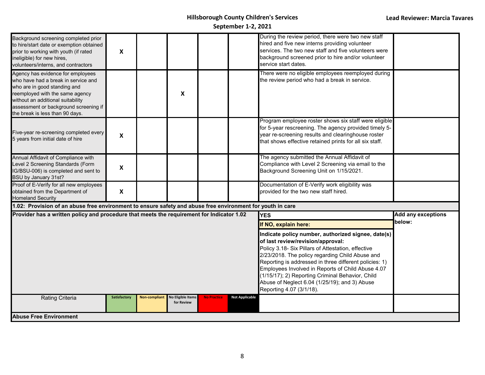| Background screening completed prior<br>to hire/start date or exemption obtained<br>prior to working with youth (if rated<br>ineligible) for new hires,<br>volunteers/interns, and contractors                                                               | X                         |               |                                        |                    |                       | During the review period, there were two new staff<br>hired and five new interns providing volunteer<br>services. The two new staff and five volunteers were<br>background screened prior to hire and/or volunteer<br>service start dates. |                           |
|--------------------------------------------------------------------------------------------------------------------------------------------------------------------------------------------------------------------------------------------------------------|---------------------------|---------------|----------------------------------------|--------------------|-----------------------|--------------------------------------------------------------------------------------------------------------------------------------------------------------------------------------------------------------------------------------------|---------------------------|
| Agency has evidence for employees<br>who have had a break in service and<br>who are in good standing and<br>reemployed with the same agency<br>without an additional suitability<br>assessment or background screening if<br>the break is less than 90 days. |                           |               | X                                      |                    |                       | There were no eligible employees reemployed during<br>the review period who had a break in service.                                                                                                                                        |                           |
| Five-year re-screening completed every<br>5 years from initial date of hire                                                                                                                                                                                  | $\boldsymbol{\mathsf{x}}$ |               |                                        |                    |                       | Program employee roster shows six staff were eligible<br>for 5-year rescreening. The agency provided timely 5-<br>year re-screening results and clearinghouse roster<br>that shows effective retained prints for all six staff.            |                           |
| Annual Affidavit of Compliance with<br>Level 2 Screening Standards (Form<br>IG/BSU-006) is completed and sent to<br>BSU by January 31st?                                                                                                                     | $\pmb{\times}$            |               |                                        |                    |                       | The agency submitted the Annual Affidavit of<br>Compliance with Level 2 Screening via email to the<br>Background Screening Unit on 1/15/2021.                                                                                              |                           |
| Proof of E-Verify for all new employees<br>obtained from the Department of<br><b>Homeland Security</b>                                                                                                                                                       | $\boldsymbol{X}$          |               |                                        |                    |                       | Documentation of E-Verify work eligibility was<br>provided for the two new staff hired.                                                                                                                                                    |                           |
| 1.02: Provision of an abuse free environment to ensure safety and abuse free environment for youth in care                                                                                                                                                   |                           |               |                                        |                    |                       |                                                                                                                                                                                                                                            |                           |
| Provider has a written policy and procedure that meets the requirement for Indicator 1.02                                                                                                                                                                    |                           |               |                                        |                    |                       | <b>YES</b>                                                                                                                                                                                                                                 | <b>Add any exceptions</b> |
|                                                                                                                                                                                                                                                              |                           |               |                                        |                    |                       | If NO, explain here:                                                                                                                                                                                                                       | below:                    |
|                                                                                                                                                                                                                                                              |                           |               |                                        |                    |                       |                                                                                                                                                                                                                                            |                           |
| <b>Rating Criteria</b>                                                                                                                                                                                                                                       | Satisfactory              | Non-compliant | <b>No Eligible Items</b><br>for Review | <b>No Practice</b> | <b>Not Applicable</b> |                                                                                                                                                                                                                                            |                           |
| <b>Abuse Free Environment</b>                                                                                                                                                                                                                                |                           |               |                                        |                    |                       |                                                                                                                                                                                                                                            |                           |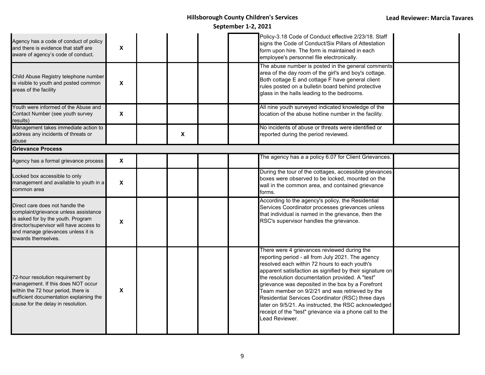| Agency has a code of conduct of policy<br>and there is evidence that staff are<br>aware of agency's code of conduct.                                                                                                   | X                         |                           |  | Policy-3.18 Code of Conduct effective 2/23/18. Staff<br>signs the Code of Conduct/Six Pillars of Attestation<br>form upon hire. The form is maintained in each<br>employee's personnel file electronically.                                                                                                                                                                                                                                                                                                                                                       |  |
|------------------------------------------------------------------------------------------------------------------------------------------------------------------------------------------------------------------------|---------------------------|---------------------------|--|-------------------------------------------------------------------------------------------------------------------------------------------------------------------------------------------------------------------------------------------------------------------------------------------------------------------------------------------------------------------------------------------------------------------------------------------------------------------------------------------------------------------------------------------------------------------|--|
| Child Abuse Registry telephone number<br>is visible to youth and posted common<br>areas of the facility                                                                                                                | $\pmb{\mathsf{X}}$        |                           |  | The abuse number is posted in the general comments<br>area of the day room of the girl's and boy's cottage.<br>Both cottage E and cottage F have general client<br>rules posted on a bulletin board behind protective<br>glass in the halls leading to the bedrooms.                                                                                                                                                                                                                                                                                              |  |
| Youth were informed of the Abuse and<br>Contact Number (see youth survey<br>results)                                                                                                                                   | $\boldsymbol{\mathsf{X}}$ |                           |  | All nine youth surveyed indicated knowledge of the<br>location of the abuse hotline number in the facility.                                                                                                                                                                                                                                                                                                                                                                                                                                                       |  |
| Management takes immediate action to<br>address any incidents of threats or<br>abuse                                                                                                                                   |                           | $\boldsymbol{\mathsf{X}}$ |  | No incidents of abuse or threats were identified or<br>reported during the period reviewed.                                                                                                                                                                                                                                                                                                                                                                                                                                                                       |  |
| <b>Grievance Process</b>                                                                                                                                                                                               |                           |                           |  |                                                                                                                                                                                                                                                                                                                                                                                                                                                                                                                                                                   |  |
| Agency has a formal grievance process                                                                                                                                                                                  | $\boldsymbol{\mathsf{X}}$ |                           |  | The agency has a a policy 6.07 for Client Grievances.                                                                                                                                                                                                                                                                                                                                                                                                                                                                                                             |  |
| Locked box accessible to only<br>management and available to youth in a<br>common area                                                                                                                                 | $\boldsymbol{\mathsf{X}}$ |                           |  | During the tour of the cottages, accessible grievances<br>boxes were observed to be locked, mounted on the<br>wall in the common area, and contained grievance<br>forms.                                                                                                                                                                                                                                                                                                                                                                                          |  |
| Direct care does not handle the<br>complaint/grievance unless assistance<br>is asked for by the youth. Program<br>director/supervisor will have access to<br>and manage grievances unless it is<br>towards themselves. | $\pmb{\chi}$              |                           |  | According to the agency's policy, the Residential<br>Services Coordinator processes grievances unless<br>that individual is named in the grievance, then the<br>RSC's supervisor handles the grievance.                                                                                                                                                                                                                                                                                                                                                           |  |
| 72-hour resolution requirement by<br>management. If this does NOT occur<br>within the 72 hour period, there is<br>sufficient documentation explaining the<br>cause for the delay in resolution.                        | X                         |                           |  | There were 4 grievances reviewed during the<br>reporting period - all from July 2021. The agency<br>resolved each within 72 hours to each youth's<br>apparent satisfaction as signified by their signature on<br>the resolution documentation provided. A "test"<br>grievance was deposited in the box by a Forefront<br>Team member on 9/2/21 and was retrieved by the<br>Residential Services Coordinator (RSC) three days<br>later on 9/5/21. As instructed, the RSC acknowledged<br>receipt of the "test" grievance via a phone call to the<br>Lead Reviewer. |  |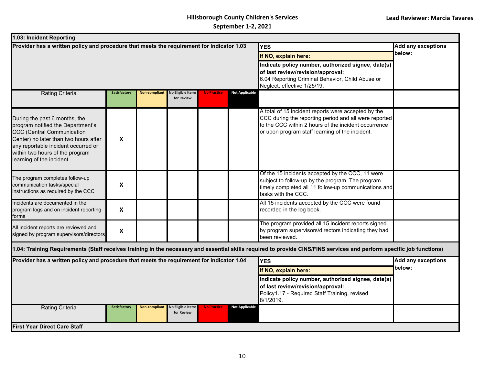| 1.03: Incident Reporting                                                                                                                                                                                                                               |                     |                      |                                        |                                                                                                                                                                            |                       |                                                                                                                                                                                                                         |                           |  |  |  |
|--------------------------------------------------------------------------------------------------------------------------------------------------------------------------------------------------------------------------------------------------------|---------------------|----------------------|----------------------------------------|----------------------------------------------------------------------------------------------------------------------------------------------------------------------------|-----------------------|-------------------------------------------------------------------------------------------------------------------------------------------------------------------------------------------------------------------------|---------------------------|--|--|--|
| Provider has a written policy and procedure that meets the requirement for Indicator 1.03                                                                                                                                                              |                     |                      |                                        |                                                                                                                                                                            |                       | <b>YES</b>                                                                                                                                                                                                              | Add any exceptions        |  |  |  |
|                                                                                                                                                                                                                                                        |                     |                      |                                        |                                                                                                                                                                            |                       | If NO, explain here:                                                                                                                                                                                                    | below:                    |  |  |  |
|                                                                                                                                                                                                                                                        |                     |                      |                                        | Indicate policy number, authorized signee, date(s)<br>of last review/revision/approval:<br>6.04 Reporting Criminal Behavior, Child Abuse or<br>Neglect. effective 1/25/19. |                       |                                                                                                                                                                                                                         |                           |  |  |  |
| <b>Rating Criteria</b>                                                                                                                                                                                                                                 | <b>Satisfactory</b> | <b>Non-compliant</b> | <b>No Eligible Items</b><br>for Review | <b>No Practice</b>                                                                                                                                                         | <b>Not Applicable</b> |                                                                                                                                                                                                                         |                           |  |  |  |
| During the past 6 months, the<br>program notified the Department's<br><b>CCC (Central Communication</b><br>Center) no later than two hours after<br>any reportable incident occurred or<br>within two hours of the program<br>learning of the incident | X                   |                      |                                        |                                                                                                                                                                            |                       | A total of 15 incident reports were accepted by the<br>CCC during the reporting period and all were reported<br>to the CCC within 2 hours of the incident occurrence<br>or upon program staff learning of the incident. |                           |  |  |  |
| The program completes follow-up<br>communication tasks/special<br>instructions as required by the CCC                                                                                                                                                  | X                   |                      |                                        |                                                                                                                                                                            |                       | Of the 15 incidents accepted by the CCC, 11 were<br>subject to follow-up by the program. The program<br>timely completed all 11 follow-up communications and<br>tasks with the CCC.                                     |                           |  |  |  |
| Incidents are documented in the<br>program logs and on incident reporting<br>forms                                                                                                                                                                     | X                   |                      |                                        |                                                                                                                                                                            |                       | All 15 incidents accepted by the CCC were found<br>recorded in the log book.                                                                                                                                            |                           |  |  |  |
| All incident reports are reviewed and<br>signed by program supervisors/directors                                                                                                                                                                       | X                   |                      |                                        |                                                                                                                                                                            |                       | The program provided all 15 incident reports signed<br>by program supervisors/directors indicating they had<br>been reviewed.                                                                                           |                           |  |  |  |
|                                                                                                                                                                                                                                                        |                     |                      |                                        |                                                                                                                                                                            |                       | 1.04: Training Requirements (Staff receives training in the necessary and essential skills required to provide CINS/FINS services and perform specific job functions)                                                   |                           |  |  |  |
| Provider has a written policy and procedure that meets the requirement for Indicator 1.04                                                                                                                                                              |                     |                      |                                        |                                                                                                                                                                            |                       | <b>YES</b>                                                                                                                                                                                                              | <b>Add any exceptions</b> |  |  |  |
|                                                                                                                                                                                                                                                        |                     |                      |                                        |                                                                                                                                                                            |                       | If NO, explain here:                                                                                                                                                                                                    | below:                    |  |  |  |
|                                                                                                                                                                                                                                                        |                     |                      |                                        | Indicate policy number, authorized signee, date(s)<br>of last review/revision/approval:<br>Policy1.17 - Required Staff Training, revised<br>8/1/2019.                      |                       |                                                                                                                                                                                                                         |                           |  |  |  |
| <b>Rating Criteria</b>                                                                                                                                                                                                                                 | Satisfactory        | <b>Non-compliant</b> | <b>No Eligible Items</b><br>for Review | <b>No Practice</b>                                                                                                                                                         | <b>Not Applicable</b> |                                                                                                                                                                                                                         |                           |  |  |  |
| <b>First Year Direct Care Staff</b>                                                                                                                                                                                                                    |                     |                      |                                        |                                                                                                                                                                            |                       |                                                                                                                                                                                                                         |                           |  |  |  |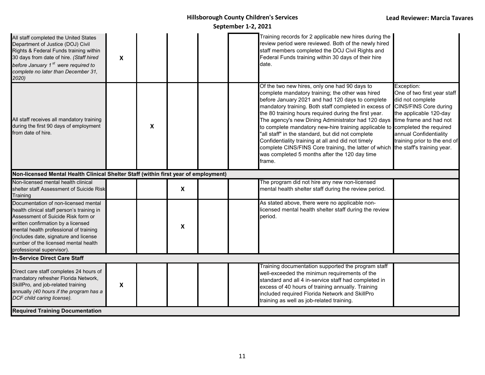| All staff completed the United States<br>Department of Justice (DOJ) Civil<br>Rights & Federal Funds training within<br>30 days from date of hire. (Staff hired<br>before January 1 <sup>st</sup> were required to<br>complete no later than December 31,<br>2020)                                                    | X              |   |                           |  | Training records for 2 applicable new hires during the<br>review period were reviewed. Both of the newly hired<br>staff members completed the DOJ Civil Rights and<br>Federal Funds training within 30 days of their hire<br>date.                                                                                                                                                                                                                                                                                                                                                                                                           |                                                                                                                                                                                                                                    |
|-----------------------------------------------------------------------------------------------------------------------------------------------------------------------------------------------------------------------------------------------------------------------------------------------------------------------|----------------|---|---------------------------|--|----------------------------------------------------------------------------------------------------------------------------------------------------------------------------------------------------------------------------------------------------------------------------------------------------------------------------------------------------------------------------------------------------------------------------------------------------------------------------------------------------------------------------------------------------------------------------------------------------------------------------------------------|------------------------------------------------------------------------------------------------------------------------------------------------------------------------------------------------------------------------------------|
| All staff receives all mandatory training<br>during the first 90 days of employment<br>from date of hire.                                                                                                                                                                                                             |                | X |                           |  | Of the two new hires, only one had 90 days to<br>complete mandatory training; the other was hired<br>before January 2021 and had 120 days to complete<br>mandatory training. Both staff completed in excess of<br>the 80 training hours required during the first year.<br>The agency's new Dining Administrator had 120 days<br>to complete mandatory new-hire training applicable to completed the required<br>"all staff" in the standard, but did not complete<br>Confidentiality training at all and did not timely<br>complete CINS/FINS Core training, the latter of which<br>was completed 5 months after the 120 day time<br>frame. | Exception:<br>One of two first year staff<br>did not complete<br>CINS/FINS Core during<br>the applicable 120-day<br>time frame and had not<br>annual Confidentiality<br>training prior to the end of<br>the staff's training year. |
| Non-licensed Mental Health Clinical Shelter Staff (within first year of employment)                                                                                                                                                                                                                                   |                |   |                           |  |                                                                                                                                                                                                                                                                                                                                                                                                                                                                                                                                                                                                                                              |                                                                                                                                                                                                                                    |
| Non-licensed mental health clinical<br>shelter staff Assessment of Suicide Risk<br>Training                                                                                                                                                                                                                           |                |   | $\boldsymbol{\mathsf{X}}$ |  | The program did not hire any new non-licensed<br>mental health shelter staff during the review period.                                                                                                                                                                                                                                                                                                                                                                                                                                                                                                                                       |                                                                                                                                                                                                                                    |
| Documentation of non-licensed mental<br>nealth clinical staff person's training in<br>Assessment of Suicide Risk form or<br>written confirmation by a licensed<br>mental health professional of training<br>includes date, signature and license<br>number of the licensed mental health<br>professional supervisor). |                |   | $\boldsymbol{\mathsf{x}}$ |  | As stated above, there were no applicable non-<br>licensed mental health shelter staff during the review<br>period.                                                                                                                                                                                                                                                                                                                                                                                                                                                                                                                          |                                                                                                                                                                                                                                    |
| In-Service Direct Care Staff                                                                                                                                                                                                                                                                                          |                |   |                           |  |                                                                                                                                                                                                                                                                                                                                                                                                                                                                                                                                                                                                                                              |                                                                                                                                                                                                                                    |
| Direct care staff completes 24 hours of<br>mandatory refresher Florida Network,<br>SkillPro, and job-related training<br>annually (40 hours if the program has a<br>DCF child caring license).                                                                                                                        | $\pmb{\times}$ |   |                           |  | Training documentation supported the program staff<br>well-exceeded the minimun requirements of the<br>standard and all 4 in-service staff had completed in<br>excess of 40 hours of training annually. Training<br>included required Florida Network and SkillPro<br>training as well as job-related training.                                                                                                                                                                                                                                                                                                                              |                                                                                                                                                                                                                                    |
| <b>Required Training Documentation</b>                                                                                                                                                                                                                                                                                |                |   |                           |  |                                                                                                                                                                                                                                                                                                                                                                                                                                                                                                                                                                                                                                              |                                                                                                                                                                                                                                    |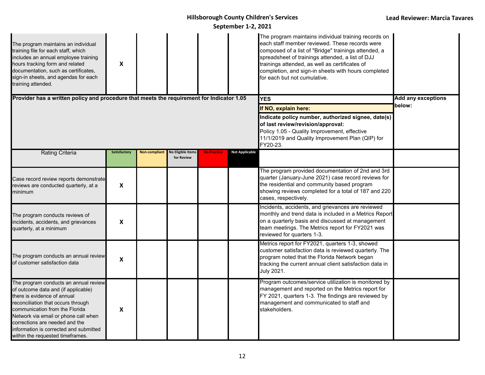| The program maintains an individual<br>training file for each staff, which<br>includes an annual employee training<br>hours tracking form and related<br>documentation, such as certificates,<br>sign-in sheets, and agendas for each<br>training attended.                                                                                 | X                         |                      |                                        |                                                                                                                                                                                                                                 |                       | The program maintains individual training records on<br>each staff member reviewed. These records were<br>composed of a list of "Bridge" trainings attended, a<br>spreadsheet of trainings attended, a list of DJJ<br>trainings attended, as well as certificates of<br>completion, and sign-in sheets with hours completed<br>for each but not cumulative. |                                     |
|---------------------------------------------------------------------------------------------------------------------------------------------------------------------------------------------------------------------------------------------------------------------------------------------------------------------------------------------|---------------------------|----------------------|----------------------------------------|---------------------------------------------------------------------------------------------------------------------------------------------------------------------------------------------------------------------------------|-----------------------|-------------------------------------------------------------------------------------------------------------------------------------------------------------------------------------------------------------------------------------------------------------------------------------------------------------------------------------------------------------|-------------------------------------|
| Provider has a written policy and procedure that meets the requirement for Indicator 1.05                                                                                                                                                                                                                                                   |                           |                      |                                        |                                                                                                                                                                                                                                 |                       | <b>YES</b>                                                                                                                                                                                                                                                                                                                                                  | <b>Add any exceptions</b><br>below: |
|                                                                                                                                                                                                                                                                                                                                             |                           |                      |                                        | If NO, explain here:<br>Indicate policy number, authorized signee, date(s)<br>of last review/revision/approval:<br>Policy 1.05 - Quality Improvement, effective<br>11/1/2019 and Quality Improvement Plan (QIP) for<br>FY20-23. |                       |                                                                                                                                                                                                                                                                                                                                                             |                                     |
| <b>Rating Criteria</b>                                                                                                                                                                                                                                                                                                                      | Satisfactory              | <b>Non-compliant</b> | <b>Vo Eligible Items</b><br>for Review | <b>No Practice</b>                                                                                                                                                                                                              | <b>Not Applicable</b> |                                                                                                                                                                                                                                                                                                                                                             |                                     |
| Case record review reports demonstrate<br>reviews are conducted quarterly, at a<br>minimum                                                                                                                                                                                                                                                  | $\boldsymbol{\mathsf{x}}$ |                      |                                        |                                                                                                                                                                                                                                 |                       | The program provided documentation of 2nd and 3rd<br>quarter (January-June 2021) case record reviews for<br>the residential and community based program<br>showing reviews completed for a total of 187 and 220<br>cases, respectively.                                                                                                                     |                                     |
| The program conducts reviews of<br>incidents, accidents, and grievances<br>quarterly, at a minimum                                                                                                                                                                                                                                          | $\pmb{\mathsf{X}}$        |                      |                                        |                                                                                                                                                                                                                                 |                       | Incidents, accidents, and grievances are reviewed<br>monthly and trend data is included in a Metrics Report<br>on a quarterly basis and discussed at management<br>team meetings. The Metrics report for FY2021 was<br>reviewed for quarters 1-3.                                                                                                           |                                     |
| The program conducts an annual review<br>of customer satisfaction data                                                                                                                                                                                                                                                                      | $\boldsymbol{\mathsf{x}}$ |                      |                                        |                                                                                                                                                                                                                                 |                       | Metrics report for FY2021, quarters 1-3, showed<br>customer satisfaction data is reviewed quarterly. The<br>program noted that the Florida Network began<br>tracking the current annual client satisfaction data in<br><b>July 2021.</b>                                                                                                                    |                                     |
| The program conducts an annual review<br>of outcome data and (if applicable)<br>there is evidence of annual<br>reconciliation that occurs through<br>communication from the Florida<br>Network via email or phone call when<br>corrections are needed and the<br>information is corrected and submitted<br>within the requested timeframes. | X                         |                      |                                        |                                                                                                                                                                                                                                 |                       | Program outcomes/service utilization is monitored by<br>management and reported on the Metrics report for<br>FY 2021, quarters 1-3. The findings are reviewed by<br>management and communicated to staff and<br>stakeholders.                                                                                                                               |                                     |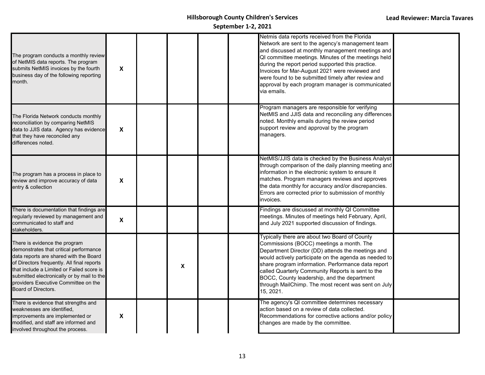| The program conducts a monthly review<br>of NetMIS data reports. The program<br>submits NetMIS invoices by the fourth<br>business day of the following reporting<br>month.                                                                                                                                                | $\boldsymbol{\mathsf{x}}$ |   |  | Netmis data reports received from the Florida<br>Network are sent to the agency's management team<br>and discussed at monthly management meetings and<br>QI committee meetings. Minutes of the meetings held<br>during the report period supported this practice.<br>Invoices for Mar-August 2021 were reviewed and<br>were found to be submitted timely after review and<br>approval by each program manager is communicated<br>via emails. |  |
|---------------------------------------------------------------------------------------------------------------------------------------------------------------------------------------------------------------------------------------------------------------------------------------------------------------------------|---------------------------|---|--|----------------------------------------------------------------------------------------------------------------------------------------------------------------------------------------------------------------------------------------------------------------------------------------------------------------------------------------------------------------------------------------------------------------------------------------------|--|
| The Florida Network conducts monthly<br>reconciliation by comparing NetMIS<br>data to JJIS data. Agency has evidence<br>that they have reconciled any<br>differences noted.                                                                                                                                               | X                         |   |  | Program managers are responsible for verifying<br>NetMIS and JJIS data and reconciling any differences<br>noted. Monthly emails during the review period<br>support review and approval by the program<br>managers.                                                                                                                                                                                                                          |  |
| The program has a process in place to<br>review and improve accuracy of data<br>entry & collection                                                                                                                                                                                                                        | $\boldsymbol{\mathsf{X}}$ |   |  | NetMIS/JJIS data is checked by the Business Analyst<br>through comparison of the daily planning meeting and<br>information in the electronic system to ensure it<br>matches. Program managers reviews and approves<br>the data monthly for accuracy and/or discrepancies.<br>Errors are corrected prior to submission of monthly<br>invoices.                                                                                                |  |
| There is documentation that findings are<br>regularly reviewed by management and<br>communicated to staff and<br>stakeholders.                                                                                                                                                                                            | $\pmb{\mathsf{X}}$        |   |  | Findings are discussed at monthly QI Committee<br>meetings. Minutes of meetings held February, April,<br>and July 2021 supported discussion of findings.                                                                                                                                                                                                                                                                                     |  |
| There is evidence the program<br>demonstrates that critical performance<br>data reports are shared with the Board<br>of Directors frequently. All final reports<br>that include a Limited or Failed score is<br>submitted electronically or by mail to the<br>providers Executive Committee on the<br>Board of Directors. |                           | X |  | Typically there are about two Board of County<br>Commissions (BOCC) meetings a month. The<br>Department Director (DD) attends the meetings and<br>would actively participate on the agenda as needed to<br>share program information. Performance data report<br>called Quarterly Community Reports is sent to the<br>BOCC, County leadership, and the department<br>through MailChimp. The most recent was sent on July<br>15, 2021.        |  |
| There is evidence that strengths and<br>weaknesses are identified,<br>improvements are implemented or<br>modified, and staff are informed and<br>involved throughout the process.                                                                                                                                         | $\pmb{\mathsf{X}}$        |   |  | The agency's QI committee determines necessary<br>action based on a review of data collected.<br>Recommendations for corrective actions and/or policy<br>changes are made by the committee.                                                                                                                                                                                                                                                  |  |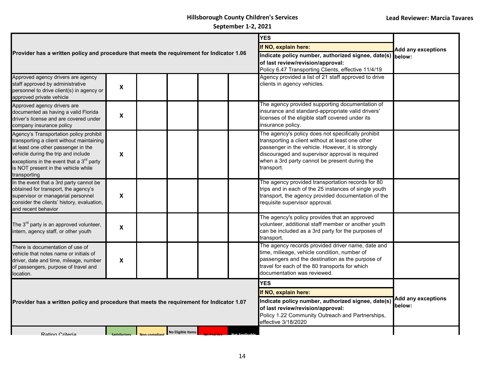|                                                                                                                                                                                                                                                                         |                           |  |                          |  | <b>YES</b> |                                                                                                                                                                                                                                                                               |                                     |
|-------------------------------------------------------------------------------------------------------------------------------------------------------------------------------------------------------------------------------------------------------------------------|---------------------------|--|--------------------------|--|------------|-------------------------------------------------------------------------------------------------------------------------------------------------------------------------------------------------------------------------------------------------------------------------------|-------------------------------------|
|                                                                                                                                                                                                                                                                         |                           |  |                          |  |            | If NO, explain here:                                                                                                                                                                                                                                                          | <b>Add any exceptions</b>           |
| Provider has a written policy and procedure that meets the requirement for Indicator 1.06                                                                                                                                                                               |                           |  |                          |  |            | Indicate policy number, authorized signee, date(s) below:<br>of last review/revision/approval:<br>Policy 6.47 Transporting Clients, effective 11/4/19                                                                                                                         |                                     |
| Approved agency drivers are agency<br>staff approved by administrative<br>personnel to drive client(s) in agency or<br>approved private vehicle                                                                                                                         | $\boldsymbol{\mathsf{x}}$ |  |                          |  |            | Agency provided a list of 21 staff approved to drive<br>clients in agency vehicles.                                                                                                                                                                                           |                                     |
| Approved agency drivers are<br>documented as having a valid Florida<br>driver's license and are covered under<br>company insurance policy                                                                                                                               | $\boldsymbol{\mathsf{x}}$ |  |                          |  |            | The agency provided supporting documentation of<br>insurance and standard-appropriate valid drivers'<br>licenses of the eligible staff covered under its<br>insurance policy.                                                                                                 |                                     |
| Agency's Transportation policy prohibit<br>transporting a client without maintaining<br>at least one other passenger in the<br>vehicle during the trip and include<br>exceptions in the event that a $3rd$ party<br>is NOT present in the vehicle while<br>transporting | X                         |  |                          |  |            | The agency's policy does not specifically prohibit<br>transporting a client without at least one other<br>passenger in the vehicle. However, it is strongly<br>discouraged and supervisor approval is required<br>when a 3rd party cannot be present during the<br>transport. |                                     |
| In the event that a 3rd party cannot be<br>obtained for transport, the agency's<br>supervisor or managerial personnel<br>consider the clients' history, evaluation,<br>and recent behavior                                                                              | $\boldsymbol{\mathsf{x}}$ |  |                          |  |            | The agency provided transportation records for 80<br>trips and in each of the 25 instances of single youth<br>transport, the agency provided documentation of the<br>requisite supervisor approval.                                                                           |                                     |
| The 3 <sup>rd</sup> party is an approved volunteer,<br>intern, agency staff, or other youth                                                                                                                                                                             | $\boldsymbol{\mathsf{x}}$ |  |                          |  |            | The agency's policy provides that an approved<br>volunteer, additional staff member or another youth<br>can be included as a 3rd party for the purposes of<br>transport.                                                                                                      |                                     |
| There is documentation of use of<br>vehicle that notes name or initials of<br>driver, date and time, mileage, number<br>of passengers, purpose of travel and<br>location.                                                                                               | X                         |  |                          |  |            | The agency records provided driver name, date and<br>time, milieage, vehicle condition, number of<br>passengers and the destination as the purpose of<br>travel for each of the 80 transports for which<br>documentation was reviewed.                                        |                                     |
|                                                                                                                                                                                                                                                                         |                           |  |                          |  |            | <b>YES</b>                                                                                                                                                                                                                                                                    |                                     |
| Provider has a written policy and procedure that meets the requirement for Indicator 1.07                                                                                                                                                                               |                           |  |                          |  |            | If NO, explain here:                                                                                                                                                                                                                                                          |                                     |
|                                                                                                                                                                                                                                                                         |                           |  |                          |  |            | Indicate policy number, authorized signee, date(s)<br>of last review/revision/approval:<br>Policy 1.22 Community Outreach and Partnerships,<br>effective 3/18/2020                                                                                                            | <b>Add any exceptions</b><br>below: |
| Rating Criteria                                                                                                                                                                                                                                                         |                           |  | <b>No Eligible Items</b> |  |            |                                                                                                                                                                                                                                                                               |                                     |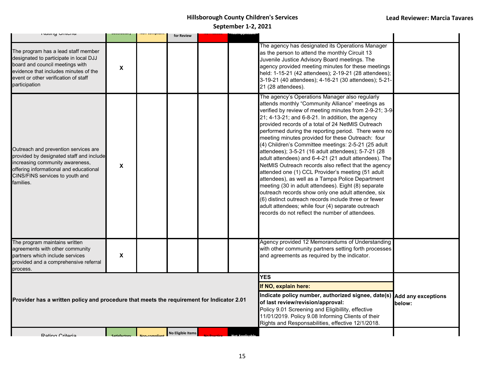| namy Unicha                                                                                                                                                                                                        |                           |                              | for Review           |  |                                                                                                                                                                                                                                                                            |                                                                                                                                                                                                                                                                                                                                                                                                                                                                                                                                                                                                                                                                                                                                                                                                                                                                                                                                                                                                          |  |
|--------------------------------------------------------------------------------------------------------------------------------------------------------------------------------------------------------------------|---------------------------|------------------------------|----------------------|--|----------------------------------------------------------------------------------------------------------------------------------------------------------------------------------------------------------------------------------------------------------------------------|----------------------------------------------------------------------------------------------------------------------------------------------------------------------------------------------------------------------------------------------------------------------------------------------------------------------------------------------------------------------------------------------------------------------------------------------------------------------------------------------------------------------------------------------------------------------------------------------------------------------------------------------------------------------------------------------------------------------------------------------------------------------------------------------------------------------------------------------------------------------------------------------------------------------------------------------------------------------------------------------------------|--|
| The program has a lead staff member<br>designated to participate in local DJJ<br>board and council meetings with<br>evidence that includes minutes of the<br>event or other verification of staff<br>participation | X                         |                              |                      |  |                                                                                                                                                                                                                                                                            | The agency has designated its Operations Manager<br>as the person to attend the monthly Circuit 13<br>Juvenile Justice Advisory Board meetings. The<br>agency provided meeting minutes for these meetings<br>held: 1-15-21 (42 attendees); 2-19-21 (28 attendees);<br>3-19-21 (40 attendees); 4-16-21 (30 attendees); 5-21-<br>21 (28 attendees).                                                                                                                                                                                                                                                                                                                                                                                                                                                                                                                                                                                                                                                        |  |
| Outreach and prevention services are<br>provided by designated staff and include<br>increasing community awareness,<br>offering informational and educational<br>CINS/FINS services to youth and<br>families.      | X                         |                              |                      |  |                                                                                                                                                                                                                                                                            | The agency's Operations Manager also regularly<br>attends monthly "Community Alliance" meetings as<br>verified by review of meeting minutes from 2-9-21; 3-9-<br>21; 4-13-21; and 6-8-21. In addition, the agency<br>provided records of a total of 24 NetMIS Outreach<br>performed during the reporting period. There were no<br>meeting minutes provided for these Outreach: four<br>(4) Children's Committee meetings: 2-5-21 (25 adult<br>attendees); 3-5-21 (16 adult attendees); 5-7-21 (28<br>adult attendees) and 6-4-21 (21 adult attendees). The<br>NetMIS Outreach records also reflect that the agency<br>attended one (1) CCL Provider's meeting (51 adult<br>attendees), as well as a Tampa Police Department<br>meeting (30 in adult attendees). Eight (8) separate<br>outreach records show only one adult attendee, six<br>(6) distinct outreach records include three or fewer<br>adult attendees; while four (4) separate outreach<br>records do not reflect the number of attendees. |  |
| The program maintains written<br>agreements with other community<br>partners which include services<br>provided and a comprehensive referral<br>process.                                                           | $\boldsymbol{\mathsf{X}}$ |                              |                      |  |                                                                                                                                                                                                                                                                            | Agency provided 12 Memorandums of Understanding<br>with other community partners setting forth processes<br>and agreements as required by the indicator.                                                                                                                                                                                                                                                                                                                                                                                                                                                                                                                                                                                                                                                                                                                                                                                                                                                 |  |
|                                                                                                                                                                                                                    |                           |                              |                      |  |                                                                                                                                                                                                                                                                            | <b>YES</b>                                                                                                                                                                                                                                                                                                                                                                                                                                                                                                                                                                                                                                                                                                                                                                                                                                                                                                                                                                                               |  |
|                                                                                                                                                                                                                    |                           |                              | If NO, explain here: |  |                                                                                                                                                                                                                                                                            |                                                                                                                                                                                                                                                                                                                                                                                                                                                                                                                                                                                                                                                                                                                                                                                                                                                                                                                                                                                                          |  |
| Provider has a written policy and procedure that meets the requirement for Indicator 2.01                                                                                                                          |                           |                              |                      |  | Indicate policy number, authorized signee, date(s) Add any exceptions<br>of last review/revision/approval:<br>Policy 9.01 Screening and Eligibillity, effective<br>11/01/2019. Policy 9.08 Informing Clients of their<br>Rights and Responsabilities, effective 12/1/2018. | below:                                                                                                                                                                                                                                                                                                                                                                                                                                                                                                                                                                                                                                                                                                                                                                                                                                                                                                                                                                                                   |  |
| Rating Criteria                                                                                                                                                                                                    | Satisfactory              | $\blacksquare$ Non-compliant | No Eligible Items    |  |                                                                                                                                                                                                                                                                            |                                                                                                                                                                                                                                                                                                                                                                                                                                                                                                                                                                                                                                                                                                                                                                                                                                                                                                                                                                                                          |  |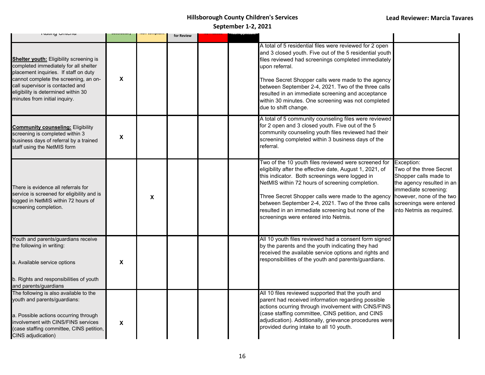| <b>INGUILY VILLEITA</b>                                                                                                                                                                                                                                                               |   |   | for Review |  |                                                                                                                                                                                                                                                                                                                                                                                                                                             |                                                                                                                                                                                          |
|---------------------------------------------------------------------------------------------------------------------------------------------------------------------------------------------------------------------------------------------------------------------------------------|---|---|------------|--|---------------------------------------------------------------------------------------------------------------------------------------------------------------------------------------------------------------------------------------------------------------------------------------------------------------------------------------------------------------------------------------------------------------------------------------------|------------------------------------------------------------------------------------------------------------------------------------------------------------------------------------------|
| <b>Shelter youth:</b> Eligibility screening is<br>completed immediately for all shelter<br>placement inquiries. If staff on duty<br>cannot complete the screening, an on-<br>call supervisor is contacted and<br>eligibility is determined within 30<br>minutes from initial inquiry. | X |   |            |  | A total of 5 residential files were reviewed for 2 open<br>and 3 closed youth. Five out of the 5 residential youth<br>files reviewed had screenings completed immediately<br>upon referral.<br>Three Secret Shopper calls were made to the agency<br>between September 2-4, 2021. Two of the three calls<br>resulted in an immediate screening and acceptance<br>within 30 minutes. One screening was not completed<br>due to shift change. |                                                                                                                                                                                          |
| <b>Community counseling: Eligibility</b><br>screening is completed within 3<br>business days of referral by a trained<br>staff using the NetMIS form                                                                                                                                  | X |   |            |  | A total of 5 community counseling files were reviewed<br>for 2 open and 3 closed youth. Five out of the 5<br>community counseling youth files reviewed had their<br>screening completed within 3 business days of the<br>referral.                                                                                                                                                                                                          |                                                                                                                                                                                          |
| There is evidence all referrals for<br>service is screened for eligibility and is<br>logged in NetMIS within 72 hours of<br>screening completion.                                                                                                                                     |   | X |            |  | Two of the 10 youth files reviewed were screened for Exception:<br>eligibility after the effective date, August 1, 2021, of<br>this indicator. Both screenings were logged in<br>NetMIS within 72 hours of screening completion.<br>Three Secret Shopper calls were made to the agency<br>between September 2-4, 2021. Two of the three calls<br>resulted in an immediate screening but none of the<br>screenings were entered into Netmis. | Two of the three Secret<br>Shopper calls made to<br>the agency resulted in an<br>immediate screening:<br>however, none of the two<br>screenings were entered<br>into Netmis as required. |
| Youth and parents/guardians receive<br>the following in writing:<br>a. Available service options<br>b. Rights and responsibilities of youth<br>and parents/guardians                                                                                                                  | X |   |            |  | All 10 youth files reviewed had a consent form signed<br>by the parents and the youth indicating they had<br>received the available service options and rights and<br>responsibilities of the youth and parents/guardians.                                                                                                                                                                                                                  |                                                                                                                                                                                          |
| The following is also available to the<br>youth and parents/guardians:<br>a. Possible actions occurring through<br>involvement with CINS/FINS services<br>(case staffing committee, CINS petition,<br>CINS adjudication)                                                              | X |   |            |  | All 10 files reviewed supported that the youth and<br>parent had received information regarding possible<br>actions ocurring through involvement with CINS/FINS<br>(case staffing committee, CINS petition, and CINS<br>adjudication). Additionally, grievance procedures were<br>provided during intake to all 10 youth.                                                                                                                   |                                                                                                                                                                                          |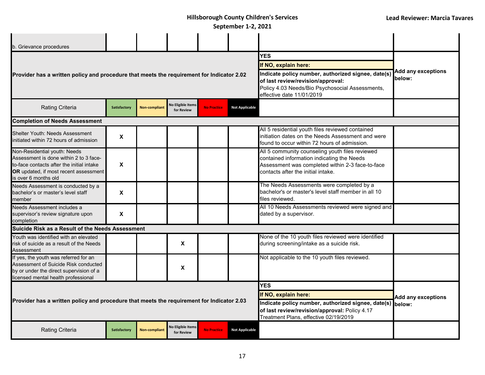| b. Grievance procedures                                                                                                                                                              |                           |                      |                                        |                                                                                                                                                                         |                                     |                                                                                                                                                                                         |                           |
|--------------------------------------------------------------------------------------------------------------------------------------------------------------------------------------|---------------------------|----------------------|----------------------------------------|-------------------------------------------------------------------------------------------------------------------------------------------------------------------------|-------------------------------------|-----------------------------------------------------------------------------------------------------------------------------------------------------------------------------------------|---------------------------|
|                                                                                                                                                                                      |                           |                      |                                        |                                                                                                                                                                         |                                     | <b>YES</b>                                                                                                                                                                              |                           |
|                                                                                                                                                                                      |                           |                      |                                        |                                                                                                                                                                         |                                     | If NO, explain here:                                                                                                                                                                    |                           |
| Provider has a written policy and procedure that meets the requirement for Indicator 2.02                                                                                            |                           |                      |                                        | Indicate policy number, authorized signee, date(s)<br>of last review/revision/approval:<br>Policy 4.03 Needs/Bio Psychosocial Assessments,<br>effective date 11/01/2019 | <b>Add any exceptions</b><br>below: |                                                                                                                                                                                         |                           |
| <b>Rating Criteria</b>                                                                                                                                                               | Satisfactory              | <b>Non-compliant</b> | <b>No Eligible Items</b><br>for Review | <b>No Practice</b>                                                                                                                                                      | <b>Not Applicable</b>               |                                                                                                                                                                                         |                           |
| <b>Completion of Needs Assessment</b>                                                                                                                                                |                           |                      |                                        |                                                                                                                                                                         |                                     |                                                                                                                                                                                         |                           |
| Shelter Youth: Needs Assessment<br>initiated within 72 hours of admission                                                                                                            | X                         |                      |                                        |                                                                                                                                                                         |                                     | All 5 residential youth files reviewed contained<br>initiation dates on the Needs Assessment and were<br>found to occur within 72 hours of admission.                                   |                           |
| Non-Residential youth: Needs<br>Assessment is done within 2 to 3 face-<br>to-face contacts after the initial intake<br>OR updated, if most recent assessment<br>is over 6 months old | X                         |                      |                                        |                                                                                                                                                                         |                                     | All 5 community counseling youth files reviewed<br>contained information indicating the Needs<br>Assessment was completed within 2-3 face-to-face<br>contacts after the initial intake. |                           |
| Needs Assessment is conducted by a<br>bachelor's or master's level staff<br>member                                                                                                   | $\boldsymbol{\mathsf{X}}$ |                      |                                        |                                                                                                                                                                         |                                     | The Needs Assessments were completed by a<br>bachelor's or master's level staff member in all 10<br>files reviewed.                                                                     |                           |
| Needs Assessment includes a<br>supervisor's review signature upon<br>completion                                                                                                      | X                         |                      |                                        |                                                                                                                                                                         |                                     | All 10 Needs Assessments reviewed were signed and<br>dated by a supervisor.                                                                                                             |                           |
| Suicide Risk as a Result of the Needs Assessment                                                                                                                                     |                           |                      |                                        |                                                                                                                                                                         |                                     |                                                                                                                                                                                         |                           |
| Youth was identified with an elevated<br>risk of suicide as a result of the Needs<br>Assessment                                                                                      |                           |                      | X                                      |                                                                                                                                                                         |                                     | None of the 10 youth files reviewed were identified<br>during screening/intake as a suicide risk.                                                                                       |                           |
| If yes, the youth was referred for an<br>Assessment of Suicide Risk conducted<br>by or under the direct supervision of a<br>licensed mental health professional                      |                           |                      | X                                      |                                                                                                                                                                         |                                     | Not applicable to the 10 youth files reviewed.                                                                                                                                          |                           |
|                                                                                                                                                                                      |                           |                      |                                        |                                                                                                                                                                         |                                     | <b>YES</b>                                                                                                                                                                              |                           |
|                                                                                                                                                                                      |                           |                      |                                        |                                                                                                                                                                         |                                     | If NO, explain here:                                                                                                                                                                    | <b>Add any exceptions</b> |
| Provider has a written policy and procedure that meets the requirement for Indicator 2.03                                                                                            |                           |                      |                                        | Indicate policy number, authorized signee, date(s) below:<br>of last review/revision/approval: Policy 4.17<br>Treatment Plans, effective 02/19/2019                     |                                     |                                                                                                                                                                                         |                           |
| Rating Criteria                                                                                                                                                                      | <b>Satisfactory</b>       | <b>Non-compliant</b> | <b>No Eligible Items</b><br>for Review | <b>No Practice</b>                                                                                                                                                      | <b>Not Applicable</b>               |                                                                                                                                                                                         |                           |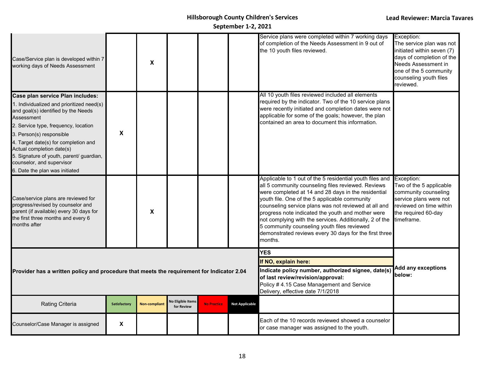| Case/Service plan is developed within 7<br>working days of Needs Assessment                                                                                                                                                                                                                                                                                                            |              | X                    |                                        |                    |                       | Service plans were completed within 7 working days<br>of completion of the Needs Assessment in 9 out of<br>the 10 youth files reviewed.                                                                                                                                                                                                                                                                                                                                                                            | Exception:<br>The service plan was not<br>initiated within seven (7)<br>days of completion of the<br>Needs Assessment in<br>one of the 5 community<br>counseling youth files<br>reviewed. |
|----------------------------------------------------------------------------------------------------------------------------------------------------------------------------------------------------------------------------------------------------------------------------------------------------------------------------------------------------------------------------------------|--------------|----------------------|----------------------------------------|--------------------|-----------------------|--------------------------------------------------------------------------------------------------------------------------------------------------------------------------------------------------------------------------------------------------------------------------------------------------------------------------------------------------------------------------------------------------------------------------------------------------------------------------------------------------------------------|-------------------------------------------------------------------------------------------------------------------------------------------------------------------------------------------|
| Case plan service Plan includes:<br>1. Individualized and prioritized need(s)<br>and goal(s) identified by the Needs<br>Assessment<br>2. Service type, frequency, location<br>3. Person(s) responsible<br>4. Target date(s) for completion and<br>Actual completion date(s)<br>5. Signature of youth, parent/ guardian,<br>counselor, and supervisor<br>6. Date the plan was initiated | X            |                      |                                        |                    |                       | All 10 youth files reviewed included all elements<br>required by the indicator. Two of the 10 service plans<br>were recently initiated and completion dates were not<br>applicable for some of the goals; however, the plan<br>contained an area to document this information.                                                                                                                                                                                                                                     |                                                                                                                                                                                           |
| Case/service plans are reviewed for<br>progress/revised by counselor and<br>parent (if available) every 30 days for<br>the first three months and every 6<br>months after                                                                                                                                                                                                              |              | X                    |                                        |                    |                       | Applicable to 1 out of the 5 residential youth files and<br>all 5 community counseling files reviewed. Reviews<br>were completed at 14 and 28 days in the residential<br>youth file. One of the 5 applicable community<br>counseling service plans was not reviewed at all and<br>progress note indicated the youth and mother were<br>not complying with the services. Additionally, 2 of the<br>5 community counseling youth files reviewed<br>demonstrated reviews every 30 days for the first three<br>months. | Exception:<br>Two of the 5 applicable<br>community counseling<br>service plans were not<br>reviewed on time within<br>the required 60-day<br>timeframe.                                   |
|                                                                                                                                                                                                                                                                                                                                                                                        |              |                      |                                        |                    |                       | <b>YES</b>                                                                                                                                                                                                                                                                                                                                                                                                                                                                                                         |                                                                                                                                                                                           |
|                                                                                                                                                                                                                                                                                                                                                                                        |              |                      |                                        |                    |                       | If NO, explain here:                                                                                                                                                                                                                                                                                                                                                                                                                                                                                               | <b>Add any exceptions</b>                                                                                                                                                                 |
| Provider has a written policy and procedure that meets the requirement for Indicator 2.04                                                                                                                                                                                                                                                                                              |              |                      |                                        |                    |                       | Indicate policy number, authorized signee, date(s)<br>of last review/revision/approval:<br>Policy # 4.15 Case Management and Service<br>Delivery, effective date 7/1/2018                                                                                                                                                                                                                                                                                                                                          | below:                                                                                                                                                                                    |
| <b>Rating Criteria</b>                                                                                                                                                                                                                                                                                                                                                                 | Satisfactory | <b>Non-compliant</b> | <b>No Eligible Items</b><br>for Review | <b>No Practice</b> | <b>Not Applicable</b> |                                                                                                                                                                                                                                                                                                                                                                                                                                                                                                                    |                                                                                                                                                                                           |
| Counselor/Case Manager is assigned                                                                                                                                                                                                                                                                                                                                                     | X            |                      |                                        |                    |                       | Each of the 10 records reviewed showed a counselor<br>or case manager was assigned to the youth.                                                                                                                                                                                                                                                                                                                                                                                                                   |                                                                                                                                                                                           |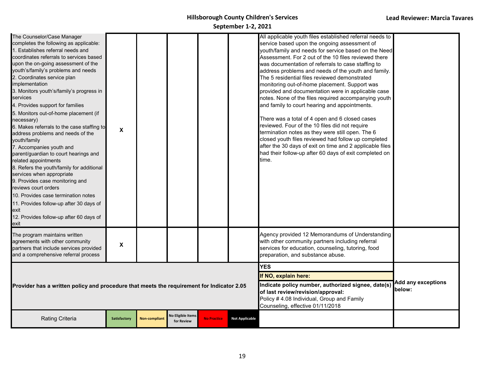| The Counselor/Case Manager<br>completes the following as applicable:<br>1. Establishes referral needs and<br>coordinates referrals to services based<br>upon the on-going assessment of the<br>youth's/family's problems and needs<br>2. Coordinates service plan<br>implementation<br>3. Monitors youth's/family's progress in<br>services<br>4. Provides support for families<br>5. Monitors out-of-home placement (if<br>necessary)<br>6. Makes referrals to the case staffing to<br>address problems and needs of the<br>youth/family<br>7. Accompanies youth and<br>parent/guardian to court hearings and<br>related appointments<br>8. Refers the youth/family for additional<br>services when appropriate<br>9. Provides case monitoring and<br>reviews court orders<br>10. Provides case termination notes<br>11. Provides follow-up after 30 days of<br>exit<br>12. Provides follow-up after 60 days of<br>exit | X                   |                      |                                        |                    |                       | All applicable youth files established referral needs to<br>service based upon the ongoing assessment of<br>youth/family and needs for service based on the Need<br>Assessment. For 2 out of the 10 files reviewed there<br>was documentation of referrals to case staffing to<br>address problems and needs of the youth and family.<br>The 5 residential files reviewed demonstrated<br>monitoring out-of-home placement. Support was<br>provided and documentation were in applicable case<br>notes. None of the files required accompanying youth<br>and family to court hearing and appointments.<br>There was a total of 4 open and 6 closed cases<br>reviewed. Four of the 10 files did not require<br>termination notes as they were still open. The 6<br>closed youth files reviewed had follow up completed<br>after the 30 days of exit on time and 2 applicable files<br>had their follow-up after 60 days of exit completed on<br>time. |                                     |
|--------------------------------------------------------------------------------------------------------------------------------------------------------------------------------------------------------------------------------------------------------------------------------------------------------------------------------------------------------------------------------------------------------------------------------------------------------------------------------------------------------------------------------------------------------------------------------------------------------------------------------------------------------------------------------------------------------------------------------------------------------------------------------------------------------------------------------------------------------------------------------------------------------------------------|---------------------|----------------------|----------------------------------------|--------------------|-----------------------|------------------------------------------------------------------------------------------------------------------------------------------------------------------------------------------------------------------------------------------------------------------------------------------------------------------------------------------------------------------------------------------------------------------------------------------------------------------------------------------------------------------------------------------------------------------------------------------------------------------------------------------------------------------------------------------------------------------------------------------------------------------------------------------------------------------------------------------------------------------------------------------------------------------------------------------------------|-------------------------------------|
| The program maintains written<br>agreements with other community<br>partners that include services provided<br>and a comprehensive referral process                                                                                                                                                                                                                                                                                                                                                                                                                                                                                                                                                                                                                                                                                                                                                                      | X                   |                      |                                        |                    |                       | Agency provided 12 Memorandums of Understanding<br>with other community partners including referral<br>services for education, counseling, tutoring, food<br>preparation, and substance abuse.                                                                                                                                                                                                                                                                                                                                                                                                                                                                                                                                                                                                                                                                                                                                                       |                                     |
|                                                                                                                                                                                                                                                                                                                                                                                                                                                                                                                                                                                                                                                                                                                                                                                                                                                                                                                          |                     |                      |                                        |                    |                       | <b>YES</b>                                                                                                                                                                                                                                                                                                                                                                                                                                                                                                                                                                                                                                                                                                                                                                                                                                                                                                                                           |                                     |
|                                                                                                                                                                                                                                                                                                                                                                                                                                                                                                                                                                                                                                                                                                                                                                                                                                                                                                                          |                     |                      |                                        |                    |                       | If NO, explain here:                                                                                                                                                                                                                                                                                                                                                                                                                                                                                                                                                                                                                                                                                                                                                                                                                                                                                                                                 |                                     |
| Provider has a written policy and procedure that meets the requirement for Indicator 2.05                                                                                                                                                                                                                                                                                                                                                                                                                                                                                                                                                                                                                                                                                                                                                                                                                                |                     |                      |                                        |                    |                       | Indicate policy number, authorized signee, date(s)<br>of last review/revision/approval:<br>Policy # 4.08 Individual, Group and Family<br>Counseling, effective 01/11/2018                                                                                                                                                                                                                                                                                                                                                                                                                                                                                                                                                                                                                                                                                                                                                                            | <b>Add any exceptions</b><br>below: |
| <b>Rating Criteria</b>                                                                                                                                                                                                                                                                                                                                                                                                                                                                                                                                                                                                                                                                                                                                                                                                                                                                                                   | <b>Satisfactory</b> | <b>Non-compliant</b> | <b>No Eligible Items</b><br>for Review | <b>No Practice</b> | <b>Not Applicable</b> |                                                                                                                                                                                                                                                                                                                                                                                                                                                                                                                                                                                                                                                                                                                                                                                                                                                                                                                                                      |                                     |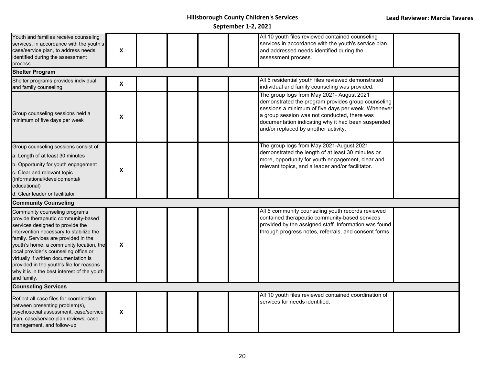| Youth and families receive counseling<br>services, in accordance with the youth's<br>case/service plan, to address needs<br>identified during the assessment<br>process                                                                                                                                                                                                                                                            | $\boldsymbol{\mathsf{X}}$ |  | All 10 youth files reviewed contained counseling<br>services in accordance with the youth's service plan<br>and addressed needs identified during the<br>assessment process.                                                                                                                        |  |
|------------------------------------------------------------------------------------------------------------------------------------------------------------------------------------------------------------------------------------------------------------------------------------------------------------------------------------------------------------------------------------------------------------------------------------|---------------------------|--|-----------------------------------------------------------------------------------------------------------------------------------------------------------------------------------------------------------------------------------------------------------------------------------------------------|--|
| <b>Shelter Program</b>                                                                                                                                                                                                                                                                                                                                                                                                             |                           |  |                                                                                                                                                                                                                                                                                                     |  |
| Shelter programs provides individual<br>and family counseling                                                                                                                                                                                                                                                                                                                                                                      | $\boldsymbol{\mathsf{x}}$ |  | All 5 residential youth files reviewed demonstrated<br>individual and family counseling was provided.                                                                                                                                                                                               |  |
| Group counseling sessions held a<br>minimum of five days per week                                                                                                                                                                                                                                                                                                                                                                  | $\pmb{\chi}$              |  | The group logs from May 2021- August 2021<br>demonstrated the program provides group counseling<br>sessions a minimum of five days per week. Whenever<br>a group session was not conducted, there was<br>documentation indicating why it had been suspended<br>and/or replaced by another activity. |  |
| Group counseling sessions consist of:                                                                                                                                                                                                                                                                                                                                                                                              |                           |  | The group logs from May 2021-August 2021                                                                                                                                                                                                                                                            |  |
| a. Length of at least 30 minutes                                                                                                                                                                                                                                                                                                                                                                                                   |                           |  | demonstrated the length of at least 30 minutes or<br>more, opportunity for youth engagement, clear and                                                                                                                                                                                              |  |
| b. Opportunity for youth engagement<br>c. Clear and relevant topic<br>(informational/developmental/<br>educational)<br>d. Clear leader or facilitator                                                                                                                                                                                                                                                                              | $\boldsymbol{\mathsf{X}}$ |  | relevant topics, and a leader and/or facilitator.                                                                                                                                                                                                                                                   |  |
| <b>Community Counseling</b>                                                                                                                                                                                                                                                                                                                                                                                                        |                           |  |                                                                                                                                                                                                                                                                                                     |  |
| Community counseling programs<br>provide therapeutic community-based<br>services designed to provide the<br>intervention necessary to stabilize the<br>family. Services are provided in the<br>youth's home, a community location, the<br>local provider's counseling office or<br>virtually if written documentation is<br>provided in the youth's file for reasons<br>why it is in the best interest of the youth<br>and family. | $\boldsymbol{\mathsf{X}}$ |  | All 5 community counseling youth records reviewed<br>contained therapeutic community-based services<br>provided by the assigned staff. Information was found<br>through progress notes, referrals, and consent forms.                                                                               |  |
| <b>Counseling Services</b>                                                                                                                                                                                                                                                                                                                                                                                                         |                           |  |                                                                                                                                                                                                                                                                                                     |  |
| Reflect all case files for coordination<br>between presenting problem(s),<br>psychosocial assessment, case/service<br>plan, case/service plan reviews, case<br>management, and follow-up                                                                                                                                                                                                                                           | X                         |  | All 10 youth files reviewed contained coordination of<br>services for needs identified.                                                                                                                                                                                                             |  |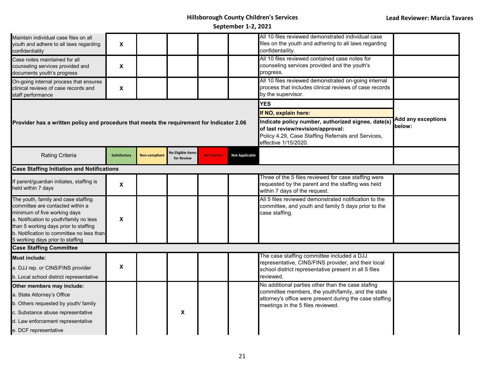| Maintain individual case files on all<br>youth and adhere to all laws regarding<br>confidentiality                                                                                                                                                                           | X                   |                      |                                        |                    |                       | All 10 files reviewed demonstrated individual case<br>files on the youth and adhering to all laws regarding<br>confidentaility.                                         |                                     |
|------------------------------------------------------------------------------------------------------------------------------------------------------------------------------------------------------------------------------------------------------------------------------|---------------------|----------------------|----------------------------------------|--------------------|-----------------------|-------------------------------------------------------------------------------------------------------------------------------------------------------------------------|-------------------------------------|
| Case notes maintained for all<br>counseling services provided and<br>documents youth's progress                                                                                                                                                                              | X                   |                      |                                        |                    |                       | All 10 files reviewed contained case notes for<br>counseling services provided and the youth's<br>progress.                                                             |                                     |
| On-going internal process that ensures<br>clinical reviews of case records and<br>staff performance                                                                                                                                                                          | $\pmb{\mathsf{X}}$  |                      |                                        |                    |                       | All 10 files reviewed demonstrated on-going internal<br>process that includes clinical reviews of case records<br>by the supervisor.                                    |                                     |
|                                                                                                                                                                                                                                                                              |                     |                      |                                        |                    |                       | <b>YES</b>                                                                                                                                                              |                                     |
|                                                                                                                                                                                                                                                                              |                     |                      |                                        |                    |                       | If NO, explain here:                                                                                                                                                    |                                     |
| Provider has a written policy and procedure that meets the requirement for Indicator 2.06                                                                                                                                                                                    |                     |                      |                                        |                    |                       | Indicate policy number, authorized signee, date(s)<br>of last review/revision/approval:<br>Policy 4.29, Case Staffing Referrals and Services,<br>effective 1/15/2020.   | <b>Add any exceptions</b><br>below: |
| <b>Rating Criteria</b>                                                                                                                                                                                                                                                       | <b>Satisfactory</b> | <b>Non-compliant</b> | <b>Vo Eligible Items</b><br>for Review | <b>No Practice</b> | <b>Not Applicable</b> |                                                                                                                                                                         |                                     |
| <b>Case Staffing Initiation and Notifications</b>                                                                                                                                                                                                                            |                     |                      |                                        |                    |                       |                                                                                                                                                                         |                                     |
| If parent/guardian initiates, staffing is<br>held within 7 days                                                                                                                                                                                                              | X                   |                      |                                        |                    |                       | Three of the 5 files reviewed for case staffing were<br>requested by the parent and the staffing was held<br>within 7 days of the request.                              |                                     |
| The youth, family and case staffing<br>committee are contacted within a<br>minimum of five working days<br>a. Notification to youth/family no less<br>than 5 working days prior to staffing<br>b. Notification to committee no less than<br>5 working days prior to staffing | X                   |                      |                                        |                    |                       | All 5 files reviewed demonstrated notification to the<br>committee, and youth and family 5 days prior to the<br>case staffing.                                          |                                     |
| <b>Case Staffing Committee</b>                                                                                                                                                                                                                                               |                     |                      |                                        |                    |                       |                                                                                                                                                                         |                                     |
| <b>Must include:</b><br>a. DJJ rep. or CINS/FINS provider<br>b. Local school district representative                                                                                                                                                                         | $\pmb{\mathsf{x}}$  |                      |                                        |                    |                       | The case staffing committee included a DJJ<br>representative, CINS/FINS provider, and their local<br>school district representative present in all 5 files<br>reviewed. |                                     |
| Other members may include:                                                                                                                                                                                                                                                   |                     |                      |                                        |                    |                       | No additional parties other than the case stafing                                                                                                                       |                                     |
| a. State Attorney's Office                                                                                                                                                                                                                                                   |                     |                      |                                        |                    |                       | committee members, the youth/family, and the state<br>attorney's office were present during the case staffing                                                           |                                     |
| b. Others requested by youth/ family                                                                                                                                                                                                                                         |                     |                      |                                        |                    |                       | meetings in the 5 files reviewed.                                                                                                                                       |                                     |
| c. Substance abuse representative                                                                                                                                                                                                                                            |                     |                      | X                                      |                    |                       |                                                                                                                                                                         |                                     |
| d. Law enforcement representative<br>e. DCF representative                                                                                                                                                                                                                   |                     |                      |                                        |                    |                       |                                                                                                                                                                         |                                     |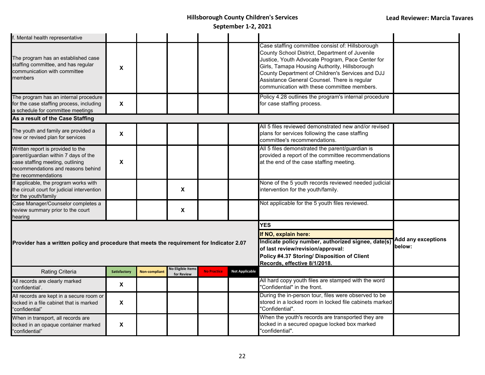| f. Mental health representative                                                                                                                                            |                           |               |                                        |                    |                                                                                                                                                                                                              |                                                                                                                                                                                                                                                                                                                                                            |  |
|----------------------------------------------------------------------------------------------------------------------------------------------------------------------------|---------------------------|---------------|----------------------------------------|--------------------|--------------------------------------------------------------------------------------------------------------------------------------------------------------------------------------------------------------|------------------------------------------------------------------------------------------------------------------------------------------------------------------------------------------------------------------------------------------------------------------------------------------------------------------------------------------------------------|--|
| The program has an established case<br>staffing committee, and has regular<br>communication with committee<br>members                                                      | X                         |               |                                        |                    |                                                                                                                                                                                                              | Case staffing committee consist of: Hillsborough<br>County School District, Department of Juvenile<br>Justice, Youth Advocate Program, Pace Center for<br>Girls, Tamapa Housing Authority, Hillsborough<br>County Department of Children's Services and DJJ<br>Assistance General Counsel. There is regular<br>communication with these committee members. |  |
| The program has an internal procedure<br>for the case staffing process, including<br>a schedule for committee meetings                                                     | $\boldsymbol{\mathsf{X}}$ |               |                                        |                    |                                                                                                                                                                                                              | Policy 4.28 outlines the program's internal procedure<br>for case staffing process.                                                                                                                                                                                                                                                                        |  |
| As a result of the Case Staffing                                                                                                                                           |                           |               |                                        |                    |                                                                                                                                                                                                              |                                                                                                                                                                                                                                                                                                                                                            |  |
| The youth and family are provided a<br>new or revised plan for services                                                                                                    | $\boldsymbol{\mathsf{X}}$ |               |                                        |                    |                                                                                                                                                                                                              | All 5 files reviewed demonstrated new and/or revised<br>plans for services following the case staffing<br>committee's recommendations.                                                                                                                                                                                                                     |  |
| Written report is provided to the<br>parent/guardian within 7 days of the<br>case staffing meeting, outlining<br>recommendations and reasons behind<br>the recommendations | X                         |               |                                        |                    |                                                                                                                                                                                                              | All 5 files demonstrated the parent/guardian is<br>provided a report of the committee recommendations<br>at the end of the case staffing meeting.                                                                                                                                                                                                          |  |
| If applicable, the program works with<br>the circuit court for judicial intervention<br>for the youth/family                                                               |                           |               | X                                      |                    |                                                                                                                                                                                                              | None of the 5 youth records reviewed needed judicial<br>intervention for the youth/family.                                                                                                                                                                                                                                                                 |  |
| Case Manager/Counselor completes a<br>review summary prior to the court<br>hearing                                                                                         |                           |               | X                                      |                    |                                                                                                                                                                                                              | Not applicable for the 5 youth files reviewed.                                                                                                                                                                                                                                                                                                             |  |
| Provider has a written policy and procedure that meets the requirement for Indicator 2.07                                                                                  |                           |               |                                        |                    | <b>YES</b><br>If NO, explain here:<br>Indicate policy number, authorized signee, date(s)<br>of last review/revision/approval:<br>Policy #4.37 Storing/ Disposition of Client<br>Records, effective 8/1/2018. | <b>Add any exceptions</b><br>below:                                                                                                                                                                                                                                                                                                                        |  |
| Rating Criteria                                                                                                                                                            | Satisfactory              | Non-compliant | <b>No Eligible Items</b><br>for Review | <b>No Practice</b> | <b>Not Applicable</b>                                                                                                                                                                                        |                                                                                                                                                                                                                                                                                                                                                            |  |
| All records are clearly marked<br>'confidential'.                                                                                                                          | $\boldsymbol{\mathsf{X}}$ |               |                                        |                    |                                                                                                                                                                                                              | All hard copy youth files are stamped with the word<br>'Confidential" in the front.                                                                                                                                                                                                                                                                        |  |
| All records are kept in a secure room or<br>locked in a file cabinet that is marked<br>"confidential"                                                                      | $\boldsymbol{\mathsf{x}}$ |               |                                        |                    |                                                                                                                                                                                                              | During the in-person tour, files were observed to be<br>stored in a locked room in locked file cabinets marked<br>'Confidential".                                                                                                                                                                                                                          |  |
| When in transport, all records are<br>locked in an opaque container marked<br>"confidential"                                                                               | $\boldsymbol{\mathsf{x}}$ |               |                                        |                    |                                                                                                                                                                                                              | When the youth's records are transported they are<br>ocked in a secured opague locked box marked<br>'confidential".                                                                                                                                                                                                                                        |  |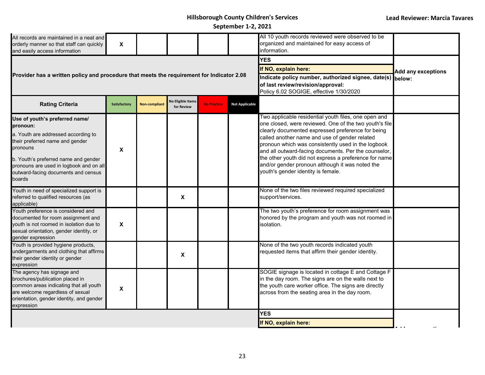**September 1-2, 2021**

| All records are maintained in a neat and<br>orderly manner so that staff can quickly<br>and easily access information                                                                                                                                                | $\pmb{\chi}$        |                      |                                        |                                                                                                                                                                                 |                           | All 10 youth records reviewed were observed to be<br>organized and maintained for easy access of<br>information.                                                                                                                                                                                                                                                                                                                                                                     |  |
|----------------------------------------------------------------------------------------------------------------------------------------------------------------------------------------------------------------------------------------------------------------------|---------------------|----------------------|----------------------------------------|---------------------------------------------------------------------------------------------------------------------------------------------------------------------------------|---------------------------|--------------------------------------------------------------------------------------------------------------------------------------------------------------------------------------------------------------------------------------------------------------------------------------------------------------------------------------------------------------------------------------------------------------------------------------------------------------------------------------|--|
| Provider has a written policy and procedure that meets the requirement for Indicator 2.08                                                                                                                                                                            |                     |                      |                                        | <b>YES</b><br>If NO, explain here:<br>Indicate policy number, authorized signee, date(s) below:<br>of last review/revision/approval:<br>Policy 6.02 SOGIGE, effective 1/30/2020 | <b>Add any exceptions</b> |                                                                                                                                                                                                                                                                                                                                                                                                                                                                                      |  |
| <b>Rating Criteria</b>                                                                                                                                                                                                                                               | <b>Satisfactory</b> | <b>Non-compliant</b> | <b>No Eligible Items</b><br>for Review | <b>No Practice</b>                                                                                                                                                              | <b>Not Applicable</b>     |                                                                                                                                                                                                                                                                                                                                                                                                                                                                                      |  |
| Use of youth's preferred name/<br>pronoun:<br>a. Youth are addressed according to<br>their preferred name and gender<br>pronouns<br>b. Youth's preferred name and gender<br>pronouns are used in logbook and on all<br>outward-facing documents and census<br>boards | X                   |                      |                                        |                                                                                                                                                                                 |                           | Two applicable residential youth files, one open and<br>one closed, were reviewed. One of the two youth's file<br>clearly documented expressed preference for being<br>called another name and use of gender related<br>pronoun which was consistently used in the logbook<br>and all outward-facing documents. Per the counselor,<br>the other youth did not express a preference for name<br>and/or gender pronoun although it was noted the<br>youth's gender identity is female. |  |
| Youth in need of specialized support is<br>referred to qualified resources (as<br>applicable)                                                                                                                                                                        |                     |                      | X                                      |                                                                                                                                                                                 |                           | None of the two files reviewed required specialized<br>support/services.                                                                                                                                                                                                                                                                                                                                                                                                             |  |
| Youth preference is considered and<br>documented for room assignment and<br>youth is not roomed in isolation due to<br>sexual orientation, gender identity, or<br>gender expression                                                                                  | X                   |                      |                                        |                                                                                                                                                                                 |                           | The two youth's preference for room assignment was<br>honored by the program and youth was not roomed in<br>solation.                                                                                                                                                                                                                                                                                                                                                                |  |
| Youth is provided hygiene products,<br>undergarments and clothing that affirms<br>their gender identity or gender<br>expression                                                                                                                                      |                     |                      | X                                      |                                                                                                                                                                                 |                           | None of the two youth records indicated youth<br>requested items that affirm their gender identity.                                                                                                                                                                                                                                                                                                                                                                                  |  |
| The agency has signage and<br>brochures/publication placed in<br>common areas indicating that all youth<br>are welcome regardless of sexual<br>orientation, gender identity, and gender<br>expression                                                                | X                   |                      |                                        |                                                                                                                                                                                 |                           | SOGIE signage is located in cottage E and Cottage F<br>in the day room. The signs are on the walls next to<br>the youth care worker office. The signs are directly<br>across from the seating area in the day room.                                                                                                                                                                                                                                                                  |  |
|                                                                                                                                                                                                                                                                      |                     |                      |                                        |                                                                                                                                                                                 |                           | <b>YES</b>                                                                                                                                                                                                                                                                                                                                                                                                                                                                           |  |
|                                                                                                                                                                                                                                                                      |                     |                      |                                        |                                                                                                                                                                                 |                           | If NO, explain here:                                                                                                                                                                                                                                                                                                                                                                                                                                                                 |  |

**Additional Contract of the Contract of the Contract of the Contract of the Contract of the Contract of the Contract of the Contract of the Contract of the Contract of the Contract of the Contract of the Contract of the Co**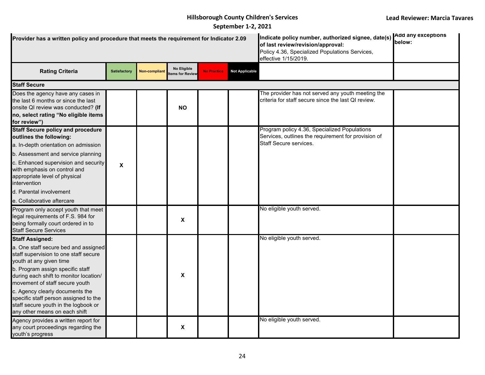| Provider has a written policy and procedure that meets the requirement for Indicator 2.09                                                                                                                                                                                                                                                                                                               |                     |                      | Indicate policy number, authorized signee, date(s) Add any exceptions<br>of last review/revision/approval:<br>Policy 4.36, Specialized Populations Services,<br>effective 1/15/2019. | below:             |                       |                                                                                                                               |  |
|---------------------------------------------------------------------------------------------------------------------------------------------------------------------------------------------------------------------------------------------------------------------------------------------------------------------------------------------------------------------------------------------------------|---------------------|----------------------|--------------------------------------------------------------------------------------------------------------------------------------------------------------------------------------|--------------------|-----------------------|-------------------------------------------------------------------------------------------------------------------------------|--|
| <b>Rating Criteria</b>                                                                                                                                                                                                                                                                                                                                                                                  | <b>Satisfactory</b> | <b>Non-compliant</b> | No Eligible<br>tems for Review                                                                                                                                                       | <b>No Practice</b> | <b>Not Applicable</b> |                                                                                                                               |  |
| <b>Staff Secure</b>                                                                                                                                                                                                                                                                                                                                                                                     |                     |                      |                                                                                                                                                                                      |                    |                       |                                                                                                                               |  |
| Does the agency have any cases in<br>the last 6 months or since the last<br>onsite QI review was conducted? (If<br>no, select rating "No eligible items<br>for review")                                                                                                                                                                                                                                 |                     |                      | <b>NO</b>                                                                                                                                                                            |                    |                       | The provider has not served any youth meeting the<br>criteria for staff secure since the last QI review.                      |  |
| <b>Staff Secure policy and procedure</b><br>outlines the following:<br>a. In-depth orientation on admission<br>b. Assessment and service planning<br>c. Enhanced supervision and security<br>with emphasis on control and<br>appropriate level of physical<br>intervention<br>d. Parental involvement<br>e. Collaborative aftercare                                                                     | X                   |                      |                                                                                                                                                                                      |                    |                       | Program policy 4.36, Specialized Populations<br>Services, outlines the requirement for provision of<br>Staff Secure services. |  |
| Program only accept youth that meet<br>legal requirements of F.S. 984 for<br>being formally court ordered in to<br><b>Staff Secure Services</b>                                                                                                                                                                                                                                                         |                     |                      | X                                                                                                                                                                                    |                    |                       | No eligible youth served.                                                                                                     |  |
| <b>Staff Assigned:</b><br>a. One staff secure bed and assigned<br>staff supervision to one staff secure<br>youth at any given time<br>b. Program assign specific staff<br>during each shift to monitor location/<br>movement of staff secure youth<br>c. Agency clearly documents the<br>specific staff person assigned to the<br>staff secure youth in the logbook or<br>any other means on each shift |                     |                      | $\mathbf x$                                                                                                                                                                          |                    |                       | No eligible youth served.                                                                                                     |  |
| Agency provides a written report for<br>any court proceedings regarding the<br>youth's progress                                                                                                                                                                                                                                                                                                         |                     |                      | X                                                                                                                                                                                    |                    |                       | No eligible youth served.                                                                                                     |  |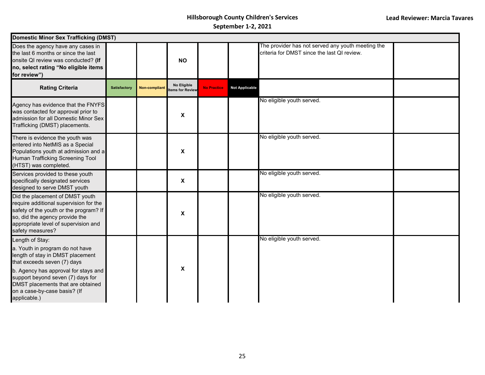| <b>Domestic Minor Sex Trafficking (DMST)</b>                                                                                                                                                                                                                                            |                     |               |                                |                    |                       |                                                                                                  |  |  |  |  |
|-----------------------------------------------------------------------------------------------------------------------------------------------------------------------------------------------------------------------------------------------------------------------------------------|---------------------|---------------|--------------------------------|--------------------|-----------------------|--------------------------------------------------------------------------------------------------|--|--|--|--|
| Does the agency have any cases in<br>the last 6 months or since the last<br>onsite QI review was conducted? (If<br>no, select rating "No eligible items<br>for review")                                                                                                                 |                     |               | <b>NO</b>                      |                    |                       | The provider has not served any youth meeting the<br>criteria for DMST since the last QI review. |  |  |  |  |
| <b>Rating Criteria</b>                                                                                                                                                                                                                                                                  | <b>Satisfactory</b> | Non-compliant | No Eligible<br>tems for Review | <b>No Practice</b> | <b>Not Applicable</b> |                                                                                                  |  |  |  |  |
| Agency has evidence that the FNYFS<br>was contacted for approval prior to<br>admission for all Domestic Minor Sex<br>Trafficking (DMST) placements.                                                                                                                                     |                     |               | $\boldsymbol{\mathsf{x}}$      |                    |                       | No eligible youth served.                                                                        |  |  |  |  |
| There is evidence the youth was<br>entered into NetMIS as a Special<br>Populations youth at admission and a<br>Human Trafficking Screening Tool<br>(HTST) was completed.                                                                                                                |                     |               | $\boldsymbol{\mathsf{X}}$      |                    |                       | No eligible youth served.                                                                        |  |  |  |  |
| Services provided to these youth<br>specifically designated services<br>designed to serve DMST youth                                                                                                                                                                                    |                     |               | $\boldsymbol{\mathsf{X}}$      |                    |                       | No eligible youth served.                                                                        |  |  |  |  |
| Did the placement of DMST youth<br>require additional supervision for the<br>safety of the youth or the program? If<br>so, did the agency provide the<br>appropriate level of supervision and<br>safety measures?                                                                       |                     |               | X                              |                    |                       | No eligible youth served.                                                                        |  |  |  |  |
| Length of Stay:<br>a. Youth in program do not have<br>length of stay in DMST placement<br>that exceeds seven (7) days<br>b. Agency has approval for stays and<br>support beyond seven (7) days for<br>DMST placements that are obtained<br>on a case-by-case basis? (If<br>applicable.) |                     |               | $\mathbf x$                    |                    |                       | No eligible youth served.                                                                        |  |  |  |  |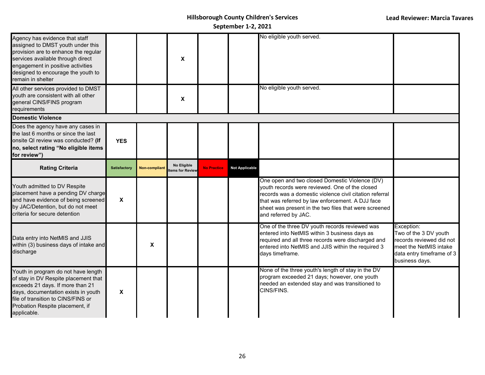| Agency has evidence that staff<br>assigned to DMST youth under this<br>provision are to enhance the regular<br>services available through direct<br>engagement in positive activities<br>designed to encourage the youth to<br>remain in shelter |                     |                      | X                              |                    |                       | No eligible youth served.                                                                                                                                                                                                                                                                        |                                                                                                                                          |
|--------------------------------------------------------------------------------------------------------------------------------------------------------------------------------------------------------------------------------------------------|---------------------|----------------------|--------------------------------|--------------------|-----------------------|--------------------------------------------------------------------------------------------------------------------------------------------------------------------------------------------------------------------------------------------------------------------------------------------------|------------------------------------------------------------------------------------------------------------------------------------------|
| All other services provided to DMST<br>youth are consistent with all other<br>general CINS/FINS program<br>requirements                                                                                                                          |                     |                      | X                              |                    |                       | No eligible youth served.                                                                                                                                                                                                                                                                        |                                                                                                                                          |
| <b>Domestic Violence</b>                                                                                                                                                                                                                         |                     |                      |                                |                    |                       |                                                                                                                                                                                                                                                                                                  |                                                                                                                                          |
| Does the agency have any cases in<br>the last 6 months or since the last<br>onsite QI review was conducted? (If<br>no, select rating "No eligible items<br>for review")                                                                          | <b>YES</b>          |                      |                                |                    |                       |                                                                                                                                                                                                                                                                                                  |                                                                                                                                          |
| <b>Rating Criteria</b>                                                                                                                                                                                                                           | <b>Satisfactory</b> | <b>Non-compliant</b> | No Eligible<br>tems for Review | <b>No Practice</b> | <b>Not Applicable</b> |                                                                                                                                                                                                                                                                                                  |                                                                                                                                          |
| Youth admitted to DV Respite<br>placement have a pending DV charge<br>and have evidence of being screened<br>by JAC/Detention, but do not meet<br>criteria for secure detention                                                                  | X                   |                      |                                |                    |                       | One open and two closed Domestic Violence (DV)<br>youth records were reviewed. One of the closed<br>records was a domestic violence civil citation referral<br>that was referred by law enforcement. A DJJ face<br>sheet was present in the two files that were screened<br>and referred by JAC. |                                                                                                                                          |
| Data entry into NetMIS and JJIS<br>within (3) business days of intake and<br>discharge                                                                                                                                                           |                     | X                    |                                |                    |                       | One of the three DV youth records reviewed was<br>entered into NetMIS within 3 business days as<br>required and all three records were discharged and<br>entered into NetMIS and JJIS within the required 3<br>days timeframe.                                                                   | Exception:<br>Two of the 3 DV youth<br>records reviewed did not<br>meet the NetMIS intake<br>data entry timeframe of 3<br>business days. |
| Youth in program do not have length<br>of stay in DV Respite placement that<br>exceeds 21 days. If more than 21<br>days, documentation exists in youth<br>file of transition to CINS/FINS or<br>Probation Respite placement, if<br>applicable.   | X                   |                      |                                |                    |                       | None of the three youth's length of stay in the DV<br>program exceeded 21 days; however, one youth<br>needed an extended stay and was transitioned to<br>CINS/FINS.                                                                                                                              |                                                                                                                                          |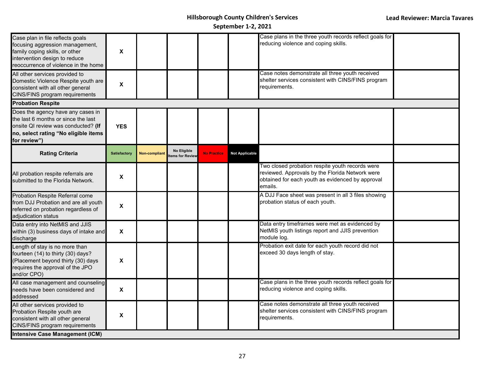| Case plan in file reflects goals<br>focusing aggression management,<br>family coping skills, or other<br>intervention design to reduce<br>reoccurrence of violence in the home | X                         |                      |                                |                    |                       | Case plans in the three youth records reflect goals for<br>reducing violence and coping skills.                                                                   |  |
|--------------------------------------------------------------------------------------------------------------------------------------------------------------------------------|---------------------------|----------------------|--------------------------------|--------------------|-----------------------|-------------------------------------------------------------------------------------------------------------------------------------------------------------------|--|
| All other services provided to<br>Domestic Violence Respite youth are<br>consistent with all other general<br>CINS/FINS program requirements                                   | $\boldsymbol{\mathsf{X}}$ |                      |                                |                    |                       | Case notes demonstrate all three youth received<br>shelter services consistent with CINS/FINS program<br>requirements.                                            |  |
| <b>Probation Respite</b>                                                                                                                                                       |                           |                      |                                |                    |                       |                                                                                                                                                                   |  |
| Does the agency have any cases in<br>the last 6 months or since the last<br>onsite QI review was conducted? (If<br>no, select rating "No eligible items<br>for review")        | <b>YES</b>                |                      |                                |                    |                       |                                                                                                                                                                   |  |
| <b>Rating Criteria</b>                                                                                                                                                         | <b>Satisfactory</b>       | <b>Non-compliant</b> | No Eligible<br>tems for Review | <b>No Practice</b> | <b>Not Applicable</b> |                                                                                                                                                                   |  |
| All probation respite referrals are<br>submitted to the Florida Network.                                                                                                       | $\boldsymbol{\mathsf{X}}$ |                      |                                |                    |                       | Two closed probation respite youth records were<br>reviewed. Approvals by the Florida Network were<br>obtained for each youth as evidenced by approval<br>emails. |  |
| Probation Respite Referral come<br>from DJJ Probation and are all youth<br>referred on probation regardless of<br>adjudication status                                          | $\boldsymbol{\mathsf{X}}$ |                      |                                |                    |                       | A DJJ Face sheet was present in all 3 files showing<br>probation status of each youth.                                                                            |  |
| Data entry into NetMIS and JJIS<br>within (3) business days of intake and<br>discharge                                                                                         | $\boldsymbol{\mathsf{X}}$ |                      |                                |                    |                       | Data entry timeframes were met as evidenced by<br>NetMIS youth listings report and JJIS prevention<br>module log.                                                 |  |
| Length of stay is no more than<br>fourteen (14) to thirty (30) days?<br>(Placement beyond thirty (30) days<br>requires the approval of the JPO<br>and/or CPO)                  | X                         |                      |                                |                    |                       | Probation exit date for each youth record did not<br>exceed 30 days length of stay.                                                                               |  |
| All case management and counseling<br>needs have been considered and<br>addressed                                                                                              | $\boldsymbol{\mathsf{X}}$ |                      |                                |                    |                       | Case plans in the three youth records reflect goals for<br>reducing violence and coping skills.                                                                   |  |
| All other services provided to<br>Probation Respite youth are<br>consistent with all other general<br>CINS/FINS program requirements                                           | X                         |                      |                                |                    |                       | Case notes demonstrate all three youth received<br>shelter services consistent with CINS/FINS program<br>requirements.                                            |  |
| <b>Intensive Case Management (ICM)</b>                                                                                                                                         |                           |                      |                                |                    |                       |                                                                                                                                                                   |  |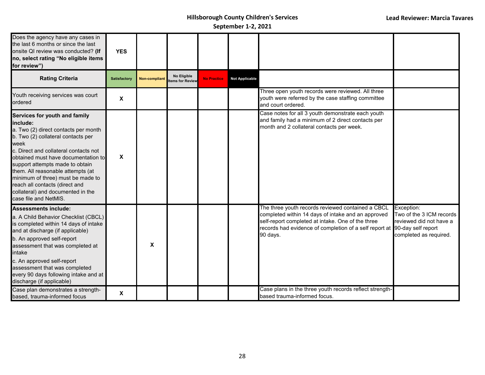| Does the agency have any cases in<br>the last 6 months or since the last<br>onsite QI review was conducted? (If<br>no, select rating "No eligible items<br>for review")                                                                                                                                                                                                                                                       | <b>YES</b>   |               |                                      |                    |                       |                                                                                                                                                                                                                                                       |                                                                                             |
|-------------------------------------------------------------------------------------------------------------------------------------------------------------------------------------------------------------------------------------------------------------------------------------------------------------------------------------------------------------------------------------------------------------------------------|--------------|---------------|--------------------------------------|--------------------|-----------------------|-------------------------------------------------------------------------------------------------------------------------------------------------------------------------------------------------------------------------------------------------------|---------------------------------------------------------------------------------------------|
| <b>Rating Criteria</b>                                                                                                                                                                                                                                                                                                                                                                                                        | Satisfactory | Non-compliant | <b>No Eligible</b><br>ems for Review | <b>No Practice</b> | <b>Not Applicable</b> |                                                                                                                                                                                                                                                       |                                                                                             |
| Youth receiving services was court<br>ordered                                                                                                                                                                                                                                                                                                                                                                                 | X            |               |                                      |                    |                       | Three open youth records were reviewed. All three<br>youth were referred by the case staffing committee<br>and court ordered.                                                                                                                         |                                                                                             |
| Services for youth and family<br>linclude:<br>a. Two (2) direct contacts per month<br>b. Two (2) collateral contacts per<br>week<br>c. Direct and collateral contacts not<br>obtained must have documentation to<br>support attempts made to obtain<br>them. All reasonable attempts (at<br>minimum of three) must be made to<br>reach all contacts (direct and<br>collateral) and documented in the<br>case file and NetMIS. | $\pmb{\chi}$ |               |                                      |                    |                       | Case notes for all 3 youth demonstrate each youth<br>and family had a minimum of 2 direct contacts per<br>month and 2 collateral contacts per week.                                                                                                   |                                                                                             |
| Assessments include:<br>a. A Child Behavior Checklist (CBCL)<br>is completed within 14 days of intake<br>and at discharge (if applicable)<br>b. An approved self-report<br>assessment that was completed at<br>intake<br>c. An approved self-report<br>assessment that was completed<br>every 90 days following intake and at<br>discharge (if applicable)                                                                    |              | X             |                                      |                    |                       | The three youth records reviewed contained a CBCL<br>completed within 14 days of intake and an approved<br>self-report completed at intake. One of the three<br>records had evidence of completion of a self report at 90-day self report<br>90 days. | Exception:<br>Two of the 3 ICM records<br>reviewed did not have a<br>completed as required. |
| Case plan demonstrates a strength-<br>based, trauma-informed focus                                                                                                                                                                                                                                                                                                                                                            | X            |               |                                      |                    |                       | Case plans in the three youth records reflect strength-<br>based trauma-informed focus.                                                                                                                                                               |                                                                                             |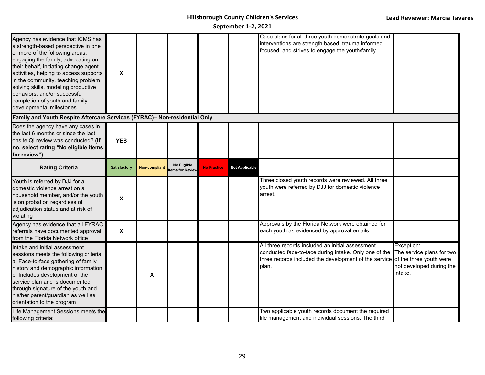| Agency has evidence that ICMS has<br>a strength-based perspective in one<br>or more of the following areas;<br>engaging the family, advocating on<br>their behalf, initiating change agent<br>activities, helping to access supports<br>in the community, teaching problem<br>solving skills, modeling productive<br>behaviors, and/or successful<br>completion of youth and family<br>developmental milestones | X                         |                      |                               |                    |                       | Case plans for all three youth demonstrate goals and<br>interventions are strength based, trauma informed<br>focused, and strives to engage the youth/family.               |                                                                                                           |
|-----------------------------------------------------------------------------------------------------------------------------------------------------------------------------------------------------------------------------------------------------------------------------------------------------------------------------------------------------------------------------------------------------------------|---------------------------|----------------------|-------------------------------|--------------------|-----------------------|-----------------------------------------------------------------------------------------------------------------------------------------------------------------------------|-----------------------------------------------------------------------------------------------------------|
| Family and Youth Respite Aftercare Services (FYRAC)- Non-residential Only                                                                                                                                                                                                                                                                                                                                       |                           |                      |                               |                    |                       |                                                                                                                                                                             |                                                                                                           |
| Does the agency have any cases in<br>the last 6 months or since the last<br>onsite QI review was conducted? (If<br>no, select rating "No eligible items<br>for review")                                                                                                                                                                                                                                         | <b>YES</b>                |                      |                               |                    |                       |                                                                                                                                                                             |                                                                                                           |
| <b>Rating Criteria</b>                                                                                                                                                                                                                                                                                                                                                                                          | <b>Satisfactory</b>       | <b>Non-compliant</b> | No Eligible<br>ems for Review | <b>No Practice</b> | <b>Not Applicable</b> |                                                                                                                                                                             |                                                                                                           |
| Youth is referred by DJJ for a<br>domestic violence arrest on a<br>household member, and/or the youth<br>is on probation regardless of<br>adjudication status and at risk of<br>violating                                                                                                                                                                                                                       | X                         |                      |                               |                    |                       | Three closed youth records were reviewed. All three<br>youth were referred by DJJ for domestic violence<br>arrest.                                                          |                                                                                                           |
| Agency has evidence that all FYRAC<br>referrals have documented approval<br>from the Florida Network office                                                                                                                                                                                                                                                                                                     | $\boldsymbol{\mathsf{X}}$ |                      |                               |                    |                       | Approvals by the Florida Network were obtained for<br>each youth as evidenced by approval emails.                                                                           |                                                                                                           |
| Intake and initial assessment<br>sessions meets the following criteria:<br>a. Face-to-face gathering of family<br>history and demographic information<br>b. Includes development of the<br>service plan and is documented<br>through signature of the youth and<br>his/her parent/guardian as well as<br>orientation to the program                                                                             |                           | X                    |                               |                    |                       | All three records included an initial assessment<br>conducted face-to-face during intake. Only one of the<br>three records included the development of the service<br>plan. | Exception:<br>The service plans for two<br>of the three youth were<br>not developed during the<br>intake. |
| Life Management Sessions meets the<br>following criteria:                                                                                                                                                                                                                                                                                                                                                       |                           |                      |                               |                    |                       | Two applicable youth records document the required<br>life management and individual sessions. The third                                                                    |                                                                                                           |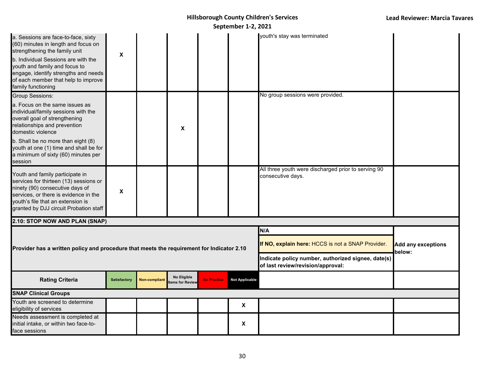|                                                                                                                                                                                                                                                                                               |              |                      |                                |                    | JUNIUIINUI 4 6,6          |                                                                                         |                              |
|-----------------------------------------------------------------------------------------------------------------------------------------------------------------------------------------------------------------------------------------------------------------------------------------------|--------------|----------------------|--------------------------------|--------------------|---------------------------|-----------------------------------------------------------------------------------------|------------------------------|
| a. Sessions are face-to-face, sixty<br>(60) minutes in length and focus on<br>strengthening the family unit<br>b. Individual Sessions are with the<br>youth and family and focus to<br>engage, identify strengths and needs<br>of each member that help to improve<br>family functioning      | X            |                      |                                |                    |                           | youth's stay was terminated                                                             |                              |
| <b>Group Sessions:</b>                                                                                                                                                                                                                                                                        |              |                      |                                |                    |                           | No group sessions were provided.                                                        |                              |
| a. Focus on the same issues as<br>individual/family sessions with the<br>overall goal of strengthening<br>relationships and prevention<br>domestic violence<br>b. Shall be no more than eight (8)<br>youth at one (1) time and shall be for<br>a minimum of sixty (60) minutes per<br>session |              |                      | $\boldsymbol{\mathsf{x}}$      |                    |                           |                                                                                         |                              |
| Youth and family participate in<br>services for thirteen (13) sessions or<br>ninety (90) consecutive days of<br>services, or there is evidence in the<br>youth's file that an extension is<br>granted by DJJ circuit Probation staff                                                          | X            |                      |                                |                    |                           | All three youth were discharged prior to serving 90<br>consecutive days.                |                              |
| 2.10: STOP NOW AND PLAN (SNAP)                                                                                                                                                                                                                                                                |              |                      |                                |                    |                           |                                                                                         |                              |
|                                                                                                                                                                                                                                                                                               |              |                      |                                |                    |                           | N/A                                                                                     |                              |
| Provider has a written policy and procedure that meets the requirement for Indicator 2.10                                                                                                                                                                                                     |              |                      |                                |                    |                           | If NO, explain here: HCCS is not a SNAP Provider.                                       | Add any exceptions<br>below: |
|                                                                                                                                                                                                                                                                                               |              |                      |                                |                    |                           | Indicate policy number, authorized signee, date(s)<br>of last review/revision/approval: |                              |
| <b>Rating Criteria</b>                                                                                                                                                                                                                                                                        | Satisfactory | <b>Non-compliant</b> | No Eligible<br>tems for Review | <b>No Practice</b> | <b>Not Applicable</b>     |                                                                                         |                              |
| <b>SNAP Clinical Groups</b>                                                                                                                                                                                                                                                                   |              |                      |                                |                    |                           |                                                                                         |                              |
| Youth are screened to determine<br>eligibility of services                                                                                                                                                                                                                                    |              |                      |                                |                    | $\boldsymbol{\mathsf{X}}$ |                                                                                         |                              |
| Needs assessment is completed at<br>initial intake, or within two face-to-<br>face sessions                                                                                                                                                                                                   |              |                      |                                |                    | X                         |                                                                                         |                              |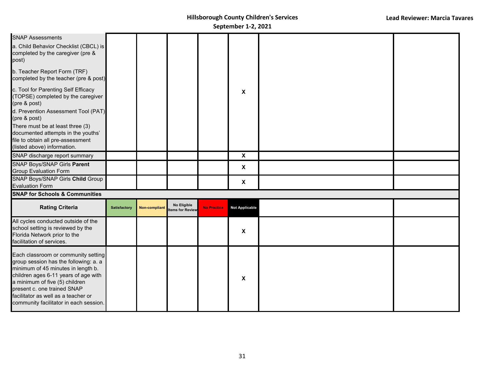| <b>SNAP Assessments</b><br>a. Child Behavior Checklist (CBCL) is<br>completed by the caregiver (pre &<br>post)<br>b. Teacher Report Form (TRF)<br>completed by the teacher (pre & post)<br>c. Tool for Parenting Self Efficacy<br>(TOPSE) completed by the caregiver<br>(pre & post)<br>d. Prevention Assessment Tool (PAT)<br>(pre & post)<br>There must be at least three (3)<br>documented attempts in the youths'<br>file to obtain all pre-assessment<br>(listed above) information. |                     |                      |                                |                    | X                         |  |
|-------------------------------------------------------------------------------------------------------------------------------------------------------------------------------------------------------------------------------------------------------------------------------------------------------------------------------------------------------------------------------------------------------------------------------------------------------------------------------------------|---------------------|----------------------|--------------------------------|--------------------|---------------------------|--|
| SNAP discharge report summary                                                                                                                                                                                                                                                                                                                                                                                                                                                             |                     |                      |                                |                    | $\mathbf x$               |  |
| SNAP Boys/SNAP Girls Parent<br><b>Group Evaluation Form</b>                                                                                                                                                                                                                                                                                                                                                                                                                               |                     |                      |                                |                    | $\boldsymbol{\mathsf{X}}$ |  |
| <b>SNAP Boys/SNAP Girls Child Group</b><br><b>Evaluation Form</b>                                                                                                                                                                                                                                                                                                                                                                                                                         |                     |                      |                                |                    | $\boldsymbol{\mathsf{X}}$ |  |
| <b>SNAP for Schools &amp; Communities</b>                                                                                                                                                                                                                                                                                                                                                                                                                                                 |                     |                      |                                |                    |                           |  |
| <b>Rating Criteria</b>                                                                                                                                                                                                                                                                                                                                                                                                                                                                    | <b>Satisfactory</b> | <b>Non-compliant</b> | No Eligible<br>tems for Review | <b>No Practice</b> | <b>Not Applicable</b>     |  |
| All cycles conducted outside of the<br>school setting is reviewed by the<br>Florida Network prior to the<br>facilitation of services.                                                                                                                                                                                                                                                                                                                                                     |                     |                      |                                |                    | X                         |  |
| Each classroom or community setting<br>group session has the following: a. a<br>minimum of 45 minutes in length b.<br>children ages 6-11 years of age with<br>a minimum of five (5) children<br>present c. one trained SNAP<br>facilitator as well as a teacher or<br>community facilitator in each session.                                                                                                                                                                              |                     |                      |                                |                    | X                         |  |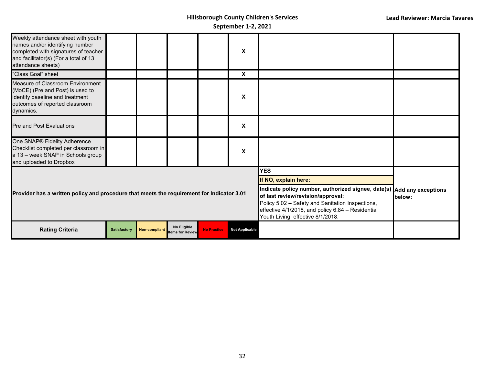| Weekly attendance sheet with youth<br>names and/or identifying number<br>completed with signatures of teacher<br>and facilitator(s) (For a total of 13<br>attendance sheets) |              |               |                                        |                                                                                                                                                                                                                                                          | X                     |                      |  |
|------------------------------------------------------------------------------------------------------------------------------------------------------------------------------|--------------|---------------|----------------------------------------|----------------------------------------------------------------------------------------------------------------------------------------------------------------------------------------------------------------------------------------------------------|-----------------------|----------------------|--|
| "Class Goal" sheet                                                                                                                                                           |              |               |                                        |                                                                                                                                                                                                                                                          | X                     |                      |  |
| Measure of Classroom Environment<br>(MoCE) (Pre and Post) is used to<br>identify baseline and treatment<br>outcomes of reported classroom<br>dynamics.                       |              |               |                                        |                                                                                                                                                                                                                                                          | X                     |                      |  |
| <b>Pre and Post Evaluations</b>                                                                                                                                              |              |               |                                        |                                                                                                                                                                                                                                                          | X                     |                      |  |
| One SNAP® Fidelity Adherence<br>Checklist completed per classroom in<br>a 13 - week SNAP in Schools group<br>and uploaded to Dropbox                                         |              |               |                                        |                                                                                                                                                                                                                                                          | X                     |                      |  |
|                                                                                                                                                                              |              |               |                                        |                                                                                                                                                                                                                                                          |                       | <b>YES</b>           |  |
|                                                                                                                                                                              |              |               |                                        |                                                                                                                                                                                                                                                          |                       | If NO, explain here: |  |
| Provider has a written policy and procedure that meets the requirement for Indicator 3.01                                                                                    |              |               |                                        | Indicate policy number, authorized signee, date(s) Add any exceptions<br>of last review/revision/approval:<br>Policy 5.02 - Safety and Sanitation Inspections,<br>effective 4/1/2018, and policy 6.84 - Residential<br>Youth Living, effective 8/1/2018. | below:                |                      |  |
| <b>Rating Criteria</b>                                                                                                                                                       | Satisfactory | Non-compliant | No Eligible<br><b>Items for Review</b> | <b>No Practice</b>                                                                                                                                                                                                                                       | <b>Not Applicable</b> |                      |  |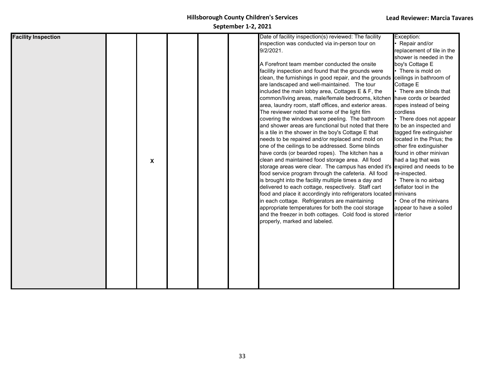| <b>Facility Inspection</b> |                           |  | Date of facility inspection(s) reviewed: The facility                    | Exception:                 |
|----------------------------|---------------------------|--|--------------------------------------------------------------------------|----------------------------|
|                            |                           |  | inspection was conducted via in-person tour on                           | Repair and/or              |
|                            |                           |  | 9/2/2021.                                                                | replacement of tile in the |
|                            |                           |  |                                                                          | shower is needed in the    |
|                            |                           |  | A Forefront team member conducted the onsite                             | boy's Cottage E            |
|                            |                           |  | facility inspection and found that the grounds were                      | There is mold on           |
|                            |                           |  | clean, the furnishings in good repair, and the grounds                   | ceilings in bathroom of    |
|                            |                           |  | are landscaped and well-maintained. The tour                             | Cottage E                  |
|                            |                           |  | included the main lobby area, Cottages E & F, the                        | There are blinds that      |
|                            |                           |  | common/living areas, male/female bedrooms, kitchen have cords or bearded |                            |
|                            |                           |  | area, laundry room, staff offices, and exterior areas.                   | ropes instead of being     |
|                            |                           |  | The reviewer noted that some of the light film                           | cordless                   |
|                            |                           |  | covering the windows were peeling. The bathroom                          | There does not appear      |
|                            |                           |  | and shower areas are functional but noted that there                     | to be an inspected and     |
|                            |                           |  | is a tile in the shower in the boy's Cottage E that                      | tagged fire extinguisher   |
|                            |                           |  | needs to be repaired and/or replaced and mold on                         | located in the Prius; the  |
|                            |                           |  | one of the ceilings to be addressed. Some blinds                         | other fire extinguisher    |
|                            |                           |  | have cords (or bearded ropes). The kitchen has a                         | found in other minivan     |
|                            | $\boldsymbol{\mathsf{X}}$ |  | clean and maintained food storage area. All food                         | had a tag that was         |
|                            |                           |  | storage areas were clear. The campus has ended it's                      | expired and needs to be    |
|                            |                           |  | food service program through the cafeteria. All food                     | re-inspected.              |
|                            |                           |  | is brought into the facility multiple times a day and                    | There is no airbag         |
|                            |                           |  | delivered to each cottage, respectively. Staff cart                      | deflator tool in the       |
|                            |                           |  | food and place it accordingly into refrigerators located minivans        |                            |
|                            |                           |  | in each cottage. Refrigerators are maintaining                           | One of the minivans        |
|                            |                           |  | appropriate temperatures for both the cool storage                       | appear to have a soiled    |
|                            |                           |  | and the freezer in both cottages. Cold food is stored                    | interior                   |
|                            |                           |  | properly, marked and labeled.                                            |                            |
|                            |                           |  |                                                                          |                            |
|                            |                           |  |                                                                          |                            |
|                            |                           |  |                                                                          |                            |
|                            |                           |  |                                                                          |                            |
|                            |                           |  |                                                                          |                            |
|                            |                           |  |                                                                          |                            |
|                            |                           |  |                                                                          |                            |
|                            |                           |  |                                                                          |                            |
|                            |                           |  |                                                                          |                            |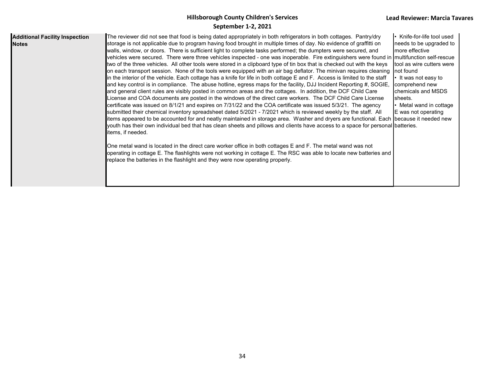| <b>Additional Facility Inspection</b><br><b>Notes</b> | The reviewer did not see that food is being dated appropriately in both refrigerators in both cottages. Pantry/dry<br>storage is not applicable due to program having food brought in multiple times of day. No evidence of graffitti on<br>walls, window, or doors. There is sufficient light to complete tasks performed; the dumpters were secured, and<br>vehicles were secured. There were three vehicles inspected - one was inoperable. Fire extinguishers were found in multifunction self-rescue<br>two of the three vehicles. All other tools were stored in a clipboard type of tin box that is checked out with the keys<br>on each transport session. None of the tools were equipped with an air bag deflator. The minivan requires cleaning not found<br>in the interior of the vehicle. Each cottage has a knife for life in both cottage E and F. Access is limited to the staff<br>and key control is in compliance. The abuse hotline, egress maps for the facility, DJJ Incident Reporting #, SOGIE,<br>and general client rules are visibly posted in common areas and the cottages. In addition, the DCF Child Care<br>License and COA documents are posted in the windows of the direct care workers. The DCF Child Care License<br>certificate was issued on 8/1/21 and expires on 7/31/22 and the COA certificate was issued 5/3/21. The agency<br>submitted their chemical inventory spreadsheet dated 5/2021 - 7/2021 which is reviewed weekly by the staff. All<br>litems appeared to be accounted for and neatly maintained in storage area. Washer and dryers are functional. Each  because it needed new<br>youth has their own individual bed that has clean sheets and pillows and clients have access to a space for personal batteries.<br>items, if needed.<br>One metal wand is located in the direct care worker office in both cottages E and F. The metal wand was not<br>operating in cottage E. The flashlights were not working in cottage E. The RSC was able to locate new batteries and<br>replace the batteries in the flashlight and they were now operating properly. | Knife-for-life tool used<br>needs to be upgraded to<br>more effective<br>tool as wire cutters were<br>• It was not easy to<br>comprehend new<br><b>I</b> chemicals and MSDS<br>sheets.<br>Metal wand in cottage<br>E was not operating |
|-------------------------------------------------------|------------------------------------------------------------------------------------------------------------------------------------------------------------------------------------------------------------------------------------------------------------------------------------------------------------------------------------------------------------------------------------------------------------------------------------------------------------------------------------------------------------------------------------------------------------------------------------------------------------------------------------------------------------------------------------------------------------------------------------------------------------------------------------------------------------------------------------------------------------------------------------------------------------------------------------------------------------------------------------------------------------------------------------------------------------------------------------------------------------------------------------------------------------------------------------------------------------------------------------------------------------------------------------------------------------------------------------------------------------------------------------------------------------------------------------------------------------------------------------------------------------------------------------------------------------------------------------------------------------------------------------------------------------------------------------------------------------------------------------------------------------------------------------------------------------------------------------------------------------------------------------------------------------------------------------------------------------------------------------------------------------------------------------------------------------------------------------------------------------------------|----------------------------------------------------------------------------------------------------------------------------------------------------------------------------------------------------------------------------------------|
|-------------------------------------------------------|------------------------------------------------------------------------------------------------------------------------------------------------------------------------------------------------------------------------------------------------------------------------------------------------------------------------------------------------------------------------------------------------------------------------------------------------------------------------------------------------------------------------------------------------------------------------------------------------------------------------------------------------------------------------------------------------------------------------------------------------------------------------------------------------------------------------------------------------------------------------------------------------------------------------------------------------------------------------------------------------------------------------------------------------------------------------------------------------------------------------------------------------------------------------------------------------------------------------------------------------------------------------------------------------------------------------------------------------------------------------------------------------------------------------------------------------------------------------------------------------------------------------------------------------------------------------------------------------------------------------------------------------------------------------------------------------------------------------------------------------------------------------------------------------------------------------------------------------------------------------------------------------------------------------------------------------------------------------------------------------------------------------------------------------------------------------------------------------------------------------|----------------------------------------------------------------------------------------------------------------------------------------------------------------------------------------------------------------------------------------|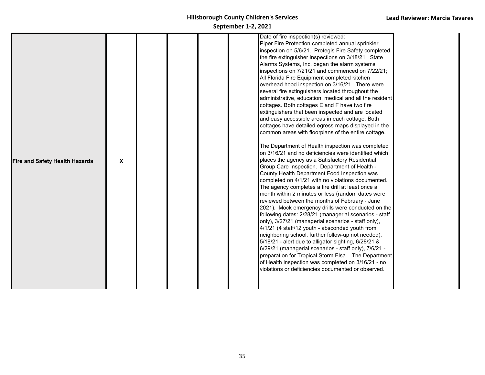|                                       |              |  |  | Date of fire inspection(s) reviewed:<br>Piper Fire Protection completed annual sprinkler               |
|---------------------------------------|--------------|--|--|--------------------------------------------------------------------------------------------------------|
|                                       |              |  |  | inspection on 5/6/21. Protegis Fire Safety completed                                                   |
|                                       |              |  |  | the fire extinguisher inspections on 3/18/21; State<br>Alarms Systems, Inc. began the alarm systems    |
|                                       |              |  |  | inspections on 7/21/21 and commenced on 7/22/21;                                                       |
|                                       |              |  |  | All Florida Fire Equipment completed kitchen                                                           |
|                                       |              |  |  | overhead hood inspection on 3/16/21. There were                                                        |
|                                       |              |  |  | several fire extinguishers located throughout the                                                      |
|                                       |              |  |  | administrative, education, medical and all the resident                                                |
|                                       |              |  |  | cottages. Both cottages E and F have two fire                                                          |
|                                       |              |  |  | extinguishers that been inspected and are located<br>and easy accessible areas in each cottage. Both   |
|                                       |              |  |  | cottages have detailed egress maps displayed in the                                                    |
|                                       |              |  |  | common areas with floorplans of the entire cottage.                                                    |
|                                       |              |  |  | The Department of Health inspection was completed                                                      |
|                                       |              |  |  | on 3/16/21 and no deficiencies were identified which                                                   |
| <b>Fire and Safety Health Hazards</b> | $\mathbf{x}$ |  |  | places the agency as a Satisfactory Residential                                                        |
|                                       |              |  |  | Group Care Inspection. Department of Health -<br>County Health Department Food Inspection was          |
|                                       |              |  |  | completed on 4/1/21 with no violations documented.                                                     |
|                                       |              |  |  | The agency completes a fire drill at least once a                                                      |
|                                       |              |  |  | month within 2 minutes or less (random dates were                                                      |
|                                       |              |  |  | reviewed between the months of February - June                                                         |
|                                       |              |  |  | 2021). Mock emergency drills were conducted on the                                                     |
|                                       |              |  |  | following dates: 2/28/21 (managerial scenarios - staff                                                 |
|                                       |              |  |  | only), 3/27/21 (managerial scenarios - staff only),<br>4/1/21 (4 staff/12 youth - absconded youth from |
|                                       |              |  |  | neighboring school, further follow-up not needed),                                                     |
|                                       |              |  |  | 5/18/21 - alert due to alligator sighting, 6/28/21 &                                                   |
|                                       |              |  |  | 6/29/21 (managerial scenarios - staff only), 7/6/21 -                                                  |
|                                       |              |  |  | preparation for Tropical Storm Elsa. The Department                                                    |
|                                       |              |  |  | of Health inspection was completed on 3/16/21 - no                                                     |
|                                       |              |  |  | violations or deficiencies documented or observed.                                                     |
|                                       |              |  |  |                                                                                                        |
|                                       |              |  |  |                                                                                                        |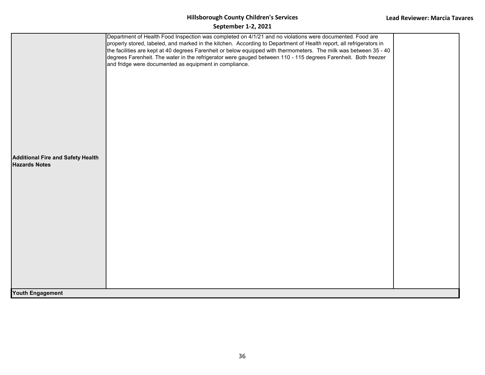| <b>Additional Fire and Safety Health</b><br><b>Hazards Notes</b> | Department of Health Food Inspection was completed on 4/1/21 and no violations were documented. Food are<br>properly stored, labeled, and marked in the kitchen. According to Department of Health report, all refrigerators in<br>the facilities are kept at 40 degrees Farenheit or below equipped with thermometers. The milk was between 35 - 40<br>degrees Farenheit. The water in the refrigerator were gauged between 110 - 115 degrees Farenheit. Both freezer<br>and fridge were documented as equipment in compliance. |  |
|------------------------------------------------------------------|----------------------------------------------------------------------------------------------------------------------------------------------------------------------------------------------------------------------------------------------------------------------------------------------------------------------------------------------------------------------------------------------------------------------------------------------------------------------------------------------------------------------------------|--|
| <b>Youth Engagement</b>                                          |                                                                                                                                                                                                                                                                                                                                                                                                                                                                                                                                  |  |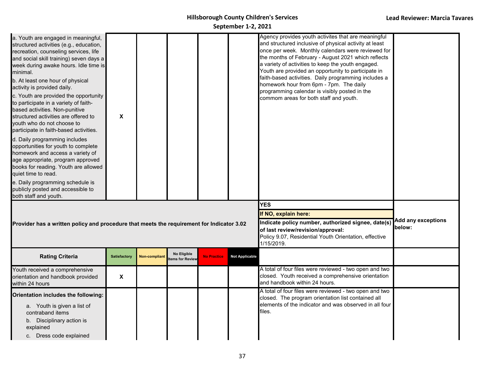| a. Youth are engaged in meaningful,<br>structured activities (e.g., education,<br>recreation, counseling services, life<br>and social skill training) seven days a<br>week during awake hours. Idle time is<br>minimal.<br>b. At least one hour of physical<br>activity is provided daily.<br>c. Youth are provided the opportunity<br>to participate in a variety of faith-<br>based activities. Non-punitive<br>structured activities are offered to<br>youth who do not choose to<br>participate in faith-based activities.<br>d. Daily programming includes<br>opportunities for youth to complete<br>homework and access a variety of<br>age appropriate, program approved<br>books for reading. Youth are allowed<br>quiet time to read.<br>e. Daily programming schedule is<br>publicly posted and accessible to<br>both staff and youth. | X                   |                      |                                |                    |                       | Agency provides youth activites that are meaningful<br>and structured inclusive of physical activity at least<br>once per week. Monthly calendars were reviewed for<br>the months of February - August 2021 which reflects<br>a variety of activities to keep the youth engaged.<br>Youth are provided an opportunity to participate in<br>faith-based activities. Daily programming includes a<br>homework hour from 6pm - 7pm. The daily<br>programming calendar is visibly posted in the<br>commom areas for both staff and youth. |  |  |
|--------------------------------------------------------------------------------------------------------------------------------------------------------------------------------------------------------------------------------------------------------------------------------------------------------------------------------------------------------------------------------------------------------------------------------------------------------------------------------------------------------------------------------------------------------------------------------------------------------------------------------------------------------------------------------------------------------------------------------------------------------------------------------------------------------------------------------------------------|---------------------|----------------------|--------------------------------|--------------------|-----------------------|---------------------------------------------------------------------------------------------------------------------------------------------------------------------------------------------------------------------------------------------------------------------------------------------------------------------------------------------------------------------------------------------------------------------------------------------------------------------------------------------------------------------------------------|--|--|
| <b>YES</b><br>If NO, explain here:<br><b>Add any exceptions</b><br>Indicate policy number, authorized signee, date(s)<br>Provider has a written policy and procedure that meets the requirement for Indicator 3.02<br>below:<br>of last review/revision/approval:<br>Policy 9.07, Residential Youth Orientation, effective<br>1/15/2019.                                                                                                                                                                                                                                                                                                                                                                                                                                                                                                         |                     |                      |                                |                    |                       |                                                                                                                                                                                                                                                                                                                                                                                                                                                                                                                                       |  |  |
| <b>Rating Criteria</b>                                                                                                                                                                                                                                                                                                                                                                                                                                                                                                                                                                                                                                                                                                                                                                                                                           | <b>Satisfactory</b> | <b>Non-compliant</b> | No Eligible<br>tems for Review | <b>No Practice</b> | <b>Not Applicable</b> |                                                                                                                                                                                                                                                                                                                                                                                                                                                                                                                                       |  |  |
| Youth received a comprehensive<br>orientation and handbook provided<br>within 24 hours                                                                                                                                                                                                                                                                                                                                                                                                                                                                                                                                                                                                                                                                                                                                                           | X                   |                      |                                |                    |                       | A total of four files were reviewed - two open and two<br>closed. Youth received a comprehensive orientation<br>and handbook within 24 hours.                                                                                                                                                                                                                                                                                                                                                                                         |  |  |
| Orientation includes the following:<br>a. Youth is given a list of<br>contraband items<br>b. Disciplinary action is<br>explained<br>c. Dress code explained                                                                                                                                                                                                                                                                                                                                                                                                                                                                                                                                                                                                                                                                                      |                     |                      |                                |                    |                       | A total of four files were reviewed - two open and two<br>closed. The program orientation list contained all<br>elements of the indicator and was observed in all four<br>files.                                                                                                                                                                                                                                                                                                                                                      |  |  |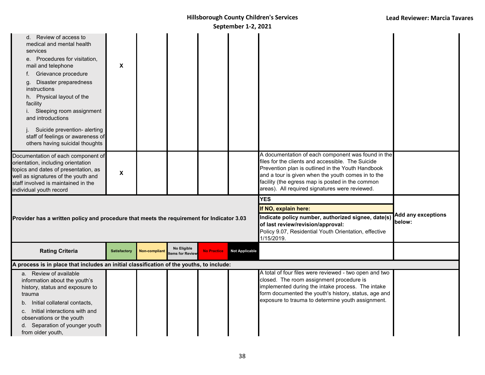| d. Review of access to<br>medical and mental health<br>services<br>Procedures for visitation,<br>е.<br>mail and telephone<br>Grievance procedure<br>Disaster preparedness<br>g.<br>instructions<br>h. Physical layout of the<br>facility<br>i. Sleeping room assignment<br>and introductions<br>Suicide prevention- alerting<br>staff of feelings or awareness of<br>others having suicidal thoughts | X                   |                      |                               |                    |                                                                                                                                                                                                      |                                                                                                                                                                                                                                                                                                                          |  |
|------------------------------------------------------------------------------------------------------------------------------------------------------------------------------------------------------------------------------------------------------------------------------------------------------------------------------------------------------------------------------------------------------|---------------------|----------------------|-------------------------------|--------------------|------------------------------------------------------------------------------------------------------------------------------------------------------------------------------------------------------|--------------------------------------------------------------------------------------------------------------------------------------------------------------------------------------------------------------------------------------------------------------------------------------------------------------------------|--|
| Documentation of each component of<br>orientation, including orientation<br>topics and dates of presentation, as<br>well as signatures of the youth and<br>staff involved is maintained in the<br>individual youth record                                                                                                                                                                            | X                   |                      |                               |                    |                                                                                                                                                                                                      | A documentation of each component was found in the<br>files for the clients and accessible. The Suicide<br>Prevention plan is outlined in the Youth Handbook<br>and a tour is given when the youth comes in to the<br>facility (the egress map is posted in the common<br>areas). All required signatures were reviewed. |  |
| Provider has a written policy and procedure that meets the requirement for Indicator 3.03                                                                                                                                                                                                                                                                                                            |                     |                      |                               |                    | <b>YES</b><br>If NO, explain here:<br>Indicate policy number, authorized signee, date(s)<br>of last review/revision/approval:<br>Policy 9.07, Residential Youth Orientation, effective<br>1/15/2019. | <b>Add any exceptions</b><br>below:                                                                                                                                                                                                                                                                                      |  |
| <b>Rating Criteria</b>                                                                                                                                                                                                                                                                                                                                                                               | <b>Satisfactory</b> | <b>Non-compliant</b> | No Eligible<br>ems for Review | <b>No Practice</b> | <b>Not Applicable</b>                                                                                                                                                                                |                                                                                                                                                                                                                                                                                                                          |  |
| A process is in place that includes an initial classification of the youths, to include:                                                                                                                                                                                                                                                                                                             |                     |                      |                               |                    |                                                                                                                                                                                                      |                                                                                                                                                                                                                                                                                                                          |  |
| a. Review of available<br>information about the youth's<br>history, status and exposure to<br>trauma<br>Initial collateral contacts.<br>Initial interactions with and<br>C.<br>observations or the youth<br>d. Separation of younger youth<br>from older youth,                                                                                                                                      |                     |                      |                               |                    |                                                                                                                                                                                                      | A total of four files were reviewed - two open and two<br>closed. The room assignment procedure is<br>implemented during the intake process. The intake<br>form documented the youth's history, status, age and<br>exposure to trauma to determine youth assignment.                                                     |  |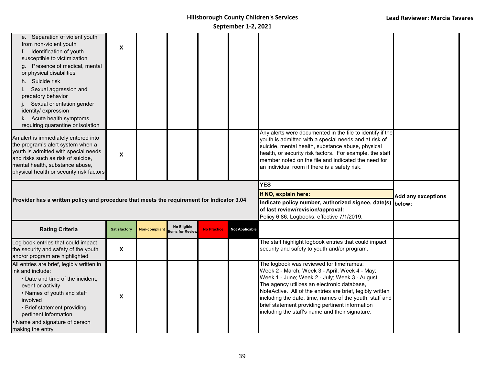| from non-violent youth<br>Identification of youth<br>susceptible to victimization<br>g. Presence of medical, mental<br>or physical disabilities<br>Suicide risk<br>h.<br>Sexual aggression and<br>predatory behavior<br>Sexual orientation gender<br>identity/ expression<br>k. Acute health symptoms<br>requiring quarantine or isolation | X                   |                      |                                |                    |                       |                                                                                                                                                                                                                                                                                                                                             |                           |
|--------------------------------------------------------------------------------------------------------------------------------------------------------------------------------------------------------------------------------------------------------------------------------------------------------------------------------------------|---------------------|----------------------|--------------------------------|--------------------|-----------------------|---------------------------------------------------------------------------------------------------------------------------------------------------------------------------------------------------------------------------------------------------------------------------------------------------------------------------------------------|---------------------------|
| An alert is immediately entered into<br>the program's alert system when a<br>youth is admitted with special needs<br>and risks such as risk of suicide,<br>mental health, substance abuse,<br>physical health or security risk factors                                                                                                     | X                   |                      |                                |                    |                       | Any alerts were documented in the file to identify if the<br>youth is admitted with a special needs and at risk of<br>suicide, mental health, substance abuse, physical<br>health, or security risk factors. For example, the staff<br>member noted on the file and indicated the need for<br>an individual room if there is a safety risk. |                           |
|                                                                                                                                                                                                                                                                                                                                            |                     |                      |                                |                    |                       | <b>YES</b>                                                                                                                                                                                                                                                                                                                                  |                           |
|                                                                                                                                                                                                                                                                                                                                            |                     |                      |                                |                    |                       |                                                                                                                                                                                                                                                                                                                                             |                           |
| Provider has a written policy and procedure that meets the requirement for Indicator 3.04                                                                                                                                                                                                                                                  |                     |                      |                                |                    |                       | If NO, explain here:<br>Indicate policy number, authorized signee, date(s) below:<br>of last review/revision/approval:<br>Policy 6.86, Logbooks, effective 7/1/2019.                                                                                                                                                                        | <b>Add any exceptions</b> |
| <b>Rating Criteria</b>                                                                                                                                                                                                                                                                                                                     | <b>Satisfactory</b> | <b>Non-compliant</b> | No Eligible<br>tems for Review | <b>No Practice</b> | <b>Not Applicable</b> |                                                                                                                                                                                                                                                                                                                                             |                           |
| Log book entries that could impact<br>the security and safety of the youth<br>and/or program are highlighted                                                                                                                                                                                                                               | X                   |                      |                                |                    |                       | The staff highlight logbook entries that could impact<br>security and safety to youth and/or program.                                                                                                                                                                                                                                       |                           |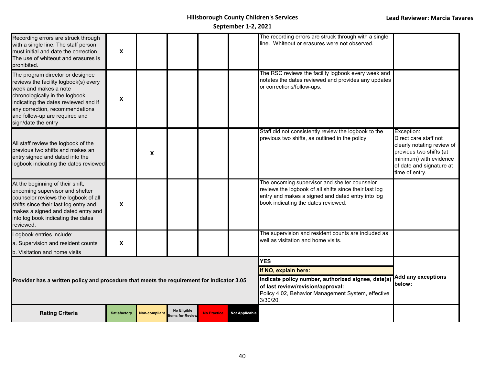| Recording errors are struck through<br>with a single line. The staff person<br>must initial and date the correction.<br>The use of whiteout and erasures is<br>prohibited.                                                                                               | X                   |                      |                                       |                                                                                                                                                           |                                     | The recording errors are struck through with a single<br>line. Whiteout or erasures were not observed.                                                                                              |                                                                                                                                                                      |
|--------------------------------------------------------------------------------------------------------------------------------------------------------------------------------------------------------------------------------------------------------------------------|---------------------|----------------------|---------------------------------------|-----------------------------------------------------------------------------------------------------------------------------------------------------------|-------------------------------------|-----------------------------------------------------------------------------------------------------------------------------------------------------------------------------------------------------|----------------------------------------------------------------------------------------------------------------------------------------------------------------------|
| The program director or designee<br>reviews the facility logbook(s) every<br>week and makes a note<br>chronologically in the logbook<br>indicating the dates reviewed and if<br>any correction, recommendations<br>and follow-up are required and<br>sign/date the entry | X                   |                      |                                       |                                                                                                                                                           |                                     | The RSC reviews the facility logbook every week and<br>notates the dates reviewed and provides any updates<br>or corrections/follow-ups.                                                            |                                                                                                                                                                      |
| All staff review the logbook of the<br>previous two shifts and makes an<br>entry signed and dated into the<br>logbook indicating the dates reviewed                                                                                                                      |                     | X                    |                                       |                                                                                                                                                           |                                     | Staff did not consistently review the logbook to the<br>previous two shifts, as outlined in the policy.                                                                                             | Exception:<br>Direct care staff not<br>clearly notating review of<br>previous two shifts (at<br>minimum) with evidence<br>of date and signature at<br>time of entry. |
| At the beginning of their shift,<br>oncoming supervisor and shelter<br>counselor reviews the logbook of all<br>shifts since their last log entry and<br>makes a signed and dated entry and<br>into log book indicating the dates<br>reviewed.                            | X                   |                      |                                       |                                                                                                                                                           |                                     | The oncoming supervisor and shelter counselor<br>reviews the logbook of all shifts since their last log<br>entry and makes a signed and dated entry into log<br>book indicating the dates reviewed. |                                                                                                                                                                      |
| Logbook entries include:                                                                                                                                                                                                                                                 |                     |                      |                                       |                                                                                                                                                           |                                     | The supervision and resident counts are included as<br>well as visitation and home visits.                                                                                                          |                                                                                                                                                                      |
| a. Supervision and resident counts<br>b. Visitation and home visits                                                                                                                                                                                                      | X                   |                      |                                       |                                                                                                                                                           |                                     |                                                                                                                                                                                                     |                                                                                                                                                                      |
|                                                                                                                                                                                                                                                                          |                     |                      |                                       |                                                                                                                                                           |                                     | <b>YES</b>                                                                                                                                                                                          |                                                                                                                                                                      |
|                                                                                                                                                                                                                                                                          |                     |                      |                                       |                                                                                                                                                           |                                     | If NO, explain here:                                                                                                                                                                                |                                                                                                                                                                      |
| Provider has a written policy and procedure that meets the requirement for Indicator 3.05                                                                                                                                                                                |                     |                      |                                       | Indicate policy number, authorized signee, date(s)<br>of last review/revision/approval:<br>Policy 4.02, Behavior Management System, effective<br>3/30/20. | <b>Add any exceptions</b><br>below: |                                                                                                                                                                                                     |                                                                                                                                                                      |
| <b>Rating Criteria</b>                                                                                                                                                                                                                                                   | <b>Satisfactory</b> | <b>Non-compliant</b> | <b>No Eligible</b><br>tems for Review | <b>No Practice</b>                                                                                                                                        | <b>Not Applicable</b>               |                                                                                                                                                                                                     |                                                                                                                                                                      |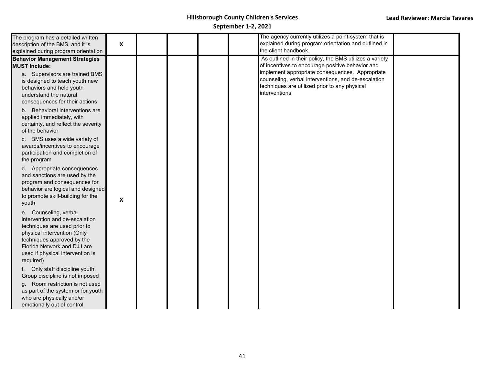| The program has a detailed written                                |                           |  | The agency currently utilizes a point-system that is    |  |
|-------------------------------------------------------------------|---------------------------|--|---------------------------------------------------------|--|
| description of the BMS, and it is                                 | $\boldsymbol{\mathsf{X}}$ |  | explained during program orientation and outlined in    |  |
| explained during program orientation                              |                           |  | the client handbook.                                    |  |
| <b>Behavior Management Strategies</b>                             |                           |  | As outlined in their policy, the BMS utilizes a variety |  |
| <b>MUST include:</b>                                              |                           |  | of incentives to encourage positive behavior and        |  |
| a. Supervisors are trained BMS                                    |                           |  | implement appropriate consequences. Appropriate         |  |
| is designed to teach youth new                                    |                           |  | counseling, verbal interventions, and de-escalation     |  |
| behaviors and help youth                                          |                           |  | techniques are utilized prior to any physical           |  |
| understand the natural                                            |                           |  | interventions.                                          |  |
| consequences for their actions                                    |                           |  |                                                         |  |
| b. Behavioral interventions are                                   |                           |  |                                                         |  |
| applied immediately, with                                         |                           |  |                                                         |  |
| certainty, and reflect the severity                               |                           |  |                                                         |  |
| of the behavior                                                   |                           |  |                                                         |  |
| c. BMS uses a wide variety of                                     |                           |  |                                                         |  |
| awards/incentives to encourage                                    |                           |  |                                                         |  |
| participation and completion of                                   |                           |  |                                                         |  |
| the program                                                       |                           |  |                                                         |  |
| d. Appropriate consequences                                       |                           |  |                                                         |  |
| and sanctions are used by the                                     |                           |  |                                                         |  |
| program and consequences for<br>behavior are logical and designed |                           |  |                                                         |  |
| to promote skill-building for the                                 |                           |  |                                                         |  |
| youth                                                             | X                         |  |                                                         |  |
| e. Counseling, verbal                                             |                           |  |                                                         |  |
| intervention and de-escalation                                    |                           |  |                                                         |  |
| techniques are used prior to                                      |                           |  |                                                         |  |
| physical intervention (Only                                       |                           |  |                                                         |  |
| techniques approved by the                                        |                           |  |                                                         |  |
| Florida Network and DJJ are                                       |                           |  |                                                         |  |
| used if physical intervention is                                  |                           |  |                                                         |  |
| required)                                                         |                           |  |                                                         |  |
| Only staff discipline youth.<br>f.                                |                           |  |                                                         |  |
| Group discipline is not imposed                                   |                           |  |                                                         |  |
| Room restriction is not used<br>a.                                |                           |  |                                                         |  |
| as part of the system or for youth<br>who are physically and/or   |                           |  |                                                         |  |
| emotionally out of control                                        |                           |  |                                                         |  |
|                                                                   |                           |  |                                                         |  |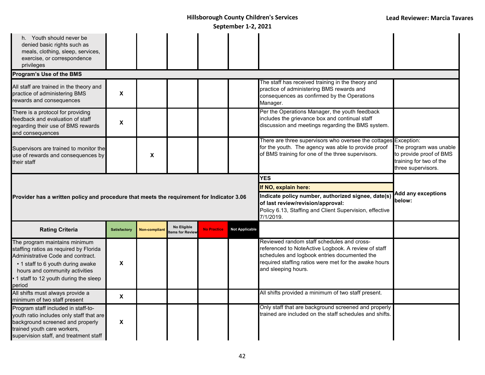| h. Youth should never be<br>denied basic rights such as<br>meals, clothing, sleep, services,<br>exercise, or correspondence<br>privileges                                                                                             |                     |                           |                                |                    |                       |                                                                                                                                                                                                                                   |                                                                                                                         |
|---------------------------------------------------------------------------------------------------------------------------------------------------------------------------------------------------------------------------------------|---------------------|---------------------------|--------------------------------|--------------------|-----------------------|-----------------------------------------------------------------------------------------------------------------------------------------------------------------------------------------------------------------------------------|-------------------------------------------------------------------------------------------------------------------------|
| Program's Use of the BMS                                                                                                                                                                                                              |                     |                           |                                |                    |                       |                                                                                                                                                                                                                                   |                                                                                                                         |
| All staff are trained in the theory and<br>practice of administering BMS<br>rewards and consequences                                                                                                                                  | X                   |                           |                                |                    |                       | The staff has received training in the theory and<br>practice of administering BMS rewards and<br>consequences as confirmed by the Operations<br>Manager.                                                                         |                                                                                                                         |
| There is a protocol for providing<br>feedback and evaluation of staff<br>regarding their use of BMS rewards<br>and consequences                                                                                                       | $\pmb{\mathsf{X}}$  |                           |                                |                    |                       | Per the Operations Manager, the youth feedback<br>includes the grievance box and continual staff<br>discussion and meetings regarding the BMS system.                                                                             |                                                                                                                         |
| Supervisors are trained to monitor the<br>use of rewards and consequences by<br>their staff                                                                                                                                           |                     | $\boldsymbol{\mathsf{x}}$ |                                |                    |                       | There are three supervisors who oversee the cottages<br>for the youth. The agency was able to provide proof<br>of BMS training for one of the three supervisors.                                                                  | <b>Exception:</b><br>The program was unable<br>to provide proof of BMS<br>training for two of the<br>three supervisors. |
|                                                                                                                                                                                                                                       |                     |                           |                                |                    |                       | <b>YES</b>                                                                                                                                                                                                                        |                                                                                                                         |
|                                                                                                                                                                                                                                       |                     |                           |                                |                    |                       | If NO, explain here:                                                                                                                                                                                                              |                                                                                                                         |
| Provider has a written policy and procedure that meets the requirement for Indicator 3.06                                                                                                                                             |                     |                           |                                |                    |                       | Indicate policy number, authorized signee, date(s)<br>of last review/revision/approval:<br>Policy 6.13, Staffing and Client Supervision, effective<br>7/1/2019.                                                                   | <b>Add any exceptions</b><br>below:                                                                                     |
| <b>Rating Criteria</b>                                                                                                                                                                                                                | <b>Satisfactory</b> | Non-compliant             | No Eligible<br>tems for Review | <b>No Practice</b> | <b>Not Applicable</b> |                                                                                                                                                                                                                                   |                                                                                                                         |
| The program maintains minimum<br>staffing ratios as required by Florida<br>Administrative Code and contract.<br>• 1 staff to 6 youth during awake<br>hours and community activities<br>1 staff to 12 youth during the sleep<br>period | X                   |                           |                                |                    |                       | Reviewed random staff schedules and cross-<br>referenced to NoteActive Logbook. A review of staff<br>schedules and logbook entries documented the<br>required staffing ratios were met for the awake hours<br>and sleeping hours. |                                                                                                                         |
|                                                                                                                                                                                                                                       |                     |                           |                                |                    |                       |                                                                                                                                                                                                                                   |                                                                                                                         |
| All shifts must always provide a<br>minimum of two staff present                                                                                                                                                                      | X                   |                           |                                |                    |                       | All shifts provided a minimum of two staff present.<br>Only staff that are background screened and properly                                                                                                                       |                                                                                                                         |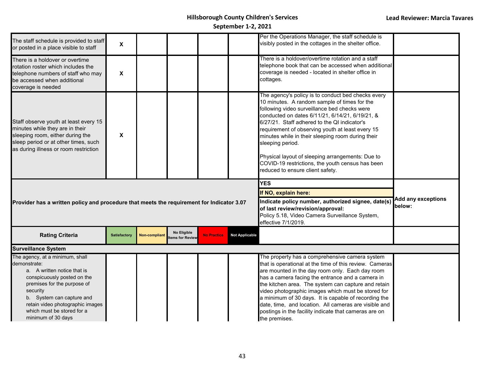| The staff schedule is provided to staff<br>or posted in a place visible to staff                                                                                                              | X                   |                      |                                |                    |                       | Per the Operations Manager, the staff schedule is<br>visibly posted in the cottages in the shelter office.                                                                                                                                                                                                                                                                                                                                                                                                                     |                                     |
|-----------------------------------------------------------------------------------------------------------------------------------------------------------------------------------------------|---------------------|----------------------|--------------------------------|--------------------|-----------------------|--------------------------------------------------------------------------------------------------------------------------------------------------------------------------------------------------------------------------------------------------------------------------------------------------------------------------------------------------------------------------------------------------------------------------------------------------------------------------------------------------------------------------------|-------------------------------------|
| There is a holdover or overtime<br>rotation roster which includes the<br>telephone numbers of staff who may<br>be accessed when additional<br>coverage is needed                              | X                   |                      |                                |                    |                       | There is a holdover/overtime rotation and a staff<br>telephone book that can be accessed when additional<br>coverage is needed - located in shelter office in<br>cottages.                                                                                                                                                                                                                                                                                                                                                     |                                     |
| Staff observe youth at least every 15<br>minutes while they are in their<br>sleeping room, either during the<br>sleep period or at other times, such<br>as during illness or room restriction | X                   |                      |                                |                    |                       | The agency's policy is to conduct bed checks every<br>10 minutes. A random sample of times for the<br>following video surveillance bed checks were<br>conducted on dates 6/11/21, 6/14/21, 6/19/21, &<br>6/27/21. Staff adhered to the QI indicator's<br>requirement of observing youth at least every 15<br>minutes while in their sleeping room during their<br>sleeping period.<br>Physical layout of sleeping arrangements: Due to<br>COVID-19 restrictions, the youth census has been<br>reduced to ensure client safety. |                                     |
|                                                                                                                                                                                               |                     |                      |                                |                    |                       | <b>YES</b>                                                                                                                                                                                                                                                                                                                                                                                                                                                                                                                     |                                     |
|                                                                                                                                                                                               |                     |                      |                                |                    |                       | If NO, explain here:<br>Indicate policy number, authorized signee, date(s)<br>of last review/revision/approval:<br>Policy 5.18, Video Camera Surveillance System,<br>effective 7/1/2019.                                                                                                                                                                                                                                                                                                                                       | <b>Add any exceptions</b><br>below: |
| Provider has a written policy and procedure that meets the requirement for Indicator 3.07<br><b>Rating Criteria</b>                                                                           | <b>Satisfactory</b> | <b>Non-compliant</b> | No Eligible<br>tems for Review | <b>No Practice</b> | <b>Not Applicable</b> |                                                                                                                                                                                                                                                                                                                                                                                                                                                                                                                                |                                     |
| <b>Surveillance System</b><br>The agency, at a minimum, shall                                                                                                                                 |                     |                      |                                |                    |                       | The property has a comprehensive camera system                                                                                                                                                                                                                                                                                                                                                                                                                                                                                 |                                     |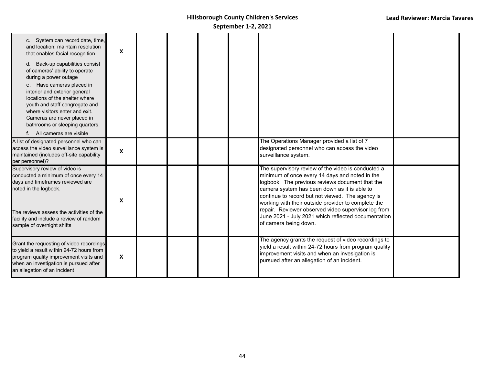| c. System can record date, time,<br>and location; maintain resolution<br>that enables facial recognition<br>d. Back-up capabilities consist<br>of cameras' ability to operate<br>during a power outage<br>e. Have cameras placed in<br>interior and exterior general<br>locations of the shelter where<br>youth and staff congregate and<br>where visitors enter and exit.<br>Cameras are never placed in<br>bathrooms or sleeping quarters.<br>f. All cameras are visible | X            |  |  |                                                                                                                                                                                                                                                                                                                                                                                                                                                           |  |
|----------------------------------------------------------------------------------------------------------------------------------------------------------------------------------------------------------------------------------------------------------------------------------------------------------------------------------------------------------------------------------------------------------------------------------------------------------------------------|--------------|--|--|-----------------------------------------------------------------------------------------------------------------------------------------------------------------------------------------------------------------------------------------------------------------------------------------------------------------------------------------------------------------------------------------------------------------------------------------------------------|--|
| A list of designated personnel who can<br>access the video surveillance system is<br>maintained (includes off-site capability<br>per personnel)?                                                                                                                                                                                                                                                                                                                           | X            |  |  | The Operations Manager provided a list of 7<br>designated personnel who can access the video<br>surveillance system.                                                                                                                                                                                                                                                                                                                                      |  |
| Supervisory review of video is<br>conducted a minimum of once every 14<br>days and timeframes reviewed are<br>noted in the logbook.<br>The reviews assess the activities of the<br>facility and include a review of random<br>sample of overnight shifts                                                                                                                                                                                                                   | X            |  |  | The supervisory review of the video is conducted a<br>minimum of once every 14 days and noted in the<br>logbook. The previous reviews document that the<br>camera system has been down as it is able to<br>continue to record but not viewed. The agency is<br>working with their outside provider to complete the<br>repair. Reviewer observed video supervisor log from<br>June 2021 - July 2021 which reflected documentation<br>of camera being down. |  |
| Grant the requesting of video recordings<br>to yield a result within 24-72 hours from<br>program quality improvement visits and<br>when an investigation is pursued after<br>an allegation of an incident                                                                                                                                                                                                                                                                  | $\mathsf{x}$ |  |  | The agency grants the request of video recordings to<br>yield a result within 24-72 hours from program quality<br>improvement visits and when an invesigation is<br>pursued after an allegation of an incident.                                                                                                                                                                                                                                           |  |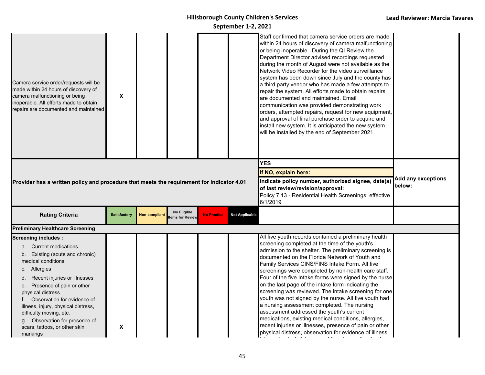| Camera service order/requests will be<br>made within 24 hours of discovery of<br>camera malfunctioning or being<br>inoperable. All efforts made to obtain<br>repairs are documented and maintained                                                                                                                                                                                                       | X                   |                      |                                |                    |                       | Staff confirmed that camera service orders are made<br>within 24 hours of discovery of camera malfunctioning<br>or being inoperable. During the QI Review the<br>Department Director advised recordings requested<br>during the month of August were not available as the<br>Network Video Recorder for the video surveillance<br>system has been down since July and the county has<br>a third party vendor who has made a few attempts to<br>repair the system. All efforts made to obtain repairs<br>are documented and maintained. Email<br>communication was provided demonstrating work<br>orders, attempted repairs, request for new equipment,<br>and approval of final purchase order to acquire and<br>install new system. It is anticipated the new system<br>will be installed by the end of September 2021.                |                           |
|----------------------------------------------------------------------------------------------------------------------------------------------------------------------------------------------------------------------------------------------------------------------------------------------------------------------------------------------------------------------------------------------------------|---------------------|----------------------|--------------------------------|--------------------|-----------------------|-----------------------------------------------------------------------------------------------------------------------------------------------------------------------------------------------------------------------------------------------------------------------------------------------------------------------------------------------------------------------------------------------------------------------------------------------------------------------------------------------------------------------------------------------------------------------------------------------------------------------------------------------------------------------------------------------------------------------------------------------------------------------------------------------------------------------------------------|---------------------------|
|                                                                                                                                                                                                                                                                                                                                                                                                          |                     |                      |                                |                    |                       | <b>YES</b>                                                                                                                                                                                                                                                                                                                                                                                                                                                                                                                                                                                                                                                                                                                                                                                                                              |                           |
|                                                                                                                                                                                                                                                                                                                                                                                                          |                     |                      |                                |                    |                       | If NO, explain here:                                                                                                                                                                                                                                                                                                                                                                                                                                                                                                                                                                                                                                                                                                                                                                                                                    | <b>Add any exceptions</b> |
| Provider has a written policy and procedure that meets the requirement for Indicator 4.01                                                                                                                                                                                                                                                                                                                |                     |                      |                                |                    |                       | Indicate policy number, authorized signee, date(s)<br>of last review/revision/approval:<br>Policy 7.13 - Residential Health Screenings, effective<br>6/1/2019                                                                                                                                                                                                                                                                                                                                                                                                                                                                                                                                                                                                                                                                           | below:                    |
| <b>Rating Criteria</b>                                                                                                                                                                                                                                                                                                                                                                                   | <b>Satisfactory</b> | <b>Non-compliant</b> | No Eligible<br>tems for Review | <b>No Practice</b> | <b>Not Applicable</b> |                                                                                                                                                                                                                                                                                                                                                                                                                                                                                                                                                                                                                                                                                                                                                                                                                                         |                           |
| <b>Preliminary Healthcare Screening</b>                                                                                                                                                                                                                                                                                                                                                                  |                     |                      |                                |                    |                       |                                                                                                                                                                                                                                                                                                                                                                                                                                                                                                                                                                                                                                                                                                                                                                                                                                         |                           |
| <b>Screening includes:</b><br>a. Current medications<br>b. Existing (acute and chronic)<br>medical conditions<br>c. Allergies<br>Recent injuries or illnesses<br>d.<br>Presence of pain or other<br>е.<br>physical distress<br>Observation for evidence of<br>illness, injury, physical distress,<br>difficulty moving, etc.<br>Observation for presence of<br>scars, tattoos, or other skin<br>markings | X                   |                      |                                |                    |                       | All five youth records contained a preliminary health<br>screening completed at the time of the youth's<br>admission to the shelter. The preliminary screening is<br>documented on the Florida Network of Youth and<br>Family Services CINS/FINS Intake Form. All five<br>screenings were completed by non-health care staff.<br>Four of the five Intake forms were signed by the nurse<br>on the last page of the intake form indicating the<br>screening was reviewed. The intake screening for one<br>youth was not signed by the nurse. All five youth had<br>a nursing assessment completed. The nursing<br>assessment addressed the youth's current<br>medications, existing medical conditions, allergies,<br>recent injuries or illnesses, presence of pain or other<br>physical distress, observation for evidence of illness, |                           |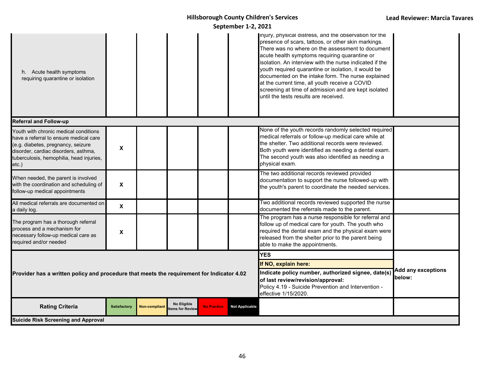#### **September 1-2, 2021** Ĩ

| h. Acute health symptoms<br>requiring quarantine or isolation                                                                                                                                                         |                           |               |                                       |                    |                                                                                                                  | injury, physical distress, and the observation for the<br>presence of scars, tattoos, or other skin markings.<br>There was no where on the assessment to document<br>acute health symptoms requiring quarantine or<br>isolation. An interview with the nurse indicated if the<br>youth required quarantine or isolation, it would be<br>documented on the intake form. The nurse explained<br>at the current time, all youth receive a COVID<br>screening at time of admission and are kept isolated<br>until the tests results are received. |                           |
|-----------------------------------------------------------------------------------------------------------------------------------------------------------------------------------------------------------------------|---------------------------|---------------|---------------------------------------|--------------------|------------------------------------------------------------------------------------------------------------------|-----------------------------------------------------------------------------------------------------------------------------------------------------------------------------------------------------------------------------------------------------------------------------------------------------------------------------------------------------------------------------------------------------------------------------------------------------------------------------------------------------------------------------------------------|---------------------------|
| <b>Referral and Follow-up</b>                                                                                                                                                                                         |                           |               |                                       |                    |                                                                                                                  |                                                                                                                                                                                                                                                                                                                                                                                                                                                                                                                                               |                           |
| Youth with chronic medical conditions<br>have a referral to ensure medical care<br>(e.g. diabetes, pregnancy, seizure<br>disorder, cardiac disorders, asthma,<br>tuberculosis, hemophilia, head injuries,<br>$etc.$ ) | X                         |               |                                       |                    |                                                                                                                  | None of the youth records randomly selected required<br>medical referrals or follow-up medical care while at<br>the shelter. Two additional records were reviewed.<br>Both youth were identified as needing a dental exam.<br>The second youth was also identified as needing a<br>physical exam.                                                                                                                                                                                                                                             |                           |
| When needed, the parent is involved<br>with the coordination and scheduling of<br>follow-up medical appointments                                                                                                      | $\boldsymbol{\mathsf{X}}$ |               |                                       |                    |                                                                                                                  | The two additional records reviewed provided<br>documentation to support the nurse followed-up with<br>the youth's parent to coordinate the needed services.                                                                                                                                                                                                                                                                                                                                                                                  |                           |
| All medical referrals are documented on<br>a daily log.                                                                                                                                                               | $\boldsymbol{\mathsf{X}}$ |               |                                       |                    |                                                                                                                  | Two additional records reviewed supported the nurse<br>documented the referrals made to the parent.                                                                                                                                                                                                                                                                                                                                                                                                                                           |                           |
| The program has a thorough referral<br>process and a mechanism for<br>necessary follow-up medical care as<br>required and/or needed                                                                                   | $\pmb{\chi}$              |               |                                       |                    |                                                                                                                  | The program has a nurse responsible for referral and<br>follow up of medical care for youth. The youth who<br>required the dental exam and the physical exam were<br>released from the shelter prior to the parent being<br>able to make the appointments.                                                                                                                                                                                                                                                                                    |                           |
|                                                                                                                                                                                                                       |                           |               |                                       |                    |                                                                                                                  | <b>YES</b>                                                                                                                                                                                                                                                                                                                                                                                                                                                                                                                                    |                           |
|                                                                                                                                                                                                                       |                           |               |                                       |                    |                                                                                                                  | If NO, explain here:<br>Indicate policy number, authorized signee, date(s)                                                                                                                                                                                                                                                                                                                                                                                                                                                                    | <b>Add any exceptions</b> |
| Provider has a written policy and procedure that meets the requirement for Indicator 4.02                                                                                                                             |                           |               |                                       |                    | of last review/revision/approval:<br>Policy 4.19 - Suicide Prevention and Intervention -<br>effective 1/15/2020. | below:                                                                                                                                                                                                                                                                                                                                                                                                                                                                                                                                        |                           |
| <b>Rating Criteria</b>                                                                                                                                                                                                | <b>Satisfactory</b>       | Non-compliant | <b>No Eligible</b><br>tems for Review | <b>No Practice</b> | <b>Not Applicable</b>                                                                                            |                                                                                                                                                                                                                                                                                                                                                                                                                                                                                                                                               |                           |
| <b>Suicide Risk Screening and Approval</b>                                                                                                                                                                            |                           |               |                                       |                    |                                                                                                                  |                                                                                                                                                                                                                                                                                                                                                                                                                                                                                                                                               |                           |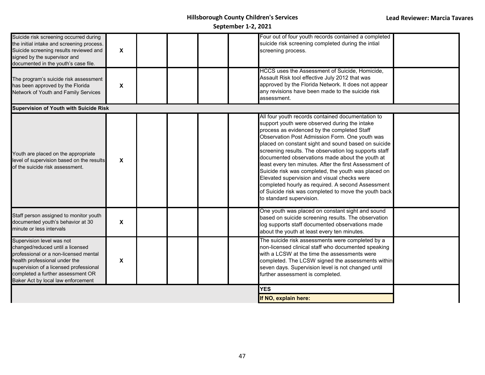| Suicide risk screening occurred during<br>the initial intake and screening process.<br>Suicide screening results reviewed and<br>signed by the supervisor and<br>documented in the youth's case file.                                                        | $\boldsymbol{\mathsf{X}}$ |  | Four out of four youth records contained a completed<br>suicide risk screening completed during the intial<br>screening process.                                                                                                                                                                                                                                                                                                                                                                                                                                                                                                                                                |  |
|--------------------------------------------------------------------------------------------------------------------------------------------------------------------------------------------------------------------------------------------------------------|---------------------------|--|---------------------------------------------------------------------------------------------------------------------------------------------------------------------------------------------------------------------------------------------------------------------------------------------------------------------------------------------------------------------------------------------------------------------------------------------------------------------------------------------------------------------------------------------------------------------------------------------------------------------------------------------------------------------------------|--|
| The program's suicide risk assessment<br>has been approved by the Florida<br><b>Network of Youth and Family Services</b>                                                                                                                                     | $\boldsymbol{\mathsf{X}}$ |  | HCCS uses the Assessment of Suicide, Homicide,<br>Assault Risk tool effective July 2012 that was<br>approved by the Florida Network. It does not appear<br>any revisions have been made to the suicide risk<br>assessment.                                                                                                                                                                                                                                                                                                                                                                                                                                                      |  |
| <b>Supervision of Youth with Suicide Risk</b>                                                                                                                                                                                                                |                           |  |                                                                                                                                                                                                                                                                                                                                                                                                                                                                                                                                                                                                                                                                                 |  |
| Youth are placed on the appropriate<br>level of supervision based on the results<br>of the suicide risk assessment.                                                                                                                                          | X                         |  | All four youth records contained documentation to<br>support youth were observed during the intake<br>process as evidenced by the completed Staff<br>Observation Post Admission Form. One youth was<br>placed on constant sight and sound based on suicide<br>screening results. The observation log supports staff<br>documented observations made about the youth at<br>least every ten minutes. After the first Assessment of<br>Suicide risk was completed, the youth was placed on<br>Elevated supervision and visual checks were<br>completed hourly as required. A second Assessment<br>of Suicide risk was completed to move the youth back<br>to standard supervision. |  |
| Staff person assigned to monitor youth<br>documented youth's behavior at 30<br>minute or less intervals                                                                                                                                                      | X                         |  | One youth was placed on constant sight and sound<br>based on suicide screening results. The observation<br>log supports staff documented observations made<br>about the youth at least every ten minutes.                                                                                                                                                                                                                                                                                                                                                                                                                                                                       |  |
| Supervision level was not<br>changed/reduced until a licensed<br>professional or a non-licensed mental<br>nealth professional under the<br>supervision of a licensed professional<br>completed a further assessment OR<br>Baker Act by local law enforcement | X                         |  | The suicide risk assessments were completed by a<br>non-licensed clinical staff who documented speaking<br>with a LCSW at the time the assessments were<br>completed. The LCSW signed the assessments within<br>seven days. Supervision level is not changed until<br>further assessment is completed.                                                                                                                                                                                                                                                                                                                                                                          |  |
|                                                                                                                                                                                                                                                              |                           |  | <b>YES</b>                                                                                                                                                                                                                                                                                                                                                                                                                                                                                                                                                                                                                                                                      |  |
|                                                                                                                                                                                                                                                              |                           |  | If NO, explain here:                                                                                                                                                                                                                                                                                                                                                                                                                                                                                                                                                                                                                                                            |  |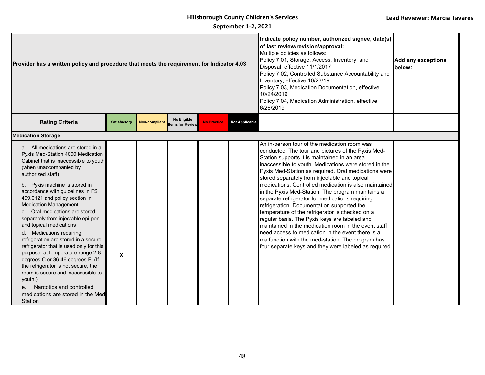| Provider has a written policy and procedure that meets the requirement for Indicator 4.03                                                                                                                                                                                                                                                                                                                                                                                                                                                                                                                                                                                                                                                                                         |                           |                      | Indicate policy number, authorized signee, date(s)<br>of last review/revision/approval:<br>Multiple policies as follows:<br>Policy 7.01, Storage, Access, Inventory, and<br>Disposal, effective 11/1/2017<br>Policy 7.02, Controlled Substance Accountability and<br>Inventory, effective 10/23/19<br>Policy 7.03, Medication Documentation, effective<br>10/24/2019<br>Policy 7.04, Medication Administration, effective<br>6/26/2019 | <b>Add any exceptions</b><br>below: |                       |                                                                                                                                                                                                                                                                                                                                                                                                                                                                                                                                                                                                                                                                                                                                                                                                                                                                    |  |
|-----------------------------------------------------------------------------------------------------------------------------------------------------------------------------------------------------------------------------------------------------------------------------------------------------------------------------------------------------------------------------------------------------------------------------------------------------------------------------------------------------------------------------------------------------------------------------------------------------------------------------------------------------------------------------------------------------------------------------------------------------------------------------------|---------------------------|----------------------|----------------------------------------------------------------------------------------------------------------------------------------------------------------------------------------------------------------------------------------------------------------------------------------------------------------------------------------------------------------------------------------------------------------------------------------|-------------------------------------|-----------------------|--------------------------------------------------------------------------------------------------------------------------------------------------------------------------------------------------------------------------------------------------------------------------------------------------------------------------------------------------------------------------------------------------------------------------------------------------------------------------------------------------------------------------------------------------------------------------------------------------------------------------------------------------------------------------------------------------------------------------------------------------------------------------------------------------------------------------------------------------------------------|--|
| <b>Rating Criteria</b>                                                                                                                                                                                                                                                                                                                                                                                                                                                                                                                                                                                                                                                                                                                                                            | <b>Satisfactory</b>       | <b>Non-compliant</b> | No Eligible<br>tems for Review                                                                                                                                                                                                                                                                                                                                                                                                         | <b>No Practice</b>                  | <b>Not Applicable</b> |                                                                                                                                                                                                                                                                                                                                                                                                                                                                                                                                                                                                                                                                                                                                                                                                                                                                    |  |
| <b>Medication Storage</b>                                                                                                                                                                                                                                                                                                                                                                                                                                                                                                                                                                                                                                                                                                                                                         |                           |                      |                                                                                                                                                                                                                                                                                                                                                                                                                                        |                                     |                       |                                                                                                                                                                                                                                                                                                                                                                                                                                                                                                                                                                                                                                                                                                                                                                                                                                                                    |  |
| a. All medications are stored in a<br>Pyxis Med-Station 4000 Medication<br>Cabinet that is inaccessible to youth<br>(when unaccompanied by<br>authorized staff)<br>b. Pyxis machine is stored in<br>accordance with guidelines in FS<br>499.0121 and policy section in<br><b>Medication Management</b><br>c. Oral medications are stored<br>separately from injectable epi-pen<br>and topical medications<br>d. Medications requiring<br>refrigeration are stored in a secure<br>refrigerator that is used only for this<br>purpose, at temperature range 2-8<br>degrees C or 36-46 degrees F. (If<br>the refrigerator is not secure, the<br>room is secure and inaccessible to<br>youth.)<br>Narcotics and controlled<br>$e_{1}$<br>medications are stored in the Med<br>Station | $\boldsymbol{\mathsf{x}}$ |                      |                                                                                                                                                                                                                                                                                                                                                                                                                                        |                                     |                       | An in-person tour of the medication room was<br>conducted. The tour and pictures of the Pyxis Med-<br>Station supports it is maintained in an area<br>inaccessible to youth. Medications were stored in the<br>Pyxis Med-Station as required. Oral medications were<br>stored separately from injectable and topical<br>medications. Controlled medication is also maintained<br>in the Pyxis Med-Station. The program maintains a<br>separate refrigerator for medications requiring<br>refrigeration. Documentation supported the<br>temperature of the refrigerator is checked on a<br>regular basis. The Pyxis keys are labeled and<br>maintained in the medication room in the event staff<br>need access to medication in the event there is a<br>malfunction with the med-station. The program has<br>four separate keys and they were labeled as required. |  |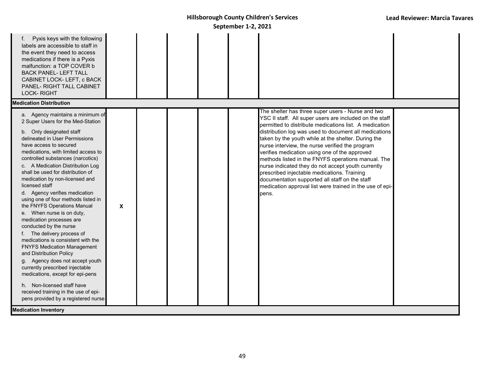| Pyxis keys with the following<br>labels are accessible to staff in<br>the event they need to access<br>medications if there is a Pyxis<br>malfunction: a TOP COVER b<br><b>BACK PANEL- LEFT TALL</b><br>CABINET LOCK-LEFT, c BACK<br>PANEL- RIGHT TALL CABINET<br><b>LOCK-RIGHT</b>                                                                                                                                                                                                                                                                                                                                                                                                                                                                                                                                                                                                                                          |   |  |  |                                                                                                                                                                                                                                                                                                                                                                                                                                                                                                                                                                                                                                                                              |  |
|------------------------------------------------------------------------------------------------------------------------------------------------------------------------------------------------------------------------------------------------------------------------------------------------------------------------------------------------------------------------------------------------------------------------------------------------------------------------------------------------------------------------------------------------------------------------------------------------------------------------------------------------------------------------------------------------------------------------------------------------------------------------------------------------------------------------------------------------------------------------------------------------------------------------------|---|--|--|------------------------------------------------------------------------------------------------------------------------------------------------------------------------------------------------------------------------------------------------------------------------------------------------------------------------------------------------------------------------------------------------------------------------------------------------------------------------------------------------------------------------------------------------------------------------------------------------------------------------------------------------------------------------------|--|
| <b>Medication Distribution</b>                                                                                                                                                                                                                                                                                                                                                                                                                                                                                                                                                                                                                                                                                                                                                                                                                                                                                               |   |  |  |                                                                                                                                                                                                                                                                                                                                                                                                                                                                                                                                                                                                                                                                              |  |
| a. Agency maintains a minimum of<br>2 Super Users for the Med-Station<br>b. Only designated staff<br>delineated in User Permissions<br>have access to secured<br>medications, with limited access to<br>controlled substances (narcotics)<br>c. A Medication Distribution Log<br>shall be used for distribution of<br>medication by non-licensed and<br>licensed staff<br>d. Agency verifies medication<br>using one of four methods listed in<br>the FNYFS Operations Manual<br>e. When nurse is on duty,<br>medication processes are<br>conducted by the nurse<br>f. The delivery process of<br>medications is consistent with the<br><b>FNYFS Medication Management</b><br>and Distribution Policy<br>g. Agency does not accept youth<br>currently prescribed injectable<br>medications, except for epi-pens<br>h. Non-licensed staff have<br>received training in the use of epi-<br>pens provided by a registered nurse | X |  |  | The shelter has three super users - Nurse and two<br>YSC II staff. All super users are included on the staff<br>permitted to distribute medications list. A medication<br>distribution log was used to document all medications<br>taken by the youth while at the shelter. During the<br>nurse interview, the nurse verified the program<br>verifies medication using one of the approved<br>methods listed in the FNYFS operations manual. The<br>nurse indicated they do not accept youth currently<br>prescribed injectable medications. Training<br>documentation supported all staff on the staff<br>medication approval list were trained in the use of epi-<br>pens. |  |
| <b>Medication Inventory</b>                                                                                                                                                                                                                                                                                                                                                                                                                                                                                                                                                                                                                                                                                                                                                                                                                                                                                                  |   |  |  |                                                                                                                                                                                                                                                                                                                                                                                                                                                                                                                                                                                                                                                                              |  |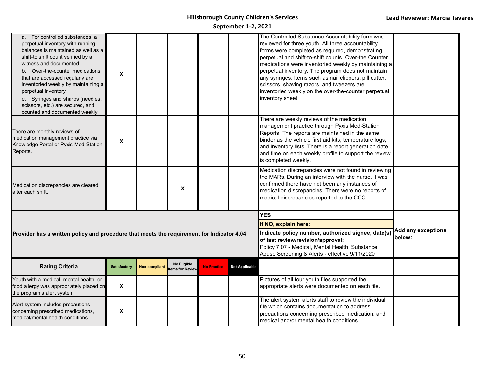| a. For controlled substances, a<br>perpetual inventory with running<br>balances is maintained as well as a<br>shift-to shift count verified by a<br>witness and documented<br>b. Over-the-counter medications<br>that are accessed regularly are<br>inventoried weekly by maintaining a<br>perpetual inventory<br>c. Syringes and sharps (needles,<br>scissors, etc.) are secured, and<br>counted and documented weekly | X                         |                      |                               |                    |                                                                                                                                                                                                                                    | The Controlled Substance Accountability form was<br>reviewed for three youth. All three accountability<br>forms were completed as required, demonstrating<br>perpetual and shift-to-shift counts. Over-the Counter<br>medications were inventoried weekly by maintaining a<br>perpetual inventory. The program does not maintain<br>any syringes. Items such as nail clippers, pill cutter,<br>scissors, shaving razors, and tweezers are<br>inventoried weekly on the over-the-counter perpetual<br>inventory sheet. |  |
|-------------------------------------------------------------------------------------------------------------------------------------------------------------------------------------------------------------------------------------------------------------------------------------------------------------------------------------------------------------------------------------------------------------------------|---------------------------|----------------------|-------------------------------|--------------------|------------------------------------------------------------------------------------------------------------------------------------------------------------------------------------------------------------------------------------|-----------------------------------------------------------------------------------------------------------------------------------------------------------------------------------------------------------------------------------------------------------------------------------------------------------------------------------------------------------------------------------------------------------------------------------------------------------------------------------------------------------------------|--|
| There are monthly reviews of<br>medication management practice via<br>Knowledge Portal or Pyxis Med-Station<br>Reports.                                                                                                                                                                                                                                                                                                 | X                         |                      |                               |                    |                                                                                                                                                                                                                                    | There are weekly reviews of the medication<br>management practice through Pyxis Med-Station<br>Reports. The reports are maintained in the same<br>binder as the vehicle first aid kits, temperature logs,<br>and inventory lists. There is a report generation date<br>and time on each weekly profile to support the review<br>is completed weekly.                                                                                                                                                                  |  |
| Medication discrepancies are cleared<br>after each shift.                                                                                                                                                                                                                                                                                                                                                               |                           |                      | X                             |                    |                                                                                                                                                                                                                                    | Medication discrepancies were not found in reviewing<br>the MARs. During an interview with the nurse, it was<br>confirmed there have not been any instances of<br>medication discrepancies. There were no reports of<br>medical discrepancies reported to the CCC.                                                                                                                                                                                                                                                    |  |
| Provider has a written policy and procedure that meets the requirement for Indicator 4.04                                                                                                                                                                                                                                                                                                                               |                           |                      |                               |                    | <b>YES</b><br>If NO, explain here:<br>Indicate policy number, authorized signee, date(s)<br>of last review/revision/approval:<br>Policy 7.07 - Medical, Mental Health, Substance<br>Abuse Screening & Alerts - effective 9/11/2020 | <b>Add any exceptions</b><br>below:                                                                                                                                                                                                                                                                                                                                                                                                                                                                                   |  |
| <b>Rating Criteria</b>                                                                                                                                                                                                                                                                                                                                                                                                  | <b>Satisfactory</b>       | <b>Non-compliant</b> | No Eligible<br>ems for Review | <b>No Practice</b> | <b>Not Applicable</b>                                                                                                                                                                                                              |                                                                                                                                                                                                                                                                                                                                                                                                                                                                                                                       |  |
| Youth with a medical, mental health, or<br>food allergy was appropriately placed on<br>the program's alert system                                                                                                                                                                                                                                                                                                       | $\boldsymbol{\mathsf{X}}$ |                      |                               |                    |                                                                                                                                                                                                                                    | Pictures of all four youth files supported the<br>appropriate alerts were documented on each file.                                                                                                                                                                                                                                                                                                                                                                                                                    |  |
| Alert system includes precautions<br>concerning prescribed medications,<br>medical/mental health conditions                                                                                                                                                                                                                                                                                                             | X                         |                      |                               |                    |                                                                                                                                                                                                                                    | The alert system alerts staff to review the individual<br>file which contains documentation to address<br>precautions concerning prescribed medication, and<br>medical and/or mental health conditions.                                                                                                                                                                                                                                                                                                               |  |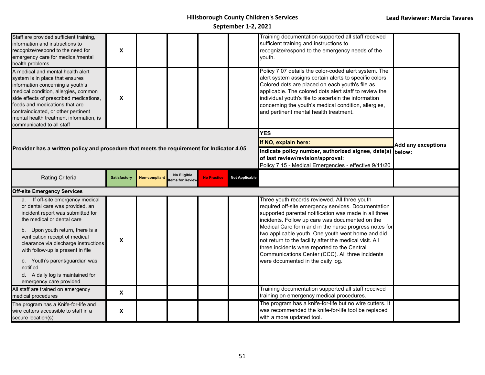| Staff are provided sufficient training,<br>information and instructions to<br>recognize/respond to the need for<br>emergency care for medical/mental<br>health problems                                                                                                                                                                                                                                 | X                   |                      |                                |                    |                                                                                                                                                                                               | Training documentation supported all staff received<br>sufficient training and instructions to<br>recognize/respond to the emergency needs of the<br>youth.                                                                                                                                                                                                                                                                                                                                                                        |  |
|---------------------------------------------------------------------------------------------------------------------------------------------------------------------------------------------------------------------------------------------------------------------------------------------------------------------------------------------------------------------------------------------------------|---------------------|----------------------|--------------------------------|--------------------|-----------------------------------------------------------------------------------------------------------------------------------------------------------------------------------------------|------------------------------------------------------------------------------------------------------------------------------------------------------------------------------------------------------------------------------------------------------------------------------------------------------------------------------------------------------------------------------------------------------------------------------------------------------------------------------------------------------------------------------------|--|
| A medical and mental health alert<br>system is in place that ensures<br>information concerning a youth's<br>medical condition, allergies, common<br>side effects of prescribed medications,<br>foods and medications that are<br>contraindicated, or other pertinent<br>mental health treatment information, is<br>communicated to all staff                                                            | X                   |                      |                                |                    |                                                                                                                                                                                               | Policy 7.07 details the color-coded alert system. The<br>alert system assigns certain alerts to specific colors.<br>Colored dots are placed on each youth's file as<br>applicable. The colored dots alert staff to review the<br>individual youth's file to ascertain the information<br>concerning the youth's medical condition, allergies,<br>and pertinent mental health treatment.                                                                                                                                            |  |
| Provider has a written policy and procedure that meets the requirement for Indicator 4.05                                                                                                                                                                                                                                                                                                               |                     |                      |                                |                    | <b>YES</b><br>If NO, explain here:<br>Indicate policy number, authorized signee, date(s) below:<br>of last review/revision/approval:<br>Policy 7.15 - Medical Emergencies - effective 9/11/20 | <b>Add any exceptions</b>                                                                                                                                                                                                                                                                                                                                                                                                                                                                                                          |  |
| Rating Criteria                                                                                                                                                                                                                                                                                                                                                                                         | <b>Satisfactory</b> | <b>Non-compliant</b> | No Eligible<br>tems for Review | <b>No Practice</b> | <b>Not Applicable</b>                                                                                                                                                                         |                                                                                                                                                                                                                                                                                                                                                                                                                                                                                                                                    |  |
| <b>Off-site Emergency Services</b>                                                                                                                                                                                                                                                                                                                                                                      |                     |                      |                                |                    |                                                                                                                                                                                               |                                                                                                                                                                                                                                                                                                                                                                                                                                                                                                                                    |  |
| a. If off-site emergency medical<br>or dental care was provided, an<br>incident report was submitted for<br>the medical or dental care<br>b. Upon youth return, there is a<br>verification receipt of medical<br>clearance via discharge instructions<br>with follow-up is present in file<br>c. Youth's parent/guardian was<br>notified<br>d. A daily log is maintained for<br>emergency care provided | $\pmb{\mathsf{x}}$  |                      |                                |                    |                                                                                                                                                                                               | Three youth records reviewed. All three youth<br>required off-site emergency services. Documentation<br>supported parental notification was made in all three<br>incidents. Follow up care was documented on the<br>Medical Care form and in the nurse progress notes for<br>two applicable youth. One youth went home and did<br>not return to the facility after the medical visit. All<br>three incidents were reported to the Central<br>Communications Center (CCC). All three incidents<br>were documented in the daily log. |  |
| All staff are trained on emergency<br>medical procedures                                                                                                                                                                                                                                                                                                                                                | X                   |                      |                                |                    |                                                                                                                                                                                               | Training documentation supported all staff received<br>training on emergency medical procedures.                                                                                                                                                                                                                                                                                                                                                                                                                                   |  |
| The program has a Knife-for-life and<br>wire cutters accessible to staff in a<br>secure location(s)                                                                                                                                                                                                                                                                                                     | X                   |                      |                                |                    |                                                                                                                                                                                               | The program has a knife-for-life but no wire cutters. It<br>was recommended the knife-for-life tool be replaced<br>with a more updated tool.                                                                                                                                                                                                                                                                                                                                                                                       |  |